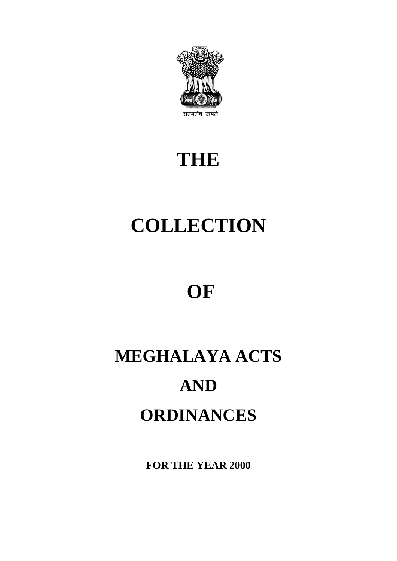

## **THE**

# **COLLECTION**

## **OF**

# **MEGHALAYA ACTS AND ORDINANCES**

**FOR THE YEAR 2000**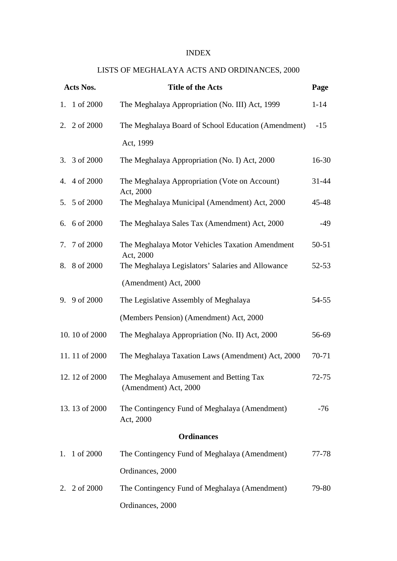#### INDEX

#### LISTS OF MEGHALAYA ACTS AND ORDINANCES, 2000

|    | Acts Nos.     | <b>Title of the Acts</b>                                         | Page      |
|----|---------------|------------------------------------------------------------------|-----------|
|    | 1. 1 of 2000  | The Meghalaya Appropriation (No. III) Act, 1999                  | $1 - 14$  |
|    | 2. 2 of 2000  | The Meghalaya Board of School Education (Amendment)              | $-15$     |
|    |               | Act, 1999                                                        |           |
|    | 3. 3 of 2000  | The Meghalaya Appropriation (No. I) Act, 2000                    | $16-30$   |
|    | 4. 4 of 2000  | The Meghalaya Appropriation (Vote on Account)<br>Act, 2000       | $31 - 44$ |
|    | 5. 5 of 2000  | The Meghalaya Municipal (Amendment) Act, 2000                    | 45-48     |
|    | 6. 6 of 2000  | The Meghalaya Sales Tax (Amendment) Act, 2000                    | $-49$     |
|    | 7. 7 of 2000  | The Meghalaya Motor Vehicles Taxation Amendment<br>Act, 2000     | 50-51     |
|    | 8. 8 of 2000  | The Meghalaya Legislators' Salaries and Allowance                | $52 - 53$ |
|    |               | (Amendment) Act, 2000                                            |           |
| 9. | 9 of 2000     | The Legislative Assembly of Meghalaya                            | $54 - 55$ |
|    |               | (Members Pension) (Amendment) Act, 2000                          |           |
|    | 10.10 of 2000 | The Meghalaya Appropriation (No. II) Act, 2000                   | 56-69     |
|    | 11.11 of 2000 | The Meghalaya Taxation Laws (Amendment) Act, 2000                | 70-71     |
|    | 12.12 of 2000 | The Meghalaya Amusement and Betting Tax<br>(Amendment) Act, 2000 | $72 - 75$ |
|    | 13.13 of 2000 | The Contingency Fund of Meghalaya (Amendment)<br>Act, 2000       | $-76$     |
|    |               | <b>Ordinances</b>                                                |           |
| 1. | 1 of 2000     | The Contingency Fund of Meghalaya (Amendment)                    | 77-78     |
|    |               | Ordinances, 2000                                                 |           |
| 2. | 2 of 2000     | The Contingency Fund of Meghalaya (Amendment)                    | 79-80     |
|    |               | Ordinances, 2000                                                 |           |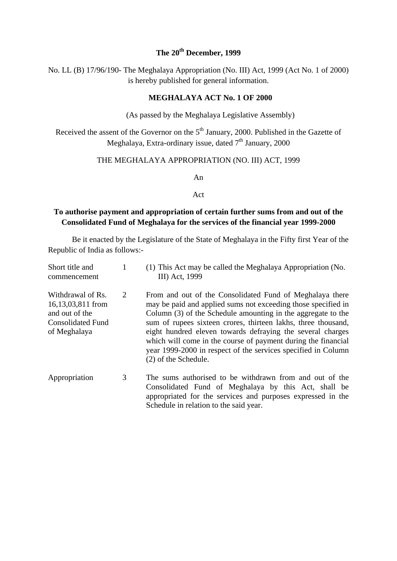### **The 20th December, 1999**

No. LL (B) 17/96/190- The Meghalaya Appropriation (No. III) Act, 1999 (Act No. 1 of 2000) is hereby published for general information.

#### **MEGHALAYA ACT No. 1 OF 2000**

(As passed by the Meghalaya Legislative Assembly)

Received the assent of the Governor on the 5<sup>th</sup> January, 2000. Published in the Gazette of Meghalaya, Extra-ordinary issue, dated  $7<sup>th</sup>$  January, 2000

#### THE MEGHALAYA APPROPRIATION (NO. III) ACT, 1999

An

#### Act

#### **To authorise payment and appropriation of certain further sums from and out of the Consolidated Fund of Meghalaya for the services of the financial year 1999-2000**

Be it enacted by the Legislature of the State of Meghalaya in the Fifty first Year of the Republic of India as follows:-

| Short title and<br>commencement                                                                      |   | (1) This Act may be called the Meghalaya Appropriation (No.<br>III) Act, 1999                                                                                                                                                                                                                                                                                                                                                                                                      |
|------------------------------------------------------------------------------------------------------|---|------------------------------------------------------------------------------------------------------------------------------------------------------------------------------------------------------------------------------------------------------------------------------------------------------------------------------------------------------------------------------------------------------------------------------------------------------------------------------------|
| Withdrawal of Rs.<br>16,13,03,811 from<br>and out of the<br><b>Consolidated Fund</b><br>of Meghalaya | 2 | From and out of the Consolidated Fund of Meghalaya there<br>may be paid and applied sums not exceeding those specified in<br>Column (3) of the Schedule amounting in the aggregate to the<br>sum of rupees sixteen crores, thirteen lakhs, three thousand,<br>eight hundred eleven towards defraying the several charges<br>which will come in the course of payment during the financial<br>year 1999-2000 in respect of the services specified in Column<br>(2) of the Schedule. |
| Appropriation                                                                                        | 3 | The sums authorised to be withdrawn from and out of the<br>Consolidated Fund of Meghalaya by this Act, shall be<br>appropriated for the services and purposes expressed in the<br>Schedule in relation to the said year.                                                                                                                                                                                                                                                           |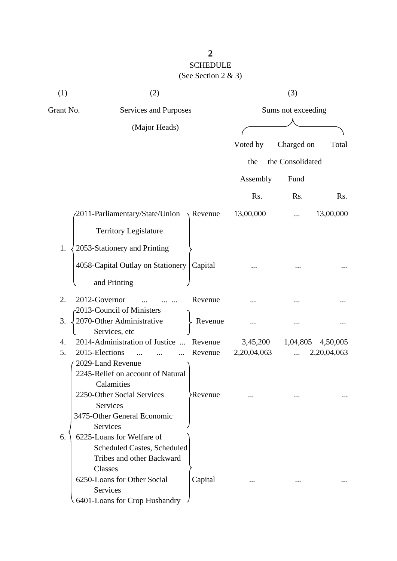## **2** SCHEDULE (See Section 2 & 3)

| (1)       | (2)                                                    |                  |             | (3)                |             |
|-----------|--------------------------------------------------------|------------------|-------------|--------------------|-------------|
| Grant No. | Services and Purposes                                  |                  |             | Sums not exceeding |             |
|           | (Major Heads)                                          |                  |             |                    |             |
|           |                                                        |                  | Voted by    | Charged on         | Total       |
|           |                                                        |                  | the         | the Consolidated   |             |
|           |                                                        |                  |             |                    |             |
|           |                                                        |                  | Assembly    | Fund               |             |
|           |                                                        |                  | Rs.         | Rs.                | Rs.         |
|           | 2011-Parliamentary/State/Union                         | $\sqrt{$ Revenue | 13,00,000   |                    | 13,00,000   |
|           | <b>Territory Legislature</b>                           |                  |             |                    |             |
| 1.        | 2053-Stationery and Printing                           |                  |             |                    |             |
|           | 4058-Capital Outlay on Stationery                      | Capital          |             |                    |             |
|           | and Printing                                           |                  |             |                    |             |
| 2.        | 2012-Governor                                          | Revenue          |             |                    |             |
| 3.        | 2013-Council of Ministers<br>2070-Other Administrative | Revenue          |             |                    |             |
|           | Services, etc                                          |                  |             |                    |             |
| 4.        | 2014-Administration of Justice                         | Revenue          | 3,45,200    | 1,04,805           | 4,50,005    |
| 5.        | 2015-Elections                                         | Revenue          | 2,20,04,063 |                    | 2,20,04,063 |
|           | 2029-Land Revenue                                      |                  |             |                    |             |
|           | 2245-Relief on account of Natural                      |                  |             |                    |             |
|           | Calamities                                             |                  |             |                    |             |
|           | 2250-Other Social Services                             | <b>Revenue</b>   |             |                    |             |
|           | Services                                               |                  |             |                    |             |
|           | 3475-Other General Economic<br>Services                |                  |             |                    |             |
| 6.        | 6225-Loans for Welfare of                              |                  |             |                    |             |
|           | Scheduled Castes, Scheduled                            |                  |             |                    |             |
|           | Tribes and other Backward                              |                  |             |                    |             |
|           | Classes                                                |                  |             |                    |             |
|           | 6250-Loans for Other Social                            | Capital          |             |                    |             |
|           | Services                                               |                  |             |                    |             |
|           | 6401-Loans for Crop Husbandry                          |                  |             |                    |             |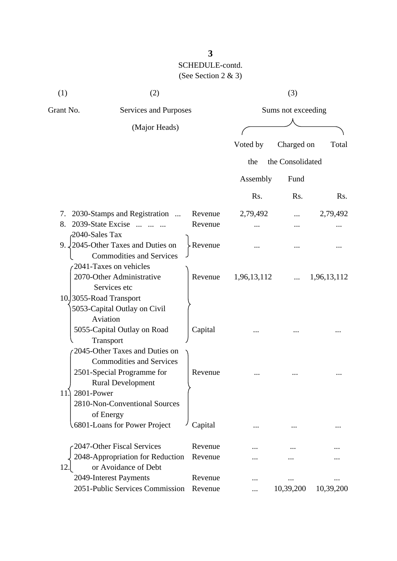| (1)                  | (2)                                                                                                           |                  |                  | (3)                |             |  |  |
|----------------------|---------------------------------------------------------------------------------------------------------------|------------------|------------------|--------------------|-------------|--|--|
| Grant No.            | Services and Purposes                                                                                         |                  |                  | Sums not exceeding |             |  |  |
|                      | (Major Heads)                                                                                                 |                  |                  |                    |             |  |  |
|                      |                                                                                                               |                  | Voted by         | Charged on         | Total       |  |  |
|                      |                                                                                                               |                  | the              | the Consolidated   |             |  |  |
|                      |                                                                                                               |                  | Assembly         | Fund               |             |  |  |
|                      |                                                                                                               |                  | R <sub>s</sub> . | Rs.                | Rs.         |  |  |
| 7.                   | 2030-Stamps and Registration                                                                                  | Revenue          | 2,79,492         |                    | 2,79,492    |  |  |
| 8.                   | 2039-State Excise                                                                                             | Revenue          |                  |                    |             |  |  |
| 2040-Sales Tax<br>9. | 2045-Other Taxes and Duties on<br><b>Commodities and Services</b>                                             | $\angle$ Revenue |                  |                    |             |  |  |
|                      | 2041-Taxes on vehicles<br>2070-Other Administrative<br>Services etc                                           | Revenue          | 1,96,13,112      |                    | 1,96,13,112 |  |  |
|                      | 10.3055-Road Transport<br>5053-Capital Outlay on Civil<br>Aviation                                            |                  |                  |                    |             |  |  |
|                      | 5055-Capital Outlay on Road<br>Transport<br>2045-Other Taxes and Duties on<br><b>Commodities and Services</b> | Capital          |                  |                    |             |  |  |
| 2801-Power<br>11.    | 2501-Special Programme for<br><b>Rural Development</b><br>2810-Non-Conventional Sources                       | Revenue          |                  |                    |             |  |  |
|                      | of Energy<br>6801-Loans for Power Project                                                                     | Capital          |                  |                    |             |  |  |
|                      | 2047-Other Fiscal Services                                                                                    | Revenue          |                  |                    |             |  |  |
| 12.                  | 2048-Appropriation for Reduction<br>or Avoidance of Debt                                                      | Revenue          |                  |                    |             |  |  |
|                      | 2049-Interest Payments                                                                                        | Revenue          |                  |                    |             |  |  |
|                      | 2051-Public Services Commission                                                                               | Revenue          |                  | 10,39,200          | 10,39,200   |  |  |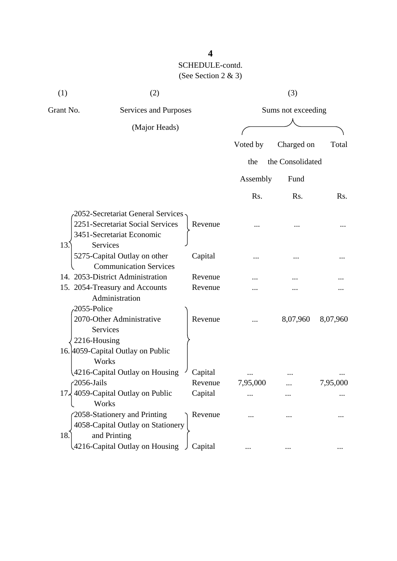| (1)             | (2)                                                                               |         |                  | (3)                |           |
|-----------------|-----------------------------------------------------------------------------------|---------|------------------|--------------------|-----------|
| Grant No.       | Services and Purposes                                                             |         |                  | Sums not exceeding |           |
|                 | (Major Heads)                                                                     |         |                  |                    |           |
|                 |                                                                                   |         | Voted by         | Charged on         | Total     |
|                 |                                                                                   |         | the              | the Consolidated   |           |
|                 |                                                                                   |         | Assembly         | Fund               |           |
|                 |                                                                                   |         | R <sub>s</sub> . | Rs.                | Rs.       |
|                 | 2052-Secretariat General Services                                                 |         |                  |                    |           |
|                 | 2251-Secretariat Social Services<br>3451-Secretariat Economic                     | Revenue |                  |                    |           |
| 13.             | Services<br>5275-Capital Outlay on other<br><b>Communication Services</b>         | Capital |                  |                    |           |
|                 | 14. 2053-District Administration                                                  | Revenue |                  |                    |           |
|                 | 15. 2054-Treasury and Accounts                                                    | Revenue |                  |                    |           |
|                 | Administration<br>2055-Police                                                     |         |                  |                    |           |
|                 | 2070-Other Administrative<br><b>Services</b>                                      | Revenue |                  | 8,07,960           | 8,07,960  |
|                 | 2216-Housing<br>16. 4059-Capital Outlay on Public<br>Works                        |         |                  |                    |           |
|                 | 4216-Capital Outlay on Housing                                                    | Capital |                  |                    |           |
|                 | $\sqrt{2056}$ -Jails                                                              | Revenue | 7,95,000         |                    | 7,95,000  |
| 17 <sub>5</sub> | 4059-Capital Outlay on Public<br>Works                                            | Capital |                  |                    |           |
| 18.             | 2058-Stationery and Printing<br>4058-Capital Outlay on Stationery<br>and Printing | Revenue |                  |                    |           |
|                 | 4216-Capital Outlay on Housing                                                    | Capital |                  | $\cdots$           | $\ddotsc$ |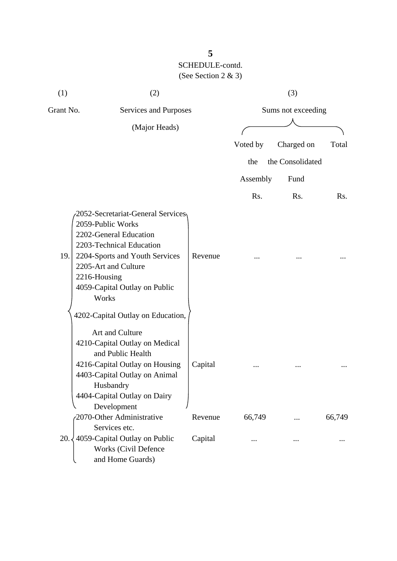| (1)       | (2)                                                                                                                                                                                                                                                                   |         |          | (3)                |        |
|-----------|-----------------------------------------------------------------------------------------------------------------------------------------------------------------------------------------------------------------------------------------------------------------------|---------|----------|--------------------|--------|
| Grant No. | Services and Purposes                                                                                                                                                                                                                                                 |         |          | Sums not exceeding |        |
|           | (Major Heads)                                                                                                                                                                                                                                                         |         |          |                    |        |
|           |                                                                                                                                                                                                                                                                       |         | Voted by | Charged on         | Total  |
|           |                                                                                                                                                                                                                                                                       |         | the      | the Consolidated   |        |
|           |                                                                                                                                                                                                                                                                       |         | Assembly | Fund               |        |
|           |                                                                                                                                                                                                                                                                       |         | Rs.      | Rs.                | Rs.    |
| 19.       | 2052-Secretariat-General Services<br>2059-Public Works<br>2202-General Education<br>2203-Technical Education<br>2204-Sports and Youth Services<br>2205-Art and Culture<br>2216-Housing<br>4059-Capital Outlay on Public<br>Works<br>4202-Capital Outlay on Education, | Revenue |          |                    |        |
|           | Art and Culture<br>4210-Capital Outlay on Medical<br>and Public Health<br>4216-Capital Outlay on Housing<br>4403-Capital Outlay on Animal<br>Husbandry<br>4404-Capital Outlay on Dairy<br>Development                                                                 | Capital | $\cdots$ |                    |        |
|           | 2070-Other Administrative                                                                                                                                                                                                                                             | Revenue | 66,749   |                    | 66,749 |
| 20.       | Services etc.<br>4059-Capital Outlay on Public<br>Works (Civil Defence<br>and Home Guards)                                                                                                                                                                            | Capital |          |                    |        |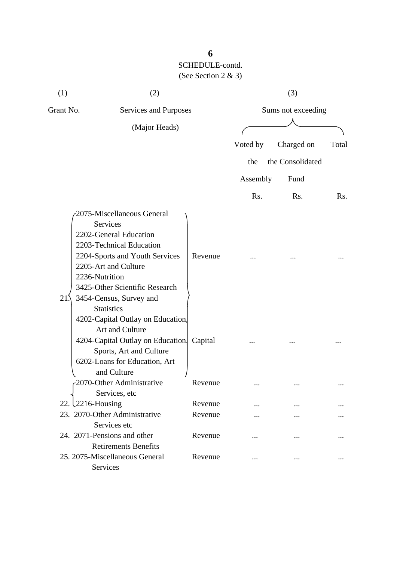| (1)       | (2)                                                                                                                                                                                                                                                                                                                                                                                                                                       |                       |          | (3)                |       |  |
|-----------|-------------------------------------------------------------------------------------------------------------------------------------------------------------------------------------------------------------------------------------------------------------------------------------------------------------------------------------------------------------------------------------------------------------------------------------------|-----------------------|----------|--------------------|-------|--|
| Grant No. |                                                                                                                                                                                                                                                                                                                                                                                                                                           | Services and Purposes |          | Sums not exceeding |       |  |
|           | (Major Heads)                                                                                                                                                                                                                                                                                                                                                                                                                             |                       |          |                    |       |  |
|           |                                                                                                                                                                                                                                                                                                                                                                                                                                           |                       | Voted by | Charged on         | Total |  |
|           |                                                                                                                                                                                                                                                                                                                                                                                                                                           |                       | the      | the Consolidated   |       |  |
|           |                                                                                                                                                                                                                                                                                                                                                                                                                                           |                       | Assembly | Fund               |       |  |
|           |                                                                                                                                                                                                                                                                                                                                                                                                                                           |                       | Rs.      | Rs.                | Rs.   |  |
| 21.       | 2075-Miscellaneous General<br><b>Services</b><br>2202-General Education<br>2203-Technical Education<br>2204-Sports and Youth Services<br>2205-Art and Culture<br>2236-Nutrition<br>3425-Other Scientific Research<br>3454-Census, Survey and<br><b>Statistics</b><br>4202-Capital Outlay on Education.<br>Art and Culture<br>4204-Capital Outlay on Education.<br>Sports, Art and Culture<br>6202-Loans for Education, Art<br>and Culture | Revenue<br>Capital    |          |                    |       |  |
|           | 2070-Other Administrative<br>Services, etc                                                                                                                                                                                                                                                                                                                                                                                                | Revenue               |          |                    |       |  |
|           | 22. 2216-Housing                                                                                                                                                                                                                                                                                                                                                                                                                          | Revenue               |          |                    |       |  |
|           | 23. 2070-Other Administrative<br>Services etc                                                                                                                                                                                                                                                                                                                                                                                             | Revenue               |          |                    |       |  |
|           | 24. 2071-Pensions and other<br><b>Retirements Benefits</b>                                                                                                                                                                                                                                                                                                                                                                                | Revenue               |          |                    |       |  |
|           | 25. 2075-Miscellaneous General<br>Services                                                                                                                                                                                                                                                                                                                                                                                                | Revenue               |          |                    |       |  |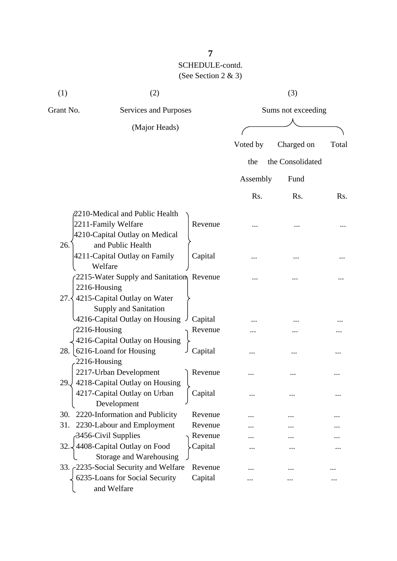| (1)                  | (2)                                                                                                          |                    |          | (3)                |       |  |
|----------------------|--------------------------------------------------------------------------------------------------------------|--------------------|----------|--------------------|-------|--|
| Grant No.            | Services and Purposes                                                                                        |                    |          | Sums not exceeding |       |  |
|                      | (Major Heads)                                                                                                |                    |          |                    |       |  |
|                      |                                                                                                              |                    | Voted by | Charged on         | Total |  |
|                      |                                                                                                              |                    | the      | the Consolidated   |       |  |
|                      |                                                                                                              |                    | Assembly | Fund               |       |  |
|                      |                                                                                                              |                    | Rs.      | Rs.                | Rs.   |  |
| 26.                  | 2210-Medical and Public Health<br>2211-Family Welfare<br>4210-Capital Outlay on Medical<br>and Public Health | Revenue            |          |                    |       |  |
|                      | 4211-Capital Outlay on Family<br>Welfare                                                                     | Capital            |          |                    |       |  |
| 2216-Housing<br>27.3 | 2215-Water Supply and Sanitation Revenue<br>4215-Capital Outlay on Water<br><b>Supply and Sanitation</b>     |                    |          |                    |       |  |
|                      | 4216-Capital Outlay on Housing                                                                               | Capital            |          |                    |       |  |
| $2216$ -Housing      | 4216-Capital Outlay on Housing                                                                               | Revenue            |          |                    |       |  |
| 28.<br>2216-Housing  | 6216-Loand for Housing                                                                                       | Capital            |          |                    |       |  |
| 29.J                 | 2217-Urban Development<br>4218-Capital Outlay on Housing<br>4217-Capital Outlay on Urban                     | Revenue<br>Capital |          |                    |       |  |
| 30.                  | Development<br>2220-Information and Publicity                                                                | Revenue            |          |                    |       |  |
| 31.                  | 2230-Labour and Employment                                                                                   | Revenue            |          |                    |       |  |
|                      | 3456-Civil Supplies                                                                                          | Revenue            |          |                    |       |  |
| 32.                  | 4408-Capital Outlay on Food<br>Storage and Warehousing                                                       | Capital            |          |                    |       |  |
|                      | 33. 2235-Social Security and Welfare                                                                         | Revenue            |          |                    |       |  |
|                      | 6235-Loans for Social Security<br>and Welfare                                                                | Capital            |          |                    |       |  |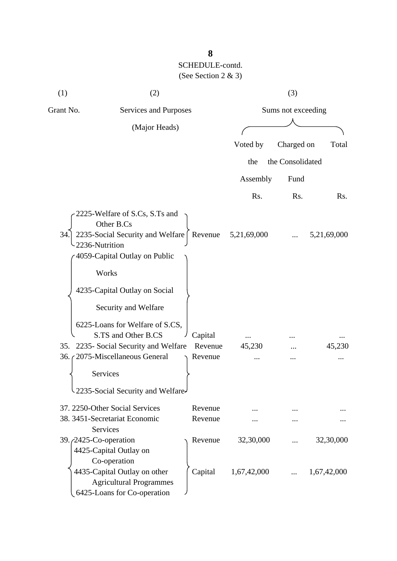| (1)       | (2)                                                                                                                                                                                                                                     |                               |             | (3)              |             |
|-----------|-----------------------------------------------------------------------------------------------------------------------------------------------------------------------------------------------------------------------------------------|-------------------------------|-------------|------------------|-------------|
| Grant No. | Services and Purposes                                                                                                                                                                                                                   | Sums not exceeding            |             |                  |             |
|           | (Major Heads)                                                                                                                                                                                                                           |                               |             |                  |             |
|           |                                                                                                                                                                                                                                         |                               | Voted by    | Charged on       | Total       |
|           |                                                                                                                                                                                                                                         |                               | the         | the Consolidated |             |
|           |                                                                                                                                                                                                                                         |                               | Assembly    | Fund             |             |
|           |                                                                                                                                                                                                                                         |                               | Rs.         | Rs.              | Rs.         |
| 34.       | 2225-Welfare of S.Cs, S.Ts and<br>Other B.Cs<br>2235-Social Security and Welfare<br>2236-Nutrition<br>4059-Capital Outlay on Public<br>Works                                                                                            | Revenue                       | 5,21,69,000 |                  | 5,21,69,000 |
| 35.       | 4235-Capital Outlay on Social<br>Security and Welfare<br>6225-Loans for Welfare of S.CS,<br>S.TS and Other B.CS<br>2235- Social Security and Welfare<br>36. (2075-Miscellaneous General<br>Services<br>2235-Social Security and Welfare | Capital<br>Revenue<br>Revenue | 45,230      |                  | 45,230      |
|           | 37. 2250-Other Social Services<br>38. 3451-Secretariat Economic<br>Services                                                                                                                                                             | Revenue<br>Revenue            |             |                  |             |
|           | 39. <i>(2425-Co-operation</i> )<br>4425-Capital Outlay on<br>Co-operation                                                                                                                                                               | Revenue                       | 32,30,000   |                  | 32,30,000   |
|           | 4435-Capital Outlay on other<br><b>Agricultural Programmes</b><br>6425-Loans for Co-operation                                                                                                                                           | Capital                       | 1,67,42,000 |                  | 1,67,42,000 |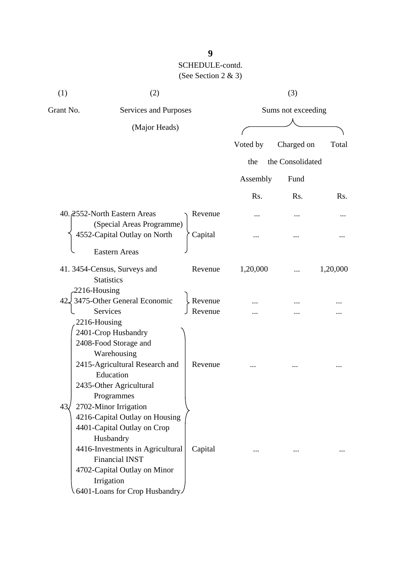| (1)                 | (2)                                                       |         |                    | (3)              |          |
|---------------------|-----------------------------------------------------------|---------|--------------------|------------------|----------|
| Grant No.           | Services and Purposes                                     |         | Sums not exceeding |                  |          |
|                     | (Major Heads)                                             |         |                    |                  |          |
|                     |                                                           |         | Voted by           | Charged on       | Total    |
|                     |                                                           |         | the                | the Consolidated |          |
|                     |                                                           |         | Assembly           | Fund             |          |
|                     |                                                           |         |                    |                  |          |
|                     |                                                           |         | Rs.                | Rs.              | Rs.      |
|                     | 40. 2552-North Eastern Areas<br>(Special Areas Programme) | Revenue |                    |                  |          |
|                     | 4552-Capital Outlay on North                              | Capital |                    |                  |          |
|                     | <b>Eastern Areas</b>                                      |         |                    |                  |          |
|                     | 41.3454-Census, Surveys and                               | Revenue | 1,20,000           |                  | 1,20,000 |
|                     | <b>Statistics</b>                                         |         |                    |                  |          |
| 2216-Housing<br>42. | 3475-Other General Economic                               | Revenue |                    |                  |          |
|                     | Services                                                  | Revenue |                    |                  |          |
|                     | 2216-Housing                                              |         |                    |                  |          |
|                     | 2401-Crop Husbandry                                       |         |                    |                  |          |
|                     | 2408-Food Storage and                                     |         |                    |                  |          |
|                     | Warehousing                                               |         |                    |                  |          |
|                     | 2415-Agricultural Research and                            | Revenue |                    |                  |          |
|                     | Education                                                 |         |                    |                  |          |
|                     | 2435-Other Agricultural                                   |         |                    |                  |          |
|                     | Programmes                                                |         |                    |                  |          |
| 43 <sub>4</sub>     | 2702-Minor Irrigation                                     |         |                    |                  |          |
|                     | 4216-Capital Outlay on Housing                            |         |                    |                  |          |
|                     | 4401-Capital Outlay on Crop                               |         |                    |                  |          |
|                     | Husbandry                                                 |         |                    |                  |          |
|                     | 4416-Investments in Agricultural                          | Capital |                    |                  |          |
|                     | <b>Financial INST</b>                                     |         |                    |                  |          |
|                     | 4702-Capital Outlay on Minor                              |         |                    |                  |          |
|                     | Irrigation                                                |         |                    |                  |          |
|                     | 6401-Loans for Crop Husbandry                             |         |                    |                  |          |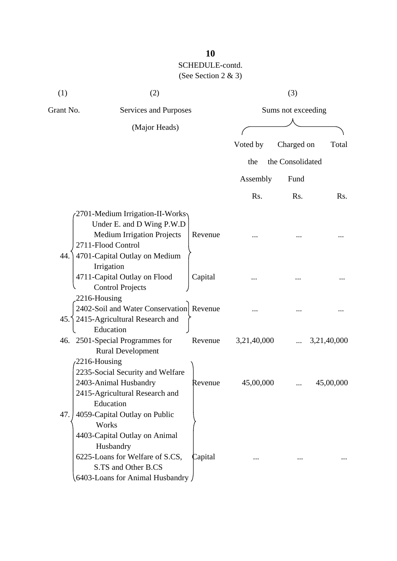| Grant No.<br>Services and Purposes<br>Sums not exceeding  |             |
|-----------------------------------------------------------|-------------|
| (Major Heads)                                             |             |
| Voted by<br>Charged on                                    | Total       |
| the Consolidated<br>the                                   |             |
|                                                           |             |
| Assembly<br>Fund                                          |             |
| Rs.<br>Rs.                                                | Rs.         |
| 2701-Medium Irrigation-II-Works                           |             |
| Under E. and D Wing P.W.D                                 |             |
| <b>Medium Irrigation Projects</b><br>Revenue              |             |
| 2711-Flood Control                                        |             |
| 4701-Capital Outlay on Medium<br>44.                      |             |
| Irrigation                                                |             |
| 4711-Capital Outlay on Flood<br>Capital                   |             |
| <b>Control Projects</b><br>2216-Housing                   |             |
| 2402-Soil and Water Conservation Revenue                  |             |
| 45. 2415-Agricultural Research and                        |             |
| Education                                                 |             |
| 46. 2501-Special Programmes for<br>3,21,40,000<br>Revenue | 3,21,40,000 |
| <b>Rural Development</b>                                  |             |
| $-2216$ -Housing                                          |             |
| 2235-Social Security and Welfare                          |             |
| 2403-Animal Husbandry<br>45,00,000<br>Revenue             | 45,00,000   |
| 2415-Agricultural Research and                            |             |
| Education                                                 |             |
| 4059-Capital Outlay on Public<br>47.                      |             |
| Works                                                     |             |
| 4403-Capital Outlay on Animal<br>Husbandry                |             |
| 6225-Loans for Welfare of S.CS,<br>Capital                |             |
| S.TS and Other B.CS                                       |             |
| 6403-Loans for Animal Husbandry /                         |             |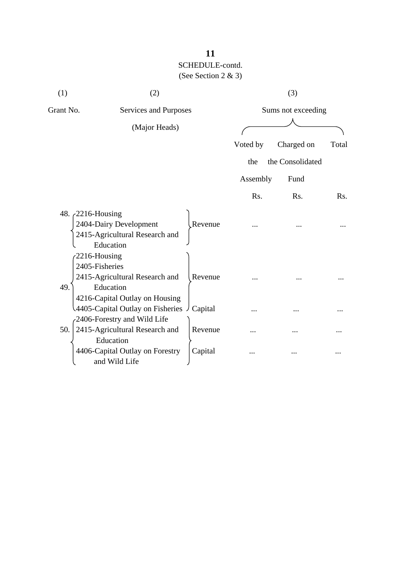| (1)                                   | (2)                                                                           |         |          | (3)                |       |  |
|---------------------------------------|-------------------------------------------------------------------------------|---------|----------|--------------------|-------|--|
| Grant No.                             | Services and Purposes                                                         |         |          | Sums not exceeding |       |  |
|                                       | (Major Heads)                                                                 |         |          |                    |       |  |
|                                       |                                                                               |         | Voted by | Charged on         | Total |  |
|                                       |                                                                               |         | the      | the Consolidated   |       |  |
|                                       |                                                                               |         | Assembly | Fund               |       |  |
|                                       |                                                                               |         | Rs.      | Rs.                | Rs.   |  |
| 48. 2216-Housing                      | 2404-Dairy Development<br>2415-Agricultural Research and<br>Education         | Revenue |          |                    |       |  |
| 2216-Housing<br>2405-Fisheries<br>49. | 2415-Agricultural Research and<br>Education<br>4216-Capital Outlay on Housing | Revenue |          |                    |       |  |
|                                       | 4405-Capital Outlay on Fisheries J Capital<br>-2406-Forestry and Wild Life    |         |          |                    |       |  |
| 50.                                   | 2415-Agricultural Research and<br>Education                                   | Revenue |          |                    |       |  |
|                                       | 4406-Capital Outlay on Forestry<br>and Wild Life                              | Capital |          |                    |       |  |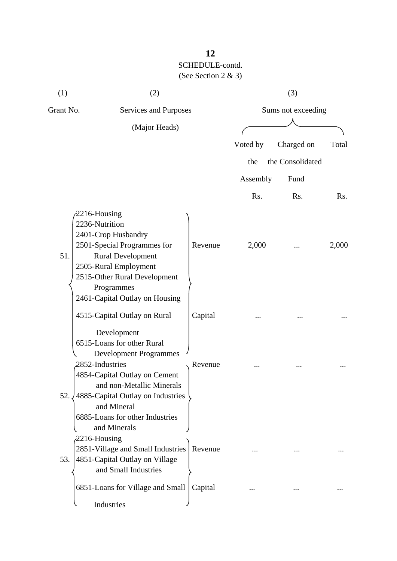| (1)       | (2)                                                                                                                                                                                                                       |         |                    | (3)              |              |  |
|-----------|---------------------------------------------------------------------------------------------------------------------------------------------------------------------------------------------------------------------------|---------|--------------------|------------------|--------------|--|
| Grant No. | Services and Purposes                                                                                                                                                                                                     |         | Sums not exceeding |                  |              |  |
|           | (Major Heads)                                                                                                                                                                                                             |         | Voted by           | Charged on       | Total        |  |
|           |                                                                                                                                                                                                                           |         | the                | the Consolidated |              |  |
|           |                                                                                                                                                                                                                           |         | Assembly           | Fund             |              |  |
|           |                                                                                                                                                                                                                           |         |                    |                  |              |  |
| 51.       | 2216-Housing<br>2236-Nutrition<br>2401-Crop Husbandry<br>2501-Special Programmes for<br><b>Rural Development</b><br>2505-Rural Employment<br>2515-Other Rural Development<br>Programmes<br>2461-Capital Outlay on Housing | Revenue | Rs.<br>2,000       | Rs.              | Rs.<br>2,000 |  |
|           | 4515-Capital Outlay on Rural<br>Development<br>6515-Loans for other Rural<br><b>Development Programmes</b>                                                                                                                | Capital |                    |                  |              |  |
| 52.       | 2852-Industries<br>4854-Capital Outlay on Cement<br>and non-Metallic Minerals<br>4885-Capital Outlay on Industries<br>and Mineral<br>6885-Loans for other Industries<br>and Minerals                                      | Revenue |                    |                  |              |  |
| 53.       | $2216$ -Housing<br>2851-Village and Small Industries<br>4851-Capital Outlay on Village<br>and Small Industries                                                                                                            | Revenue |                    |                  |              |  |
|           | 6851-Loans for Village and Small<br>Industries                                                                                                                                                                            | Capital |                    |                  |              |  |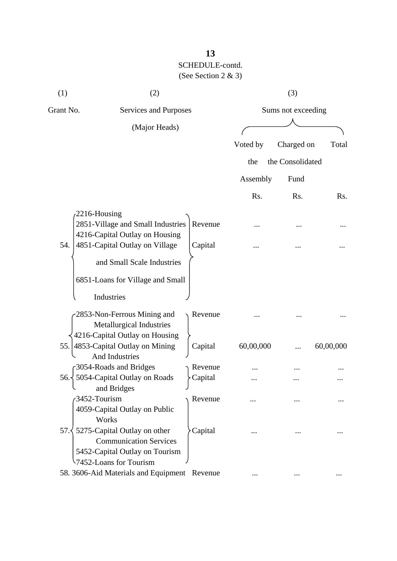| (1)       | (2)                                                                                                                     |         |                    | (3)              |                  |
|-----------|-------------------------------------------------------------------------------------------------------------------------|---------|--------------------|------------------|------------------|
| Grant No. | Services and Purposes                                                                                                   |         | Sums not exceeding |                  |                  |
|           | (Major Heads)                                                                                                           |         |                    |                  |                  |
|           |                                                                                                                         |         | Voted by           | Charged on       | Total            |
|           |                                                                                                                         |         | the                | the Consolidated |                  |
|           |                                                                                                                         |         | Assembly           | Fund             |                  |
|           |                                                                                                                         |         | Rs.                | Rs.              | R <sub>s</sub> . |
|           | $2216$ -Housing                                                                                                         |         |                    |                  |                  |
|           | 2851-Village and Small Industries                                                                                       | Revenue |                    |                  |                  |
| 54.       | 4216-Capital Outlay on Housing<br>4851-Capital Outlay on Village                                                        | Capital |                    |                  |                  |
|           | and Small Scale Industries                                                                                              |         |                    |                  |                  |
|           | 6851-Loans for Village and Small                                                                                        |         |                    |                  |                  |
|           | Industries                                                                                                              |         |                    |                  |                  |
|           | 2853-Non-Ferrous Mining and<br><b>Metallurgical Industries</b>                                                          | Revenue |                    |                  |                  |
| 55.1      | 4216-Capital Outlay on Housing<br>4853-Capital Outlay on Mining                                                         | Capital | 60,00,000          |                  | 60,00,000        |
|           | <b>And Industries</b>                                                                                                   |         |                    |                  |                  |
|           | 3054-Roads and Bridges                                                                                                  | Revenue |                    |                  |                  |
| 56.1      | 5054-Capital Outlay on Roads<br>and Bridges                                                                             | Capital |                    |                  |                  |
|           | 3452-Tourism<br>4059-Capital Outlay on Public<br>Works                                                                  | Revenue |                    |                  |                  |
| 57.3      | 5275-Capital Outlay on other<br><b>Communication Services</b><br>5452-Capital Outlay on Tourism<br>52-Loans for Tourism | Capital |                    |                  |                  |
|           | 58. 3606-Aid Materials and Equipment Revenue                                                                            |         |                    |                  |                  |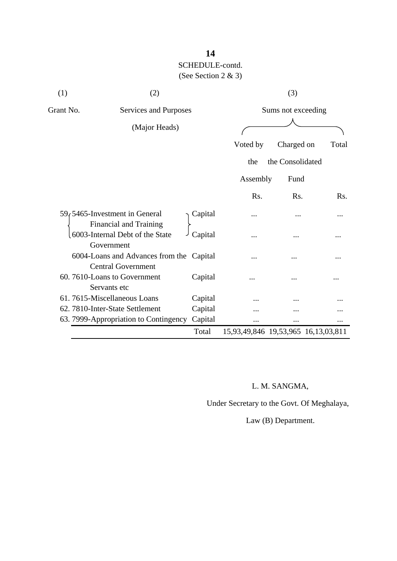| (1)       | (2)                                                                   |         |                                     | (3)                |       |
|-----------|-----------------------------------------------------------------------|---------|-------------------------------------|--------------------|-------|
| Grant No. | Services and Purposes                                                 |         |                                     | Sums not exceeding |       |
|           | (Major Heads)                                                         |         |                                     |                    |       |
|           |                                                                       |         | Voted by                            | Charged on         | Total |
|           |                                                                       |         | the                                 | the Consolidated   |       |
|           |                                                                       |         | Assembly                            | Fund               |       |
|           |                                                                       |         | Rs.                                 | Rs.                | Rs.   |
|           | 59, 5465-Investment in General<br><b>Financial and Training</b>       | Capital |                                     |                    |       |
|           | 6003-Internal Debt of the State<br>Government                         | Capital | .                                   |                    |       |
|           | 6004-Loans and Advances from the Capital<br><b>Central Government</b> |         |                                     |                    |       |
|           | 60.7610-Loans to Government<br>Servants etc                           | Capital |                                     |                    |       |
|           | 61.7615-Miscellaneous Loans                                           | Capital |                                     |                    |       |
|           | 62. 7810-Inter-State Settlement                                       | Capital |                                     |                    |       |
|           | 63. 7999-Appropriation to Contingency                                 | Capital | .                                   |                    |       |
|           |                                                                       | Total   | 15,93,49,846 19,53,965 16,13,03,811 |                    |       |

## L. M. SANGMA,

Under Secretary to the Govt. Of Meghalaya,

Law (B) Department.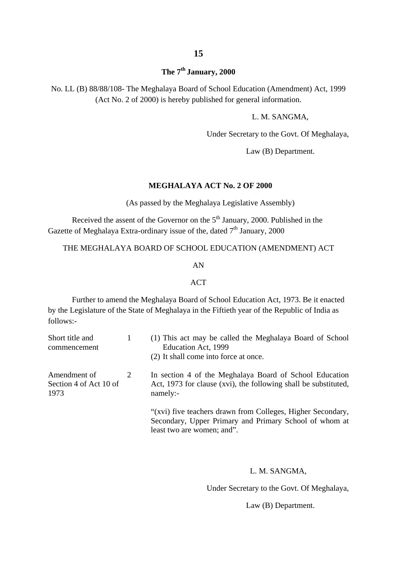## **The 7th January, 2000**

No. LL (B) 88/88/108- The Meghalaya Board of School Education (Amendment) Act, 1999 (Act No. 2 of 2000) is hereby published for general information.

L. M. SANGMA,

Under Secretary to the Govt. Of Meghalaya,

Law (B) Department.

#### **MEGHALAYA ACT No. 2 OF 2000**

(As passed by the Meghalaya Legislative Assembly)

Received the assent of the Governor on the  $5<sup>th</sup>$  January, 2000. Published in the Gazette of Meghalaya Extra-ordinary issue of the, dated  $7<sup>th</sup>$  January, 2000

#### THE MEGHALAYA BOARD OF SCHOOL EDUCATION (AMENDMENT) ACT

#### AN

#### **ACT**

Further to amend the Meghalaya Board of School Education Act, 1973. Be it enacted by the Legislature of the State of Meghalaya in the Fiftieth year of the Republic of India as follows:-

| Short title and<br>commencement                |   | (1) This act may be called the Meghalaya Board of School<br>Education Act, 1999<br>(2) It shall come into force at once.                            |
|------------------------------------------------|---|-----------------------------------------------------------------------------------------------------------------------------------------------------|
| Amendment of<br>Section 4 of Act 10 of<br>1973 | 2 | In section 4 of the Meghalaya Board of School Education<br>Act, 1973 for clause (xvi), the following shall be substituted,<br>namely:               |
|                                                |   | "(xvi) five teachers drawn from Colleges, Higher Secondary,<br>Secondary, Upper Primary and Primary School of whom at<br>least two are women; and". |

#### L. M. SANGMA,

Under Secretary to the Govt. Of Meghalaya,

Law (B) Department.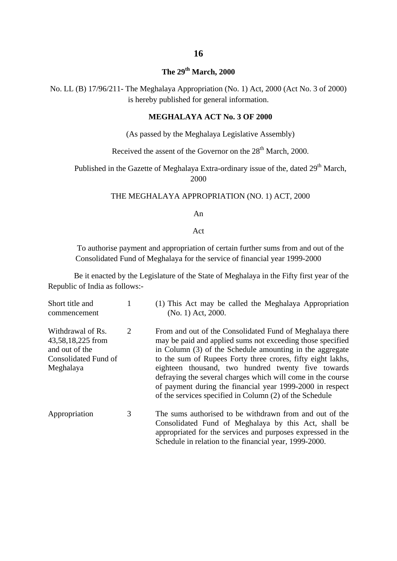## **The 29th March, 2000**

No. LL (B) 17/96/211- The Meghalaya Appropriation (No. 1) Act, 2000 (Act No. 3 of 2000) is hereby published for general information.

#### **MEGHALAYA ACT No. 3 OF 2000**

(As passed by the Meghalaya Legislative Assembly)

Received the assent of the Governor on the  $28<sup>th</sup>$  March, 2000.

Published in the Gazette of Meghalaya Extra-ordinary issue of the, dated 29<sup>th</sup> March, 2000

#### THE MEGHALAYA APPROPRIATION (NO. 1) ACT, 2000

An

Act

To authorise payment and appropriation of certain further sums from and out of the Consolidated Fund of Meghalaya for the service of financial year 1999-2000

Be it enacted by the Legislature of the State of Meghalaya in the Fifty first year of the Republic of India as follows:-

| Short title and<br>commencement                                                               |   | (1) This Act may be called the Meghalaya Appropriation<br>(No. 1) Act, 2000.                                                                                                                                                                                                                                                                                                                                                                                                                   |
|-----------------------------------------------------------------------------------------------|---|------------------------------------------------------------------------------------------------------------------------------------------------------------------------------------------------------------------------------------------------------------------------------------------------------------------------------------------------------------------------------------------------------------------------------------------------------------------------------------------------|
| Withdrawal of Rs.<br>43,58,18,225 from<br>and out of the<br>Consolidated Fund of<br>Meghalaya | 2 | From and out of the Consolidated Fund of Meghalaya there<br>may be paid and applied sums not exceeding those specified<br>in Column (3) of the Schedule amounting in the aggregate<br>to the sum of Rupees Forty three crores, fifty eight lakhs,<br>eighteen thousand, two hundred twenty five towards<br>defraying the several charges which will come in the course<br>of payment during the financial year 1999-2000 in respect<br>of the services specified in Column (2) of the Schedule |
| Appropriation                                                                                 | 3 | The sums authorised to be withdrawn from and out of the<br>Consolidated Fund of Meghalaya by this Act, shall be<br>appropriated for the services and purposes expressed in the                                                                                                                                                                                                                                                                                                                 |

Schedule in relation to the financial year, 1999-2000.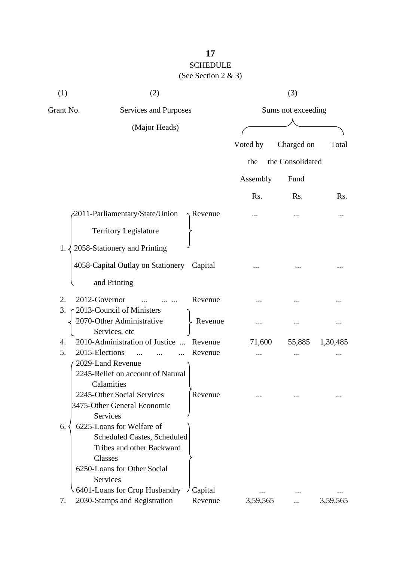## **17** SCHEDULE (See Section 2 & 3)

| (1)       | (2)                                                    |         |                    | (3)              |                  |  |
|-----------|--------------------------------------------------------|---------|--------------------|------------------|------------------|--|
| Grant No. | Services and Purposes                                  |         | Sums not exceeding |                  |                  |  |
|           | (Major Heads)                                          |         |                    |                  |                  |  |
|           |                                                        |         | Voted by           | Charged on       | Total            |  |
|           |                                                        |         | the                | the Consolidated |                  |  |
|           |                                                        |         | Assembly           | Fund             |                  |  |
|           |                                                        |         | Rs.                | Rs.              | R <sub>s</sub> . |  |
|           | 2011-Parliamentary/State/Union                         | Revenue |                    |                  |                  |  |
|           | <b>Territory Legislature</b>                           |         |                    |                  |                  |  |
| 1.        | 2058-Stationery and Printing                           |         |                    |                  |                  |  |
|           | 4058-Capital Outlay on Stationery Capital              |         |                    |                  |                  |  |
|           | and Printing                                           |         |                    |                  |                  |  |
| 2.        | 2012-Governor                                          | Revenue |                    |                  |                  |  |
| 3.        | 2013-Council of Ministers<br>2070-Other Administrative | Revenue |                    |                  |                  |  |
|           | Services, etc                                          |         |                    |                  |                  |  |
| 4.        | 2010-Administration of Justice<br>$\dddotsc$           | Revenue | 71,600             | 55,885           | 1,30,485         |  |
| 5.        | 2015-Elections                                         | Revenue |                    |                  |                  |  |
|           | 2029-Land Revenue                                      |         |                    |                  |                  |  |
|           | 2245-Relief on account of Natural                      |         |                    |                  |                  |  |
|           | Calamities                                             |         |                    |                  |                  |  |
|           | 2245-Other Social Services                             | Revenue |                    |                  |                  |  |
|           | 3475-Other General Economic                            |         |                    |                  |                  |  |
|           | Services                                               |         |                    |                  |                  |  |
| 6.        | 6225-Loans for Welfare of                              |         |                    |                  |                  |  |
|           | <b>Scheduled Castes, Scheduled</b>                     |         |                    |                  |                  |  |
|           | Tribes and other Backward                              |         |                    |                  |                  |  |
|           | Classes                                                |         |                    |                  |                  |  |
|           | 6250-Loans for Other Social                            |         |                    |                  |                  |  |
|           | Services                                               |         |                    |                  |                  |  |
|           | 6401-Loans for Crop Husbandry                          | Capital |                    |                  |                  |  |
| 7.        | 2030-Stamps and Registration                           | Revenue | 3,59,565           |                  | 3,59,565         |  |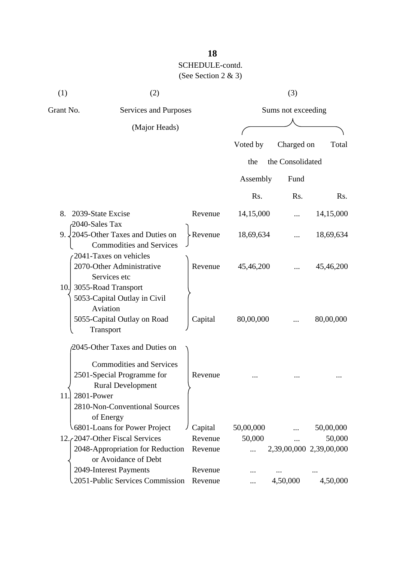## **18**

| (1) | (2)                                                                                                                                       |                    | (3)                |                         |           |  |
|-----|-------------------------------------------------------------------------------------------------------------------------------------------|--------------------|--------------------|-------------------------|-----------|--|
|     | Grant No.<br>Services and Purposes                                                                                                        |                    | Sums not exceeding |                         |           |  |
|     | (Major Heads)                                                                                                                             |                    |                    |                         |           |  |
|     |                                                                                                                                           |                    | Voted by           | Charged on              | Total     |  |
|     |                                                                                                                                           |                    | the                | the Consolidated        |           |  |
|     |                                                                                                                                           |                    | Assembly           | Fund                    |           |  |
|     |                                                                                                                                           |                    | Rs.                | R <sub>s</sub> .        | Rs.       |  |
| 8.  | 2039-State Excise<br>2040-Sales Tax                                                                                                       | Revenue            | 14,15,000          |                         | 14,15,000 |  |
| 9.  | 2045-Other Taxes and Duties on<br><b>Commodities and Services</b><br>2041-Taxes on vehicles                                               | $\angle$ Revenue   | 18,69,634          |                         | 18,69,634 |  |
| 10. | 2070-Other Administrative<br>Services etc<br>3055-Road Transport<br>5053-Capital Outlay in Civil                                          | Revenue            | 45,46,200          |                         | 45,46,200 |  |
|     | Aviation<br>5055-Capital Outlay on Road<br>Transport                                                                                      | Capital            | 80,00,000          |                         | 80,00,000 |  |
| 11. | 2045-Other Taxes and Duties on<br><b>Commodities and Services</b><br>2501-Special Programme for<br><b>Rural Development</b><br>2801-Power | Revenue            |                    |                         |           |  |
|     | 2810-Non-Conventional Sources<br>of Energy<br>6801-Loans for Power Project                                                                | Capital            | 50,00,000          |                         | 50,00,000 |  |
|     | 12. (2047-Other Fiscal Services<br>2048-Appropriation for Reduction<br>or Avoidance of Debt                                               | Revenue<br>Revenue | 50,000             | 2,39,00,000 2,39,00,000 | 50,000    |  |
|     | 2049-Interest Payments<br>2051-Public Services Commission                                                                                 | Revenue<br>Revenue |                    | 4,50,000                | 4,50,000  |  |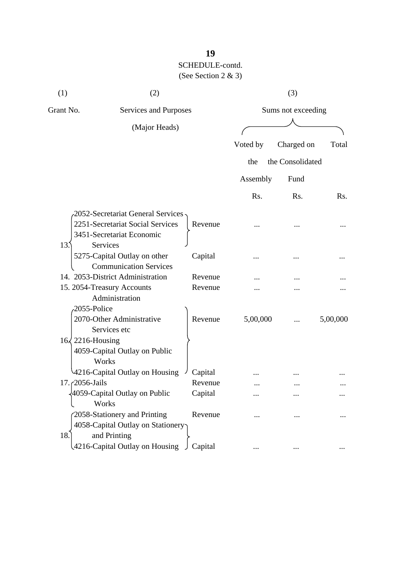| (1)                      | (2)                                                                                                 |         |          | (3)                |          |
|--------------------------|-----------------------------------------------------------------------------------------------------|---------|----------|--------------------|----------|
| Grant No.                | Services and Purposes                                                                               |         |          | Sums not exceeding |          |
|                          | (Major Heads)                                                                                       |         |          |                    |          |
|                          |                                                                                                     |         | Voted by | Charged on         | Total    |
|                          |                                                                                                     |         | the      | the Consolidated   |          |
|                          |                                                                                                     |         | Assembly | Fund               |          |
|                          |                                                                                                     |         | Rs.      | Rs.                | Rs.      |
|                          | -2052-Secretariat General Services<br>2251-Secretariat Social Services<br>3451-Secretariat Economic | Revenue |          |                    |          |
| 13.                      | Services<br>5275-Capital Outlay on other<br><b>Communication Services</b>                           | Capital |          |                    |          |
|                          | 14. 2053-District Administration                                                                    | Revenue |          |                    |          |
|                          | 15. 2054-Treasury Accounts                                                                          | Revenue |          |                    |          |
| 2055-Police              | Administration<br>2070-Other Administrative<br>Services etc                                         | Revenue | 5,00,000 |                    | 5,00,000 |
| $16\sqrt{2216}$ -Housing | 4059-Capital Outlay on Public<br>Works                                                              |         |          |                    |          |
|                          | 4216-Capital Outlay on Housing                                                                      | Capital |          |                    |          |
| $17.72056$ -Jails        |                                                                                                     | Revenue |          |                    |          |
|                          | 4059-Capital Outlay on Public<br>Works                                                              | Capital |          |                    |          |
| 18.                      | 2058-Stationery and Printing<br>4058-Capital Outlay on Stationery<br>and Printing                   | Revenue |          |                    |          |
|                          | 4216-Capital Outlay on Housing                                                                      | Capital |          |                    |          |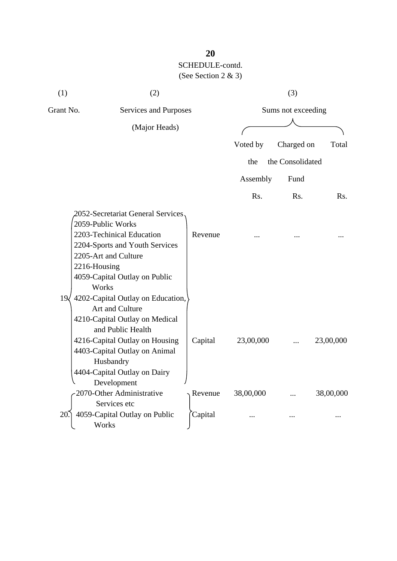| (1)       | (2)                                                                                                                                                                                                                                          |         | (3)                |                  |           |  |
|-----------|----------------------------------------------------------------------------------------------------------------------------------------------------------------------------------------------------------------------------------------------|---------|--------------------|------------------|-----------|--|
| Grant No. | Services and Purposes                                                                                                                                                                                                                        |         | Sums not exceeding |                  |           |  |
|           | (Major Heads)                                                                                                                                                                                                                                |         |                    |                  |           |  |
|           |                                                                                                                                                                                                                                              |         |                    |                  |           |  |
|           |                                                                                                                                                                                                                                              |         | Voted by           | Charged on       | Total     |  |
|           |                                                                                                                                                                                                                                              |         | the                | the Consolidated |           |  |
|           |                                                                                                                                                                                                                                              |         | Assembly           | Fund             |           |  |
|           |                                                                                                                                                                                                                                              |         | Rs.                | Rs.              | Rs.       |  |
| 19<       | 2052-Secretariat General Services<br>2059-Public Works<br>2203-Techinical Education<br>2204-Sports and Youth Services<br>2205-Art and Culture<br>2216-Housing<br>4059-Capital Outlay on Public<br>Works<br>4202-Capital Outlay on Education, | Revenue |                    |                  |           |  |
|           | Art and Culture<br>4210-Capital Outlay on Medical<br>and Public Health<br>4216-Capital Outlay on Housing<br>4403-Capital Outlay on Animal<br>Husbandry<br>4404-Capital Outlay on Dairy<br>Development                                        | Capital | 23,00,000          |                  | 23,00,000 |  |
|           | 2070-Other Administrative                                                                                                                                                                                                                    | Revenue | 38,00,000          |                  | 38,00,000 |  |
| 20        | Services etc<br>4059-Capital Outlay on Public<br>Works                                                                                                                                                                                       | Capital |                    |                  |           |  |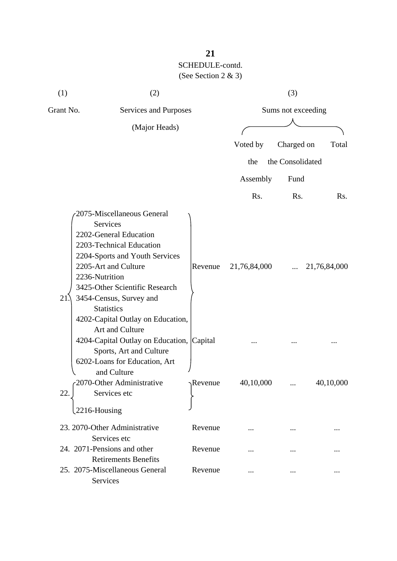| (1)       | (2)                                                                                                                                                                                                                                                                                                                                                                                                                         |                  |                    | (3)              |              |  |
|-----------|-----------------------------------------------------------------------------------------------------------------------------------------------------------------------------------------------------------------------------------------------------------------------------------------------------------------------------------------------------------------------------------------------------------------------------|------------------|--------------------|------------------|--------------|--|
| Grant No. | Services and Purposes                                                                                                                                                                                                                                                                                                                                                                                                       |                  | Sums not exceeding |                  |              |  |
|           | (Major Heads)                                                                                                                                                                                                                                                                                                                                                                                                               |                  |                    |                  |              |  |
|           |                                                                                                                                                                                                                                                                                                                                                                                                                             |                  | Voted by           | Charged on       | Total        |  |
|           |                                                                                                                                                                                                                                                                                                                                                                                                                             |                  | the                | the Consolidated |              |  |
|           |                                                                                                                                                                                                                                                                                                                                                                                                                             |                  | Assembly           | Fund             |              |  |
|           |                                                                                                                                                                                                                                                                                                                                                                                                                             |                  | Rs.                | Rs.              | Rs.          |  |
| 21.       | 2075-Miscellaneous General<br>Services<br>2202-General Education<br>2203-Technical Education<br>2204-Sports and Youth Services<br>2205-Art and Culture<br>2236-Nutrition<br>3425-Other Scientific Research<br>3454-Census, Survey and<br><b>Statistics</b><br>4202-Capital Outlay on Education,<br>Art and Culture<br>4204-Capital Outlay on Education, Capital<br>Sports, Art and Culture<br>6202-Loans for Education, Art | Revenue          | 21,76,84,000       |                  | 21,76,84,000 |  |
| 22.       | and Culture<br>2070-Other Administrative<br>Services etc                                                                                                                                                                                                                                                                                                                                                                    | $\sqrt{$ Revenue | 40,10,000          |                  | 40,10,000    |  |
|           | 2216-Housing                                                                                                                                                                                                                                                                                                                                                                                                                |                  |                    |                  |              |  |
|           | 23. 2070-Other Administrative<br>Services etc                                                                                                                                                                                                                                                                                                                                                                               | Revenue          |                    |                  |              |  |
|           | 24. 2071-Pensions and other<br><b>Retirements Benefits</b>                                                                                                                                                                                                                                                                                                                                                                  | Revenue          |                    |                  |              |  |
|           | 25. 2075-Miscellaneous General<br>Services                                                                                                                                                                                                                                                                                                                                                                                  | Revenue          |                    |                  |              |  |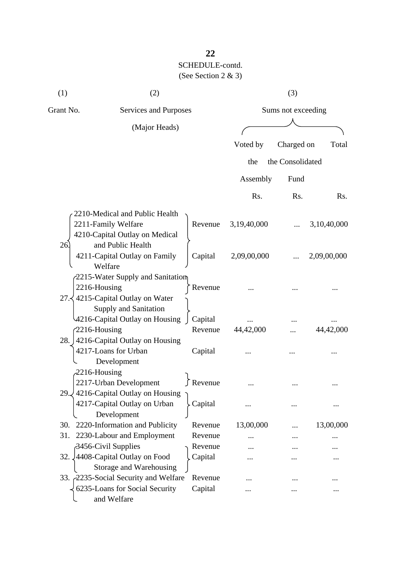| (1)       | (2)                                                                    |                    |                    | (3)              |             |
|-----------|------------------------------------------------------------------------|--------------------|--------------------|------------------|-------------|
| Grant No. | <b>Services and Purposes</b>                                           |                    | Sums not exceeding |                  |             |
|           | (Major Heads)                                                          |                    |                    |                  |             |
|           |                                                                        |                    | Voted by           | Charged on       | Total       |
|           |                                                                        |                    |                    |                  |             |
|           |                                                                        |                    | the                | the Consolidated |             |
|           |                                                                        |                    | Assembly           | Fund             |             |
|           |                                                                        |                    | Rs.                | Rs.              | Rs.         |
|           | 2210-Medical and Public Health                                         |                    |                    |                  |             |
|           | 2211-Family Welfare                                                    | Revenue            | 3,19,40,000        |                  | 3,10,40,000 |
|           | 4210-Capital Outlay on Medical                                         |                    |                    |                  |             |
| 26        | and Public Health                                                      |                    |                    |                  |             |
|           | 4211-Capital Outlay on Family                                          | Capital            | 2,09,00,000        |                  | 2,09,00,000 |
|           | Welfare                                                                |                    |                    |                  |             |
|           | 2215-Water Supply and Sanitation                                       |                    |                    |                  |             |
|           | 2216-Housing<br>27. 4215-Capital Outlay on Water                       | Revenue            |                    |                  |             |
|           | Supply and Sanitation                                                  |                    |                    |                  |             |
|           | 4216-Capital Outlay on Housing                                         | Capital            |                    |                  |             |
|           | $2216$ -Housing                                                        | Revenue            | 44,42,000          |                  | 44,42,000   |
|           | 28. 4216-Capital Outlay on Housing                                     |                    |                    |                  |             |
|           | 4217-Loans for Urban                                                   | Capital            |                    |                  |             |
|           | Development                                                            |                    |                    |                  |             |
|           | $2216$ -Housing                                                        |                    |                    |                  |             |
|           | 2217-Urban Development                                                 | Revenue            |                    |                  |             |
|           | 29. 4216-Capital Outlay on Housing                                     |                    |                    |                  |             |
|           | 4217-Capital Outlay on Urban                                           | Capital            |                    |                  |             |
|           | Development                                                            |                    |                    |                  |             |
| 30.       | 2220-Information and Publicity                                         | Revenue            | 13,00,000          |                  | 13,00,000   |
| 31.       | 2230-Labour and Employment                                             | Revenue            |                    |                  |             |
|           | 3456-Civil Supplies                                                    | Revenue            |                    |                  |             |
|           | 32. 4408-Capital Outlay on Food                                        | Capital            |                    |                  |             |
|           | Storage and Warehousing                                                |                    |                    |                  |             |
|           | 33. 2235-Social Security and Welfare<br>6235-Loans for Social Security | Revenue<br>Capital |                    |                  |             |
|           | and Welfare                                                            |                    |                    |                  |             |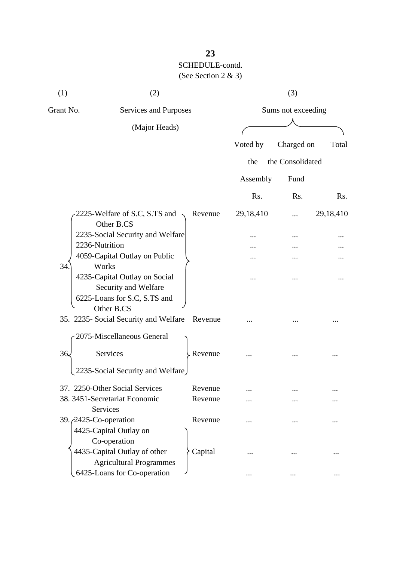| (1)       | (2)                                                                                   |         |                    | (3)              |           |  |
|-----------|---------------------------------------------------------------------------------------|---------|--------------------|------------------|-----------|--|
| Grant No. | <b>Services and Purposes</b>                                                          |         | Sums not exceeding |                  |           |  |
|           | (Major Heads)                                                                         |         |                    |                  |           |  |
|           |                                                                                       |         | Voted by           | Charged on       | Total     |  |
|           |                                                                                       |         | the                | the Consolidated |           |  |
|           |                                                                                       |         | Assembly           | Fund             |           |  |
|           |                                                                                       |         | Rs.                | Rs.              | Rs.       |  |
|           | 2225-Welfare of S.C, S.TS and<br>Other B.CS                                           | Revenue | 29,18,410          |                  | 29,18,410 |  |
|           | 2235-Social Security and Welfare                                                      |         |                    |                  |           |  |
|           | 2236-Nutrition                                                                        |         |                    |                  |           |  |
| 34.       | 4059-Capital Outlay on Public<br>Works                                                |         |                    |                  |           |  |
|           | 4235-Capital Outlay on Social<br>Security and Welfare<br>6225-Loans for S.C, S.TS and |         |                    |                  |           |  |
|           | Other B.CS<br>35. 2235- Social Security and Welfare                                   | Revenue |                    |                  |           |  |
|           | 2075-Miscellaneous General                                                            |         |                    |                  |           |  |
| 36.       | Services                                                                              | Revenue |                    |                  |           |  |
|           | 2235-Social Security and Welfare                                                      |         |                    |                  |           |  |
|           | 37. 2250-Other Social Services                                                        | Revenue |                    |                  |           |  |
|           | 38. 3451-Secretariat Economic<br>Services                                             | Revenue |                    |                  |           |  |
|           | 39. <i>(2425-Co-operation</i> )<br>4425-Capital Outlay on<br>Co-operation             | Revenue |                    |                  | .         |  |
|           | 4435-Capital Outlay of other<br><b>Agricultural Programmes</b>                        | Capital |                    |                  |           |  |
|           | 6425-Loans for Co-operation                                                           |         | $\cdots$           |                  |           |  |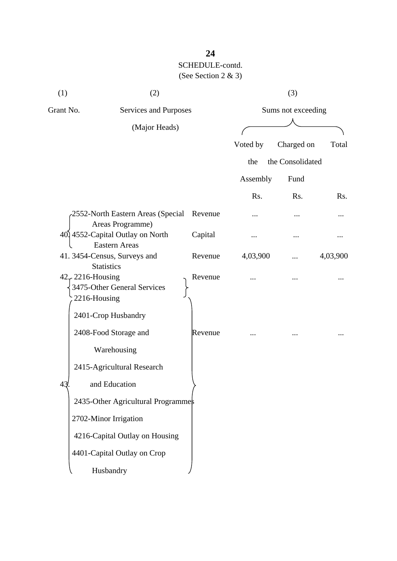| (1)<br>(2)                              |                                                          | (3)     |                    |                  |          |
|-----------------------------------------|----------------------------------------------------------|---------|--------------------|------------------|----------|
| Grant No.                               | Services and Purposes                                    |         | Sums not exceeding |                  |          |
|                                         | (Major Heads)                                            |         |                    |                  |          |
|                                         |                                                          |         | Voted by           | Charged on       | Total    |
|                                         |                                                          |         | the                | the Consolidated |          |
|                                         |                                                          |         | Assembly           | Fund             |          |
|                                         |                                                          |         | Rs.                | Rs.              | Rs.      |
|                                         | -2552-North Eastern Areas (Special<br>Areas Programme)   | Revenue |                    |                  |          |
|                                         | 40, 4552-Capital Outlay on North<br><b>Eastern Areas</b> | Capital |                    |                  |          |
|                                         | 41. 3454-Census, Surveys and<br><b>Statistics</b>        | Revenue | 4,03,900           | .                | 4,03,900 |
| $42 \div 2216$ -Housing<br>2216-Housing | 3475-Other General Services                              | Revenue |                    |                  |          |
|                                         | 2401-Crop Husbandry                                      |         |                    |                  |          |
|                                         | 2408-Food Storage and<br>Warehousing                     | Revenue |                    |                  |          |
|                                         | 2415-Agricultural Research                               |         |                    |                  |          |
| 43                                      | and Education                                            |         |                    |                  |          |
|                                         | 2435-Other Agricultural Programmes                       |         |                    |                  |          |
|                                         | 2702-Minor Irrigation                                    |         |                    |                  |          |
|                                         | 4216-Capital Outlay on Housing                           |         |                    |                  |          |
|                                         | 4401-Capital Outlay on Crop                              |         |                    |                  |          |
|                                         | Husbandry                                                |         |                    |                  |          |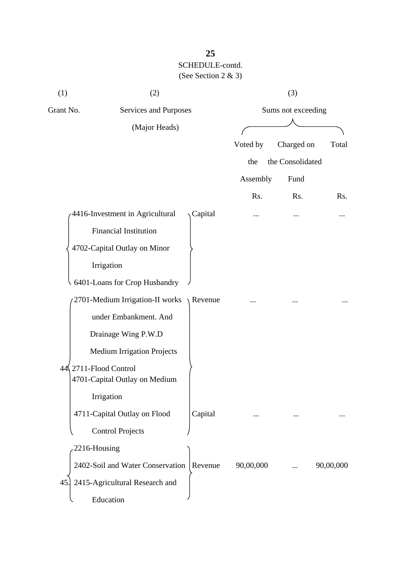| (1)           | (2)                                                 |         | (3)                |                  |           |
|---------------|-----------------------------------------------------|---------|--------------------|------------------|-----------|
| Grant No.     | Services and Purposes                               |         | Sums not exceeding |                  |           |
| (Major Heads) |                                                     |         |                    |                  |           |
|               |                                                     |         | Voted by           | Charged on       | Total     |
|               |                                                     |         | the                | the Consolidated |           |
|               |                                                     |         | Assembly           | Fund             |           |
|               |                                                     |         | Rs.                | Rs.              | Rs.       |
|               | 4416-Investment in Agricultural                     | Capital | $\cdots$           |                  |           |
|               | Financial Institution                               |         |                    |                  |           |
|               | 4702-Capital Outlay on Minor                        |         |                    |                  |           |
|               | Irrigation                                          |         |                    |                  |           |
|               | 6401-Loans for Crop Husbandry                       |         |                    |                  |           |
|               | 2701-Medium Irrigation-II works                     | Revenue |                    |                  |           |
|               | under Embankment. And                               |         |                    |                  |           |
|               | Drainage Wing P.W.D                                 |         |                    |                  |           |
|               | <b>Medium Irrigation Projects</b>                   |         |                    |                  |           |
| 44)           | 2711-Flood Control<br>4701-Capital Outlay on Medium |         |                    |                  |           |
|               | Irrigation                                          |         |                    |                  |           |
|               | 4711-Capital Outlay on Flood                        | Capital |                    |                  |           |
|               | <b>Control Projects</b>                             |         |                    |                  |           |
|               | 2216-Housing                                        |         |                    |                  |           |
|               | 2402-Soil and Water Conservation                    | Revenue | 90,00,000          |                  | 90,00,000 |
| 45            | 2415-Agricultural Research and                      |         |                    |                  |           |
|               | Education                                           |         |                    |                  |           |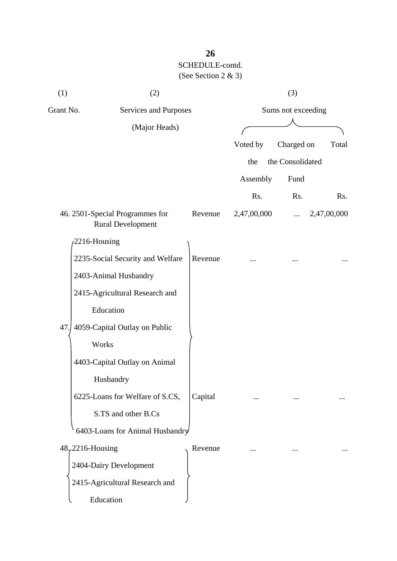| (1)                                | (2)                                                         | (3)                |             |                  |             |
|------------------------------------|-------------------------------------------------------------|--------------------|-------------|------------------|-------------|
| Grant No.<br>Services and Purposes |                                                             | Sums not exceeding |             |                  |             |
| (Major Heads)                      |                                                             |                    |             |                  |             |
|                                    |                                                             |                    | Voted by    | Charged on       | Total       |
|                                    |                                                             |                    | the         | the Consolidated |             |
|                                    |                                                             |                    | Assembly    | Fund             |             |
|                                    |                                                             |                    | Rs.         | Rs.              | Rs.         |
|                                    | 46. 2501-Special Programmes for<br><b>Rural Development</b> | Revenue            | 2,47,00,000 |                  | 2,47,00,000 |
|                                    | 2216-Housing                                                |                    |             |                  |             |
|                                    | 2235-Social Security and Welfare                            | Revenue            |             |                  |             |
|                                    | 2403-Animal Husbandry                                       |                    |             |                  |             |
|                                    | 2415-Agricultural Research and                              |                    |             |                  |             |
|                                    | Education                                                   |                    |             |                  |             |
| 47.                                | 4059-Capital Outlay on Public                               |                    |             |                  |             |
|                                    | Works                                                       |                    |             |                  |             |
|                                    | 4403-Capital Outlay on Animal                               |                    |             |                  |             |
|                                    | Husbandry                                                   |                    |             |                  |             |
|                                    | 6225-Loans for Welfare of S.CS,                             | Capital            |             |                  |             |
|                                    | S.TS and other B.Cs                                         |                    |             |                  |             |
|                                    | 6403-Loans for Animal Husbandry                             |                    |             |                  |             |
|                                    | $48,2216$ -Housing                                          | Revenue            |             |                  |             |
|                                    | 2404-Dairy Development                                      |                    |             |                  |             |
|                                    | 2415-Agricultural Research and                              |                    |             |                  |             |
|                                    | Education                                                   |                    |             |                  |             |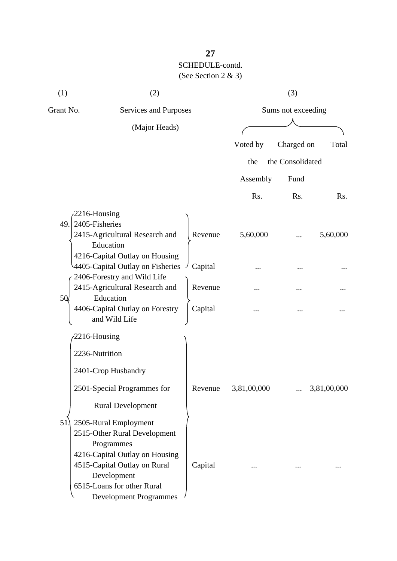| (1)  | (2)                                                                                                            | (3)     |                    |                  |             |
|------|----------------------------------------------------------------------------------------------------------------|---------|--------------------|------------------|-------------|
|      | Grant No.<br>Services and Purposes                                                                             |         | Sums not exceeding |                  |             |
|      | (Major Heads)                                                                                                  |         |                    |                  |             |
|      |                                                                                                                |         | Voted by           | Charged on       | Total       |
|      |                                                                                                                |         | the                | the Consolidated |             |
|      |                                                                                                                |         | Assembly           | Fund             |             |
|      |                                                                                                                |         | Rs.                | Rs.              | Rs.         |
| 49.1 | 2216-Housing<br>2405-Fisheries<br>2415-Agricultural Research and                                               | Revenue | 5,60,000           |                  | 5,60,000    |
|      | Education<br>4216-Capital Outlay on Housing<br>4405-Capital Outlay on Fisheries<br>2406-Forestry and Wild Life | Capital |                    |                  |             |
| 50   | 2415-Agricultural Research and<br>Education                                                                    | Revenue |                    |                  |             |
|      | 4406-Capital Outlay on Forestry<br>and Wild Life                                                               | Capital |                    |                  |             |
|      | 2216-Housing                                                                                                   |         |                    |                  |             |
|      | 2236-Nutrition                                                                                                 |         |                    |                  |             |
|      | 2401-Crop Husbandry                                                                                            |         |                    |                  |             |
|      | 2501-Special Programmes for                                                                                    | Revenue | 3,81,00,000        |                  | 3,81,00,000 |
|      | <b>Rural Development</b>                                                                                       |         |                    |                  |             |
| 51   | 2505-Rural Employment<br>2515-Other Rural Development<br>Programmes<br>4216-Capital Outlay on Housing          |         |                    |                  |             |
|      | 4515-Capital Outlay on Rural<br>Development<br>6515-Loans for other Rural<br><b>Development Programmes</b>     | Capital |                    |                  |             |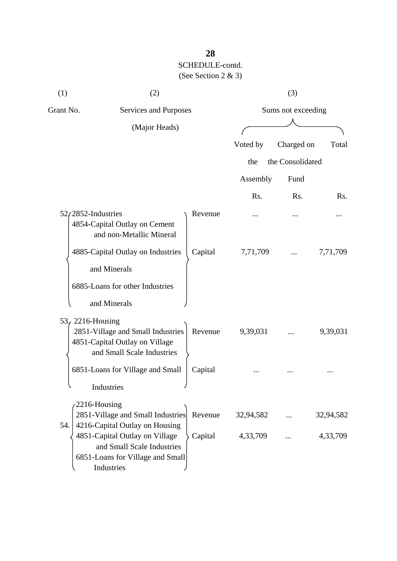| (1)                   | (2)                                                                                                            |         | (3)                |                  |           |  |
|-----------------------|----------------------------------------------------------------------------------------------------------------|---------|--------------------|------------------|-----------|--|
| Grant No.             | Services and Purposes                                                                                          |         | Sums not exceeding |                  |           |  |
|                       | (Major Heads)                                                                                                  |         |                    |                  |           |  |
|                       |                                                                                                                |         | Voted by           | Charged on       | Total     |  |
|                       |                                                                                                                |         | the                | the Consolidated |           |  |
|                       |                                                                                                                |         | Assembly           | Fund             |           |  |
|                       |                                                                                                                |         | Rs.                | Rs.              | Rs.       |  |
| $52/2852$ -Industries | 4854-Capital Outlay on Cement<br>and non-Metallic Mineral                                                      | Revenue |                    |                  |           |  |
|                       | 4885-Capital Outlay on Industries                                                                              | Capital | 7,71,709           |                  | 7,71,709  |  |
|                       | and Minerals                                                                                                   |         |                    |                  |           |  |
|                       | 6885-Loans for other Industries                                                                                |         |                    |                  |           |  |
|                       | and Minerals                                                                                                   |         |                    |                  |           |  |
| 53, 2216-Housing      | 2851-Village and Small Industries<br>4851-Capital Outlay on Village<br>and Small Scale Industries              | Revenue | 9,39,031           |                  | 9,39,031  |  |
|                       | 6851-Loans for Village and Small<br>Industries                                                                 | Capital |                    |                  |           |  |
| 54.                   | 2216-Housing<br>2851-Village and Small Industries<br>4216-Capital Outlay on Housing                            | Revenue | 32,94,582          |                  | 32,94,582 |  |
|                       | 4851-Capital Outlay on Village<br>and Small Scale Industries<br>6851-Loans for Village and Small<br>Industries | Capital | 4,33,709           |                  | 4,33,709  |  |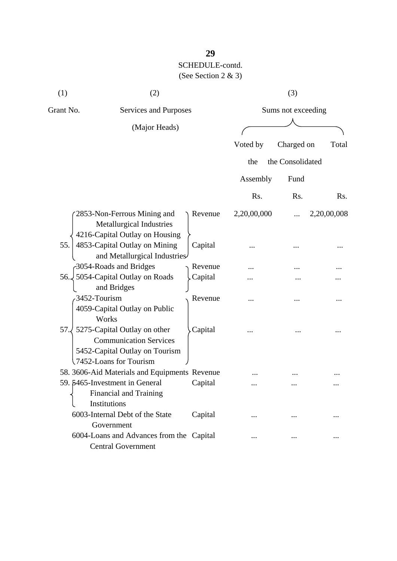| (1)       | (2)                                                                                                                       |         | (3)                |                  |             |  |
|-----------|---------------------------------------------------------------------------------------------------------------------------|---------|--------------------|------------------|-------------|--|
| Grant No. | Services and Purposes<br>(Major Heads)                                                                                    |         | Sums not exceeding |                  |             |  |
|           |                                                                                                                           |         |                    |                  |             |  |
|           |                                                                                                                           |         | Voted by           | Charged on       | Total       |  |
|           |                                                                                                                           |         | the                | the Consolidated |             |  |
|           |                                                                                                                           |         | Assembly           | Fund             |             |  |
|           |                                                                                                                           |         | Rs.                | Rs.              | Rs.         |  |
|           | 2853-Non-Ferrous Mining and<br>Metallurgical Industries<br>4216-Capital Outlay on Housing                                 | Revenue | 2,20,00,000        |                  | 2,20,00,008 |  |
| 55.       | 4853-Capital Outlay on Mining<br>and Metallurgical Industries                                                             | Capital |                    |                  |             |  |
|           | 3054-Roads and Bridges                                                                                                    | Revenue |                    |                  |             |  |
| 56.       | 5054-Capital Outlay on Roads<br>and Bridges                                                                               | Capital |                    |                  |             |  |
|           | 3452-Tourism<br>4059-Capital Outlay on Public<br>Works                                                                    | Revenue |                    |                  |             |  |
| 57.       | 5275-Capital Outlay on other<br><b>Communication Services</b><br>5452-Capital Outlay on Tourism<br>7452-Loans for Tourism | Capital |                    |                  |             |  |
|           | 58. 3606-Aid Materials and Equipments Revenue                                                                             |         |                    |                  |             |  |
|           | 59. 5465-Investment in General<br><b>Financial and Training</b><br>Institutions                                           | Capital |                    |                  |             |  |
|           | 6003-Internal Debt of the State<br>Government                                                                             | Capital |                    |                  |             |  |
|           | 6004-Loans and Advances from the Capital<br><b>Central Government</b>                                                     |         | $\cdots$           |                  |             |  |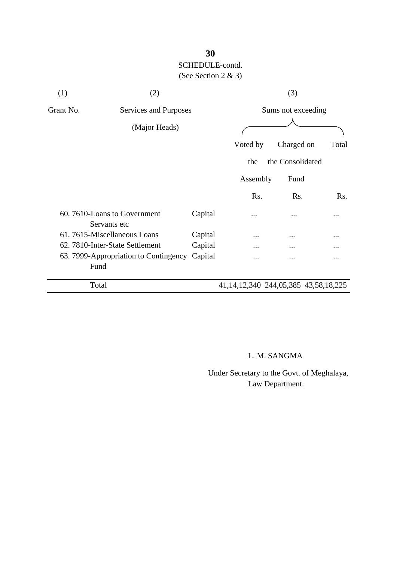| (1)       | (2)                                         |         | (3)                                          |                    |       |
|-----------|---------------------------------------------|---------|----------------------------------------------|--------------------|-------|
| Grant No. | Services and Purposes                       |         |                                              | Sums not exceeding |       |
|           | (Major Heads)                               |         |                                              |                    |       |
|           |                                             |         |                                              |                    |       |
|           |                                             |         | Voted by                                     | Charged on         | Total |
|           |                                             |         | the                                          | the Consolidated   |       |
|           |                                             |         | Assembly                                     | Fund               |       |
|           |                                             |         | Rs.                                          | Rs.                | Rs.   |
|           | 60.7610-Loans to Government<br>Servants etc | Capital | .                                            | .                  |       |
|           | 61.7615-Miscellaneous Loans                 | Capital | .                                            |                    |       |
|           | 62. 7810-Inter-State Settlement             | Capital |                                              |                    |       |
|           | 63. 7999-Appropriation to Contingency       | Capital |                                              |                    |       |
|           | Fund                                        |         |                                              |                    |       |
|           | Total                                       |         | 41, 14, 12, 340 244, 05, 385 43, 58, 18, 225 |                    |       |

## L. M. SANGMA

 Under Secretary to the Govt. of Meghalaya, Law Department.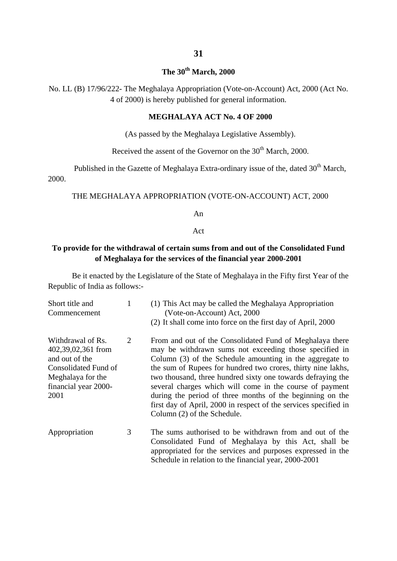#### **The 30th March, 2000**

No. LL (B) 17/96/222- The Meghalaya Appropriation (Vote-on-Account) Act, 2000 (Act No. 4 of 2000) is hereby published for general information.

#### **MEGHALAYA ACT No. 4 OF 2000**

(As passed by the Meghalaya Legislative Assembly).

Received the assent of the Governor on the  $30<sup>th</sup>$  March, 2000.

Published in the Gazette of Meghalaya Extra-ordinary issue of the, dated  $30<sup>th</sup>$  March, 2000.

#### THE MEGHALAYA APPROPRIATION (VOTE-ON-ACCOUNT) ACT, 2000

An

#### Act

#### **To provide for the withdrawal of certain sums from and out of the Consolidated Fund of Meghalaya for the services of the financial year 2000-2001**

Be it enacted by the Legislature of the State of Meghalaya in the Fifty first Year of the Republic of India as follows:-

| Short title and<br>Commencement                                                                                                        | 1 | (1) This Act may be called the Meghalaya Appropriation<br>(Vote-on-Account) Act, 2000<br>(2) It shall come into force on the first day of April, 2000                                                                                                                                                                                                                                                                                                                                                                                     |
|----------------------------------------------------------------------------------------------------------------------------------------|---|-------------------------------------------------------------------------------------------------------------------------------------------------------------------------------------------------------------------------------------------------------------------------------------------------------------------------------------------------------------------------------------------------------------------------------------------------------------------------------------------------------------------------------------------|
| Withdrawal of Rs.<br>402,39,02,361 from<br>and out of the<br>Consolidated Fund of<br>Meghalaya for the<br>financial year 2000-<br>2001 | 2 | From and out of the Consolidated Fund of Meghalaya there<br>may be withdrawn sums not exceeding those specified in<br>Column (3) of the Schedule amounting in the aggregate to<br>the sum of Rupees for hundred two crores, thirty nine lakhs,<br>two thousand, three hundred sixty one towards defraying the<br>several charges which will come in the course of payment<br>during the period of three months of the beginning on the<br>first day of April, 2000 in respect of the services specified in<br>Column (2) of the Schedule. |
| Appropriation                                                                                                                          | 3 | The sums authorised to be withdrawn from and out of the<br>Consolidated Fund of Meghalaya by this Act, shall be<br>appropriated for the services and purposes expressed in the                                                                                                                                                                                                                                                                                                                                                            |

Schedule in relation to the financial year, 2000-2001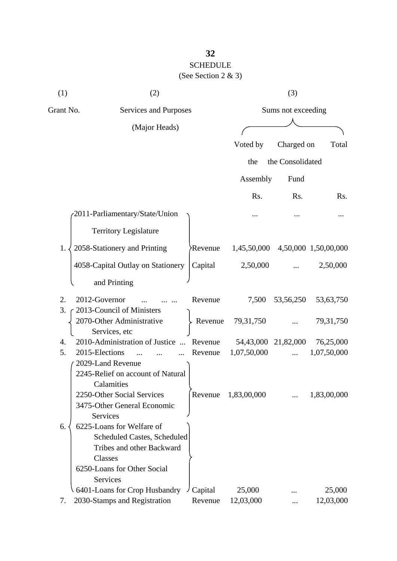## **32** SCHEDULE (See Section 2 & 3)

| (1) | (2)                                                                                                                                                | (3)                |                     |                  |                      |  |
|-----|----------------------------------------------------------------------------------------------------------------------------------------------------|--------------------|---------------------|------------------|----------------------|--|
|     | Grant No.<br>Services and Purposes                                                                                                                 |                    | Sums not exceeding  |                  |                      |  |
|     | (Major Heads)                                                                                                                                      |                    |                     |                  |                      |  |
|     |                                                                                                                                                    |                    | Voted by            | Charged on       | Total                |  |
|     |                                                                                                                                                    |                    | the                 | the Consolidated |                      |  |
|     |                                                                                                                                                    |                    |                     |                  |                      |  |
|     |                                                                                                                                                    |                    | Assembly            | Fund             |                      |  |
|     |                                                                                                                                                    |                    | Rs.                 | Rs.              | Rs.                  |  |
|     | 2011-Parliamentary/State/Union                                                                                                                     |                    |                     |                  |                      |  |
|     | <b>Territory Legislature</b>                                                                                                                       |                    |                     |                  |                      |  |
| 1.  | 2058-Stationery and Printing                                                                                                                       | <b>Revenue</b>     | 1,45,50,000         |                  | 4,50,000 1,50,00,000 |  |
|     | 4058-Capital Outlay on Stationery                                                                                                                  | Capital            | 2,50,000            |                  | 2,50,000             |  |
|     | and Printing                                                                                                                                       |                    |                     |                  |                      |  |
| 2.  | 2012-Governor                                                                                                                                      | Revenue            | 7,500               | 53, 56, 250      | 53,63,750            |  |
| 3.  | 2013-Council of Ministers<br>2070-Other Administrative                                                                                             | Revenue            | 79, 31, 750         |                  | 79, 31, 750          |  |
| 4.  | Services, etc<br>2010-Administration of Justice<br>$\dddotsc$                                                                                      | Revenue            | 54,43,000           | 21,82,000        | 76,25,000            |  |
| 5.  | 2015-Elections                                                                                                                                     | Revenue            | 1,07,50,000         | .                | 1,07,50,000          |  |
|     | 2029-Land Revenue<br>2245-Relief on account of Natural<br>Calamities<br>2250-Other Social Services<br>3475-Other General Economic<br>Services      | Revenue            | 1,83,00,000         |                  | 1,83,00,000          |  |
| 6.  | 6225-Loans for Welfare of<br><b>Scheduled Castes, Scheduled</b><br>Tribes and other Backward<br>Classes<br>6250-Loans for Other Social<br>Services |                    |                     |                  |                      |  |
| 7.  | 6401-Loans for Crop Husbandry<br>2030-Stamps and Registration                                                                                      | Capital<br>Revenue | 25,000<br>12,03,000 |                  | 25,000<br>12,03,000  |  |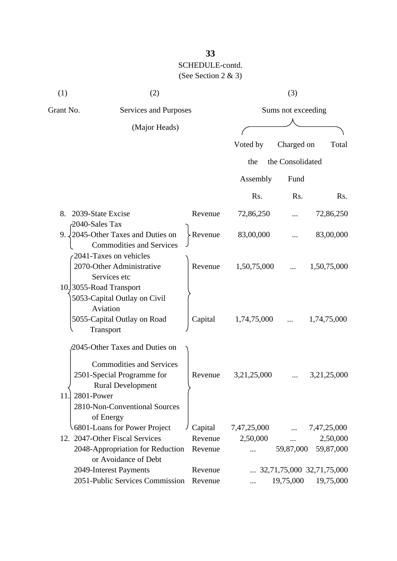| (1)       | (2)                                                                                                             |         | (3)                |                  |                           |  |
|-----------|-----------------------------------------------------------------------------------------------------------------|---------|--------------------|------------------|---------------------------|--|
| Grant No. | Services and Purposes                                                                                           |         | Sums not exceeding |                  |                           |  |
|           | (Major Heads)                                                                                                   |         |                    |                  |                           |  |
|           |                                                                                                                 |         | Voted by           | Charged on       | Total                     |  |
|           |                                                                                                                 |         | the                | the Consolidated |                           |  |
|           |                                                                                                                 |         | Assembly           | Fund             |                           |  |
|           |                                                                                                                 |         | Rs.                | Rs.              | Rs.                       |  |
|           |                                                                                                                 |         |                    |                  |                           |  |
| 8.        | 2039-State Excise<br>2040-Sales Tax                                                                             | Revenue | 72,86,250          |                  | 72,86,250                 |  |
|           | 9. $\sqrt{2045}$ -Other Taxes and Duties on<br><b>Commodities and Services</b>                                  | Revenue | 83,00,000          |                  | 83,00,000                 |  |
|           | 2041-Taxes on vehicles<br>2070-Other Administrative<br>Services etc                                             | Revenue | 1,50,75,000        |                  | 1,50,75,000               |  |
|           | 10. 3055-Road Transport<br>5053-Capital Outlay on Civil<br>Aviation<br>5055-Capital Outlay on Road<br>Transport | Capital | 1,74,75,000        |                  | 1,74,75,000               |  |
|           | 2045-Other Taxes and Duties on<br><b>Commodities and Services</b>                                               |         |                    |                  |                           |  |
| 11.       | 2501-Special Programme for<br><b>Rural Development</b><br>2801-Power<br>2810-Non-Conventional Sources           | Revenue | 3,21,25,000        |                  | 3,21,25,000               |  |
|           | of Energy<br>6801-Loans for Power Project                                                                       | Capital | 7,47,25,000        |                  | 7,47,25,000               |  |
|           | 12. 2047-Other Fiscal Services                                                                                  | Revenue | 2,50,000           |                  | 2,50,000                  |  |
|           | 2048-Appropriation for Reduction<br>or Avoidance of Debt                                                        | Revenue |                    | 59,87,000        | 59,87,000                 |  |
|           | 2049-Interest Payments                                                                                          | Revenue |                    |                  | 32,71,75,000 32,71,75,000 |  |
|           | 2051-Public Services Commission                                                                                 | Revenue |                    | 19,75,000        | 19,75,000                 |  |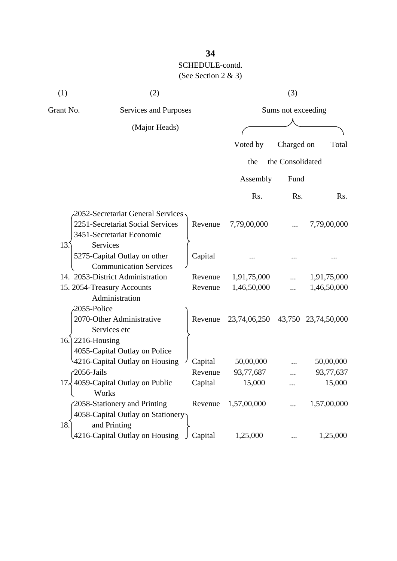| (1)             | (2)                                    |         |                     | (3)              |                     |
|-----------------|----------------------------------------|---------|---------------------|------------------|---------------------|
| Grant No.       | Services and Purposes                  |         | Sums not exceeding  |                  |                     |
|                 | (Major Heads)                          |         |                     |                  |                     |
|                 |                                        |         |                     |                  |                     |
|                 |                                        |         | Voted by            | Charged on       | Total               |
|                 |                                        |         | the                 | the Consolidated |                     |
|                 |                                        |         | Assembly            | Fund             |                     |
|                 |                                        |         | Rs.                 | Rs.              | Rs.                 |
|                 | 2052-Secretariat General Services,     |         |                     |                  |                     |
|                 | 2251-Secretariat Social Services       | Revenue | 7,79,00,000         |                  | 7,79,00,000         |
|                 | 3451-Secretariat Economic              |         |                     |                  |                     |
| 13 <sup>5</sup> | <b>Services</b>                        |         |                     |                  |                     |
|                 | 5275-Capital Outlay on other           | Capital |                     |                  |                     |
|                 | <b>Communication Services</b>          |         |                     |                  |                     |
|                 | 14. 2053-District Administration       | Revenue | 1,91,75,000         |                  | 1,91,75,000         |
|                 | 15. 2054-Treasury Accounts             | Revenue | 1,46,50,000         |                  | 1,46,50,000         |
|                 | Administration                         |         |                     |                  |                     |
|                 | 2055-Police                            |         |                     |                  |                     |
|                 | 2070-Other Administrative              | Revenue | 23,74,06,250        |                  | 43,750 23,74,50,000 |
|                 | Services etc                           |         |                     |                  |                     |
| 16.             | 2216-Housing                           |         |                     |                  |                     |
|                 | 4055-Capital Outlay on Police          |         |                     |                  |                     |
|                 | 4216-Capital Outlay on Housing         | Capital | 50,00,000           |                  | 50,00,000           |
|                 | $-2056$ -Jails                         | Revenue | 93,77,687           |                  | 93,77,637           |
| '7ג             | 4059-Capital Outlay on Public<br>Works | Capital | 15,000              |                  | 15,000              |
|                 | 2058-Stationery and Printing           |         | Revenue 1,57,00,000 |                  | 1,57,00,000         |
|                 | 4058-Capital Outlay on Stationery      |         |                     |                  |                     |
| 18.             | and Printing                           |         |                     |                  |                     |
|                 | 4216-Capital Outlay on Housing         | Capital | 1,25,000            |                  | 1,25,000            |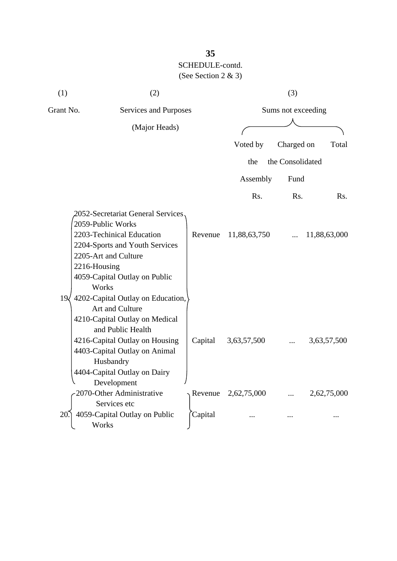| (1)       | (2)                                                                                                                                                                                                                                                             |         |                    | (3)              |              |  |
|-----------|-----------------------------------------------------------------------------------------------------------------------------------------------------------------------------------------------------------------------------------------------------------------|---------|--------------------|------------------|--------------|--|
| Grant No. | Services and Purposes                                                                                                                                                                                                                                           |         | Sums not exceeding |                  |              |  |
|           | (Major Heads)                                                                                                                                                                                                                                                   |         |                    |                  |              |  |
|           |                                                                                                                                                                                                                                                                 |         |                    |                  |              |  |
|           |                                                                                                                                                                                                                                                                 |         | Voted by           | Charged on       | Total        |  |
|           |                                                                                                                                                                                                                                                                 |         | the                | the Consolidated |              |  |
|           |                                                                                                                                                                                                                                                                 |         | Assembly           | Fund             |              |  |
|           |                                                                                                                                                                                                                                                                 |         | Rs.                | Rs.              | Rs.          |  |
| 19<       | 2052-Secretariat General Services<br>2059-Public Works<br>2203-Techinical Education<br>2204-Sports and Youth Services<br>2205-Art and Culture<br>2216-Housing<br>4059-Capital Outlay on Public<br>Works<br>4202-Capital Outlay on Education,<br>Art and Culture | Revenue | 11,88,63,750       |                  | 11,88,63,000 |  |
|           | 4210-Capital Outlay on Medical<br>and Public Health<br>4216-Capital Outlay on Housing<br>4403-Capital Outlay on Animal<br>Husbandry<br>4404-Capital Outlay on Dairy<br>Development                                                                              | Capital | 3,63,57,500        |                  | 3,63,57,500  |  |
|           | 2070-Other Administrative                                                                                                                                                                                                                                       | Revenue | 2,62,75,000        |                  | 2,62,75,000  |  |
| 20.       | Services etc<br>4059-Capital Outlay on Public                                                                                                                                                                                                                   | Capital |                    |                  |              |  |
|           | Works                                                                                                                                                                                                                                                           |         |                    |                  |              |  |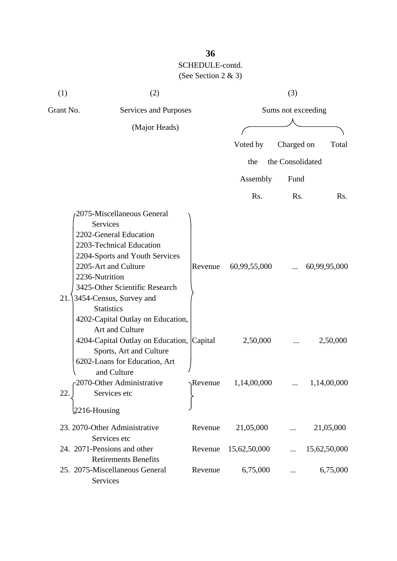| (1)       | (2)                                                                                                                                                                                                                                                                                                                                                                                                                                                                     |                             |                          | (3)                |                                         |
|-----------|-------------------------------------------------------------------------------------------------------------------------------------------------------------------------------------------------------------------------------------------------------------------------------------------------------------------------------------------------------------------------------------------------------------------------------------------------------------------------|-----------------------------|--------------------------|--------------------|-----------------------------------------|
| Grant No. | Services and Purposes                                                                                                                                                                                                                                                                                                                                                                                                                                                   |                             |                          | Sums not exceeding |                                         |
|           | (Major Heads)                                                                                                                                                                                                                                                                                                                                                                                                                                                           |                             |                          |                    |                                         |
|           |                                                                                                                                                                                                                                                                                                                                                                                                                                                                         |                             | Voted by                 | Charged on         | Total                                   |
|           |                                                                                                                                                                                                                                                                                                                                                                                                                                                                         |                             | the                      | the Consolidated   |                                         |
|           |                                                                                                                                                                                                                                                                                                                                                                                                                                                                         |                             | Assembly                 | Fund               |                                         |
|           |                                                                                                                                                                                                                                                                                                                                                                                                                                                                         |                             | Rs.                      | Rs.                | Rs.                                     |
| 21.       | 2075-Miscellaneous General<br>Services<br>2202-General Education<br>2203-Technical Education<br>2204-Sports and Youth Services<br>2205-Art and Culture<br>2236-Nutrition<br>3425-Other Scientific Research<br>3454-Census, Survey and<br><b>Statistics</b><br>4202-Capital Outlay on Education,<br>Art and Culture<br>4204-Capital Outlay on Education, Capital<br>Sports, Art and Culture<br>6202-Loans for Education, Art<br>and Culture<br>2070-Other Administrative | Revenue<br>$\gamma$ Revenue | 60,99,55,000<br>2,50,000 |                    | 60,99,95,000<br>2,50,000<br>1,14,00,000 |
| 22.       | Services etc                                                                                                                                                                                                                                                                                                                                                                                                                                                            |                             | 1,14,00,000              |                    |                                         |
|           | $2216$ -Housing                                                                                                                                                                                                                                                                                                                                                                                                                                                         |                             |                          |                    |                                         |
|           | 23. 2070-Other Administrative<br>Services etc                                                                                                                                                                                                                                                                                                                                                                                                                           | Revenue                     | 21,05,000                |                    | 21,05,000                               |
|           | 24. 2071-Pensions and other<br><b>Retirements Benefits</b>                                                                                                                                                                                                                                                                                                                                                                                                              | Revenue                     | 15,62,50,000             |                    | 15,62,50,000                            |
|           | 25. 2075-Miscellaneous General<br>Services                                                                                                                                                                                                                                                                                                                                                                                                                              | Revenue                     | 6,75,000                 |                    | 6,75,000                                |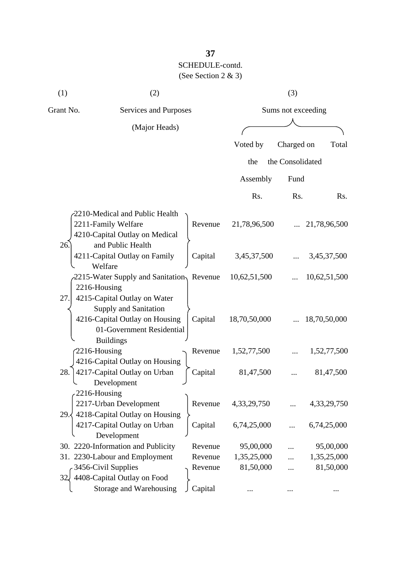| (1)                 | (2)                                                                                                          |                    |              | (3)                |              |
|---------------------|--------------------------------------------------------------------------------------------------------------|--------------------|--------------|--------------------|--------------|
| Grant No.           | Services and Purposes                                                                                        |                    |              | Sums not exceeding |              |
|                     | (Major Heads)                                                                                                |                    |              |                    |              |
|                     |                                                                                                              |                    | Voted by     | Charged on         | Total        |
|                     |                                                                                                              |                    | the          | the Consolidated   |              |
|                     |                                                                                                              |                    |              |                    |              |
|                     |                                                                                                              |                    | Assembly     | Fund               |              |
|                     |                                                                                                              |                    | Rs.          | Rs.                | Rs.          |
| 26.                 | 2210-Medical and Public Health<br>2211-Family Welfare<br>4210-Capital Outlay on Medical<br>and Public Health | Revenue            | 21,78,96,500 |                    | 21,78,96,500 |
|                     | 4211-Capital Outlay on Family<br>Welfare                                                                     | Capital            | 3,45,37,500  |                    | 3,45,37,500  |
| 2216-Housing<br>27. | 2215-Water Supply and Sanitation, Revenue<br>4215-Capital Outlay on Water<br><b>Supply and Sanitation</b>    |                    | 10,62,51,500 |                    | 10,62,51,500 |
|                     | 4216-Capital Outlay on Housing<br>01-Government Residential<br><b>Buildings</b>                              | Capital            | 18,70,50,000 |                    | 18,70,50,000 |
| 2216-Housing        | 4216-Capital Outlay on Housing                                                                               | Revenue            | 1,52,77,500  |                    | 1,52,77,500  |
| 28.<br>2216-Housing | 4217-Capital Outlay on Urban<br>Development                                                                  | Capital            | 81,47,500    |                    | 81,47,500    |
| 29.5                | 2217-Urban Development<br>4218-Capital Outlay on Housing                                                     | Revenue            | 4,33,29,750  |                    | 4,33,29,750  |
|                     | 4217-Capital Outlay on Urban<br>Development                                                                  | Capital            | 6,74,25,000  |                    | 6,74,25,000  |
|                     | 30. 2220-Information and Publicity                                                                           | Revenue            | 95,00,000    |                    | 95,00,000    |
|                     | 31. 2230-Labour and Employment                                                                               | Revenue            | 1,35,25,000  |                    | 1,35,25,000  |
|                     | 3456-Civil Supplies<br>408-Capital Outlay on Food<br>Storage and Warehousing                                 | Revenue<br>Capital | 81,50,000    |                    | 81,50,000    |
|                     |                                                                                                              |                    | $\ddotsc$    | $\cdots$           |              |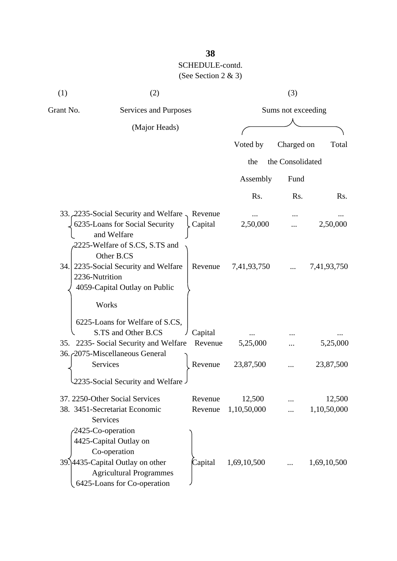| (1)       | (2)                                                                                                                                                              |                    |                       | (3)                |                       |
|-----------|------------------------------------------------------------------------------------------------------------------------------------------------------------------|--------------------|-----------------------|--------------------|-----------------------|
| Grant No. | Services and Purposes                                                                                                                                            |                    |                       | Sums not exceeding |                       |
|           | (Major Heads)                                                                                                                                                    |                    |                       |                    |                       |
|           |                                                                                                                                                                  |                    | Voted by              | Charged on         | Total                 |
|           |                                                                                                                                                                  |                    | the                   | the Consolidated   |                       |
|           |                                                                                                                                                                  |                    | Assembly              | Fund               |                       |
|           |                                                                                                                                                                  |                    | Rs.                   | Rs.                | R <sub>s</sub> .      |
|           | 33. 2235-Social Security and Welfare<br>6235-Loans for Social Security<br>and Welfare                                                                            | Revenue<br>Capital | $\cdots$<br>2,50,000  |                    | 2,50,000              |
| 34.       | 2225-Welfare of S.CS, S.TS and<br>Other B.CS<br>2235-Social Security and Welfare<br>2236-Nutrition<br>4059-Capital Outlay on Public                              | Revenue            | 7,41,93,750           |                    | 7,41,93,750           |
|           | Works<br>6225-Loans for Welfare of S.CS,<br>S.TS and Other B.CS<br>35. 2235- Social Security and Welfare<br>36. 2075-Miscellaneous General                       | Capital<br>Revenue | 5,25,000              |                    | 5,25,000              |
|           | Services                                                                                                                                                         | Revenue            | 23,87,500             |                    | 23,87,500             |
|           | 2235-Social Security and Welfare<br>37. 2250-Other Social Services<br>38. 3451-Secretariat Economic<br>Services                                                  | Revenue<br>Revenue | 12,500<br>1,10,50,000 |                    | 12,500<br>1,10,50,000 |
|           | 2425-Co-operation<br>4425-Capital Outlay on<br>Co-operation<br>39.14435-Capital Outlay on other<br><b>Agricultural Programmes</b><br>6425-Loans for Co-operation | Capital            | 1,69,10,500           |                    | 1,69,10,500           |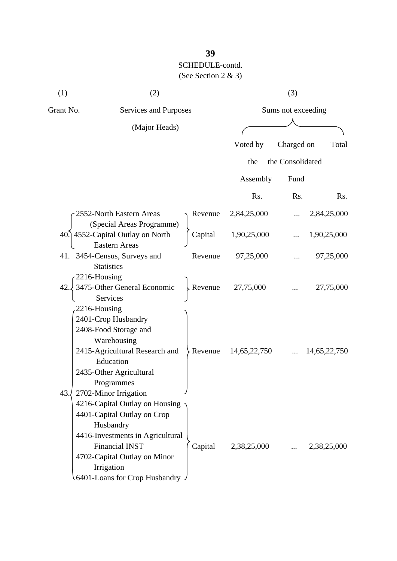| (1)       | (2)                                                                                                                                                                                                                    |         |                     | (3)              |              |  |
|-----------|------------------------------------------------------------------------------------------------------------------------------------------------------------------------------------------------------------------------|---------|---------------------|------------------|--------------|--|
| Grant No. | Services and Purposes                                                                                                                                                                                                  |         | Sums not exceeding  |                  |              |  |
|           | (Major Heads)                                                                                                                                                                                                          |         |                     |                  |              |  |
|           |                                                                                                                                                                                                                        |         | Voted by            | Charged on       | Total        |  |
|           |                                                                                                                                                                                                                        |         | the                 | the Consolidated |              |  |
|           |                                                                                                                                                                                                                        |         | Assembly            | Fund             |              |  |
|           |                                                                                                                                                                                                                        |         | Rs.                 | Rs.              | Rs.          |  |
|           | 2552-North Eastern Areas<br>(Special Areas Programme)                                                                                                                                                                  |         | Revenue 2,84,25,000 |                  | 2,84,25,000  |  |
|           | 40. 4552-Capital Outlay on North                                                                                                                                                                                       | Capital | 1,90,25,000         |                  | 1,90,25,000  |  |
|           | <b>Eastern Areas</b><br>41. 3454-Census, Surveys and<br><b>Statistics</b>                                                                                                                                              | Revenue | 97,25,000           |                  | 97,25,000    |  |
| 42.       | 2216-Housing<br>3475-Other General Economic<br><b>Services</b>                                                                                                                                                         | Revenue | 27,75,000           |                  | 27,75,000    |  |
| 43.       | 2216-Housing<br>2401-Crop Husbandry<br>2408-Food Storage and<br>Warehousing<br>2415-Agricultural Research and<br>Education<br>2435-Other Agricultural<br>Programmes<br>2702-Minor Irrigation                           | Revenue | 14,65,22,750        |                  | 14,65,22,750 |  |
|           | 4216-Capital Outlay on Housing<br>4401-Capital Outlay on Crop<br>Husbandry<br>4416-Investments in Agricultural<br><b>Financial INST</b><br>4702-Capital Outlay on Minor<br>Irrigation<br>6401-Loans for Crop Husbandry | Capital | 2,38,25,000         |                  | 2,38,25,000  |  |

# **39**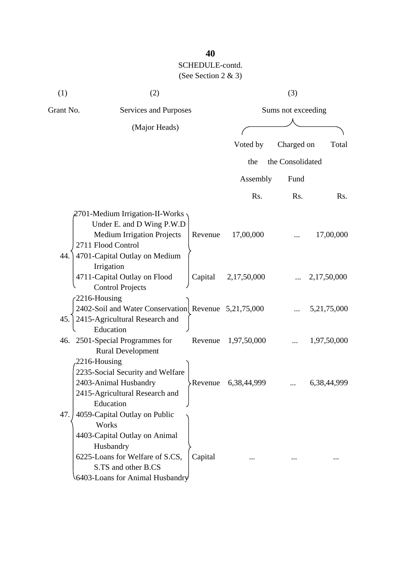| (1)       | (2)                                                         |         |                    | (3)              |             |  |
|-----------|-------------------------------------------------------------|---------|--------------------|------------------|-------------|--|
| Grant No. | Services and Purposes                                       |         | Sums not exceeding |                  |             |  |
|           | (Major Heads)                                               |         |                    |                  |             |  |
|           |                                                             |         | Voted by           | Charged on       | Total       |  |
|           |                                                             |         |                    | the Consolidated |             |  |
|           |                                                             |         | the                |                  |             |  |
|           |                                                             |         | Assembly           | Fund             |             |  |
|           |                                                             |         | Rs.                | Rs.              | Rs.         |  |
|           | 2701-Medium Irrigation-II-Works                             |         |                    |                  |             |  |
|           | Under E. and D Wing P.W.D                                   |         |                    |                  |             |  |
|           | <b>Medium Irrigation Projects</b>                           | Revenue | 17,00,000          |                  | 17,00,000   |  |
|           | 2711 Flood Control                                          |         |                    |                  |             |  |
| 44.       | 4701-Capital Outlay on Medium                               |         |                    |                  |             |  |
|           | Irrigation                                                  |         |                    |                  |             |  |
|           | 4711-Capital Outlay on Flood                                | Capital | 2,17,50,000        |                  | 2,17,50,000 |  |
|           | <b>Control Projects</b>                                     |         |                    |                  |             |  |
|           | 2216-Housing                                                |         |                    |                  |             |  |
|           | 2402-Soil and Water Conservation Revenue 5,21,75,000        |         |                    |                  | 5,21,75,000 |  |
| 45.       | 2415-Agricultural Research and                              |         |                    |                  |             |  |
|           | Education                                                   | Revenue |                    |                  |             |  |
|           | 46. 2501-Special Programmes for<br><b>Rural Development</b> |         | 1,97,50,000        |                  | 1,97,50,000 |  |
|           | 2216-Housing                                                |         |                    |                  |             |  |
|           | 2235-Social Security and Welfare                            |         |                    |                  |             |  |
|           | 2403-Animal Husbandry                                       | Revenue | 6,38,44,999        |                  | 6,38,44,999 |  |
|           | 2415-Agricultural Research and                              |         |                    |                  |             |  |
|           | Education                                                   |         |                    |                  |             |  |
| 47.       | 4059-Capital Outlay on Public                               |         |                    |                  |             |  |
|           | Works                                                       |         |                    |                  |             |  |
|           | 4403-Capital Outlay on Animal                               |         |                    |                  |             |  |
|           | Husbandry                                                   |         |                    |                  |             |  |
|           | 6225-Loans for Welfare of S.CS,                             | Capital |                    |                  |             |  |
|           | S.TS and other B.CS                                         |         |                    |                  |             |  |
|           | 6403-Loans for Animal Husbandry                             |         |                    |                  |             |  |

### **40**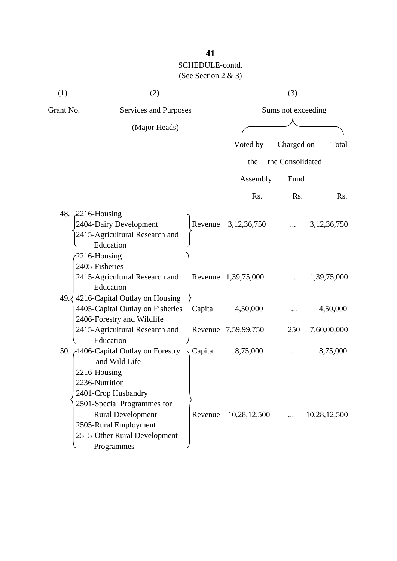| (1)       | (2)                                                                                              |         |                     | (3)                |                  |
|-----------|--------------------------------------------------------------------------------------------------|---------|---------------------|--------------------|------------------|
| Grant No. | Services and Purposes                                                                            |         |                     | Sums not exceeding |                  |
|           | (Major Heads)                                                                                    |         |                     |                    |                  |
|           |                                                                                                  |         | Voted by            | Charged on         | Total            |
|           |                                                                                                  |         | the                 | the Consolidated   |                  |
|           |                                                                                                  |         | Assembly            | Fund               |                  |
|           |                                                                                                  |         | Rs.                 | Rs.                | R <sub>s</sub> . |
|           | 48. 2216-Housing                                                                                 |         |                     |                    |                  |
|           | 2404-Dairy Development<br>2415-Agricultural Research and<br>Education                            |         | Revenue 3,12,36,750 |                    | 3, 12, 36, 750   |
|           | $-2216$ -Housing<br>2405-Fisheries<br>2415-Agricultural Research and<br>Education                |         | Revenue 1,39,75,000 |                    | 1,39,75,000      |
| 49.       | 4216-Capital Outlay on Housing<br>4405-Capital Outlay on Fisheries<br>2406-Forestry and Wildlife | Capital | 4,50,000            |                    | 4,50,000         |
|           | 2415-Agricultural Research and<br>Education                                                      |         | Revenue 7,59,99,750 | 250                | 7,60,00,000      |
|           | 50. <sub>(4406</sub> -Capital Outlay on Forestry<br>and Wild Life<br>2216-Housing                | Capital | 8,75,000            |                    | 8,75,000         |
|           | 2236-Nutrition<br>2401-Crop Husbandry<br>2501-Special Programmes for                             |         |                     |                    |                  |
|           | <b>Rural Development</b><br>2505-Rural Employment<br>2515-Other Rural Development<br>Programmes  | Revenue | 10,28,12,500        |                    | 10,28,12,500     |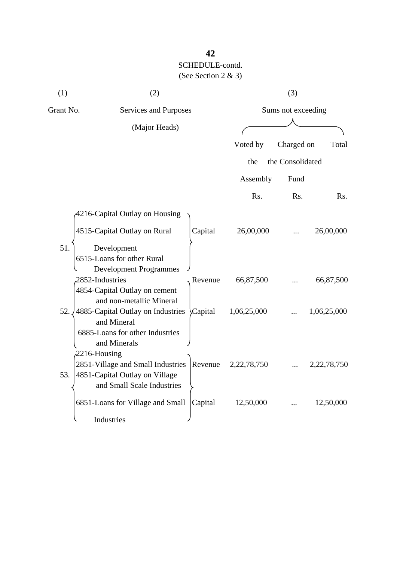| (1)       | (2)                                                          |             | (3)                |                |
|-----------|--------------------------------------------------------------|-------------|--------------------|----------------|
| Grant No. | Services and Purposes                                        |             | Sums not exceeding |                |
|           | (Major Heads)                                                |             |                    |                |
|           |                                                              | Voted by    | Charged on         | Total          |
|           |                                                              | the         | the Consolidated   |                |
|           |                                                              | Assembly    | Fund               |                |
|           |                                                              | Rs.         | Rs.                | Rs.            |
|           | 4216-Capital Outlay on Housing                               |             |                    |                |
|           | 4515-Capital Outlay on Rural<br>Capital                      | 26,00,000   |                    | 26,00,000      |
| 51.       | Development                                                  |             |                    |                |
|           | 6515-Loans for other Rural                                   |             |                    |                |
|           | <b>Development Programmes</b><br>2852-Industries<br>Revenue  | 66,87,500   |                    | 66,87,500      |
|           | 4854-Capital Outlay on cement                                |             |                    |                |
|           | and non-metallic Mineral                                     |             |                    |                |
| 52.       | 4885-Capital Outlay on Industries<br>Capital<br>and Mineral  | 1,06,25,000 |                    | 1,06,25,000    |
|           | 6885-Loans for other Industries                              |             |                    |                |
|           | and Minerals                                                 |             |                    |                |
|           | $2216$ -Housing                                              |             |                    |                |
|           | 2851-Village and Small Industries<br>Revenue                 | 2,22,78,750 |                    | 2, 22, 78, 750 |
| 53.       | 4851-Capital Outlay on Village<br>and Small Scale Industries |             |                    |                |
|           |                                                              |             |                    |                |
|           | 6851-Loans for Village and Small<br>Capital                  | 12,50,000   |                    | 12,50,000      |
|           | Industries                                                   |             |                    |                |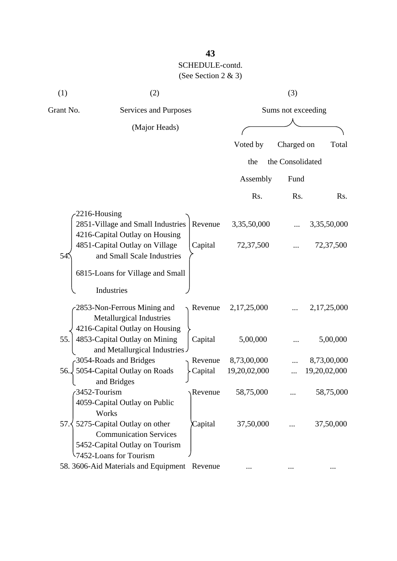| (1)       | (2)                                                                                                                       |         |              | (3)                |              |  |  |
|-----------|---------------------------------------------------------------------------------------------------------------------------|---------|--------------|--------------------|--------------|--|--|
| Grant No. | Services and Purposes                                                                                                     |         |              | Sums not exceeding |              |  |  |
|           | (Major Heads)                                                                                                             |         |              |                    |              |  |  |
|           |                                                                                                                           |         | Voted by     | Charged on         | Total        |  |  |
|           |                                                                                                                           |         | the          | the Consolidated   |              |  |  |
|           |                                                                                                                           |         | Assembly     | Fund               |              |  |  |
|           |                                                                                                                           |         | Rs.          | Rs.                | Rs.          |  |  |
|           | 2216-Housing                                                                                                              |         |              |                    |              |  |  |
|           | 2851-Village and Small Industries<br>4216-Capital Outlay on Housing                                                       | Revenue | 3,35,50,000  |                    | 3,35,50,000  |  |  |
| 54.       | 4851-Capital Outlay on Village<br>and Small Scale Industries                                                              | Capital | 72,37,500    |                    | 72,37,500    |  |  |
|           | 6815-Loans for Village and Small                                                                                          |         |              |                    |              |  |  |
|           | Industries                                                                                                                |         |              |                    |              |  |  |
|           | 2853-Non-Ferrous Mining and<br>Metallurgical Industries<br>4216-Capital Outlay on Housing                                 | Revenue | 2,17,25,000  |                    | 2,17,25,000  |  |  |
| 55.       | 4853-Capital Outlay on Mining<br>and Metallurgical Industries                                                             | Capital | 5,00,000     |                    | 5,00,000     |  |  |
|           | 3054-Roads and Bridges                                                                                                    | Revenue | 8,73,00,000  |                    | 8,73,00,000  |  |  |
| 56.       | 5054-Capital Outlay on Roads<br>and Bridges                                                                               | Capital | 19,20,02,000 |                    | 19,20,02,000 |  |  |
|           | 3452-Tourism<br>4059-Capital Outlay on Public<br>Works                                                                    | Revenue | 58,75,000    |                    | 58,75,000    |  |  |
| 57.3      | 5275-Capital Outlay on other<br><b>Communication Services</b><br>5452-Capital Outlay on Tourism<br>7452-Loans for Tourism | Capital | 37,50,000    |                    | 37,50,000    |  |  |
|           | 58. 3606-Aid Materials and Equipment Revenue                                                                              |         |              |                    |              |  |  |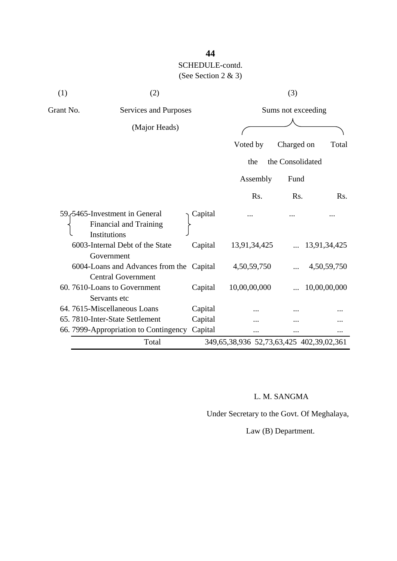| (1)       | (2)                                                                            |         | (3)                                      |                    |              |  |
|-----------|--------------------------------------------------------------------------------|---------|------------------------------------------|--------------------|--------------|--|
| Grant No. | Services and Purposes                                                          |         |                                          | Sums not exceeding |              |  |
|           | (Major Heads)                                                                  |         |                                          |                    |              |  |
|           |                                                                                |         | Voted by                                 | Charged on         | Total        |  |
|           |                                                                                |         | the                                      | the Consolidated   |              |  |
|           |                                                                                |         | Assembly                                 | Fund               |              |  |
|           |                                                                                |         | Rs.                                      | Rs.                | Rs.          |  |
|           | 59.5465-Investment in General<br><b>Financial and Training</b><br>Institutions | Capital |                                          |                    |              |  |
|           | 6003-Internal Debt of the State<br>Government                                  | Capital | 13,91,34,425                             |                    | 13,91,34,425 |  |
|           | 6004-Loans and Advances from the Capital<br><b>Central Government</b>          |         | 4,50,59,750                              |                    | 4,50,59,750  |  |
|           | 60.7610-Loans to Government<br>Servants etc                                    | Capital | 10,00,00,000                             |                    | 10,00,00,000 |  |
|           | 64.7615-Miscellaneous Loans                                                    | Capital |                                          |                    |              |  |
|           | 65.7810-Inter-State Settlement                                                 | Capital |                                          |                    |              |  |
|           | 66. 7999-Appropriation to Contingency                                          | Capital |                                          |                    |              |  |
|           | Total                                                                          |         | 349,65,38,936 52,73,63,425 402,39,02,361 |                    |              |  |

### L. M. SANGMA

Under Secretary to the Govt. Of Meghalaya,

Law (B) Department.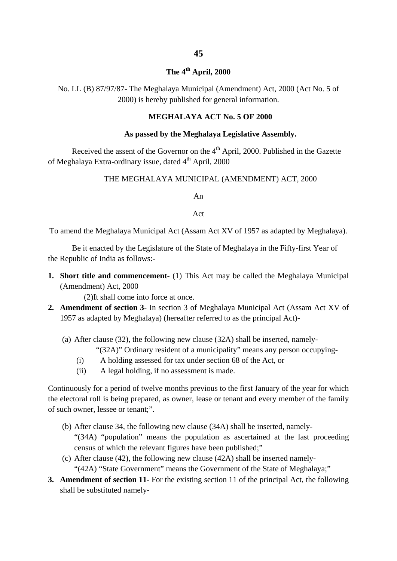### **The 4th April, 2000**

No. LL (B) 87/97/87- The Meghalaya Municipal (Amendment) Act, 2000 (Act No. 5 of 2000) is hereby published for general information.

#### **MEGHALAYA ACT No. 5 OF 2000**

#### **As passed by the Meghalaya Legislative Assembly.**

Received the assent of the Governor on the  $4<sup>th</sup>$  April, 2000. Published in the Gazette of Meghalaya Extra-ordinary issue, dated 4<sup>th</sup> April, 2000

#### THE MEGHALAYA MUNICIPAL (AMENDMENT) ACT, 2000

An

Act

To amend the Meghalaya Municipal Act (Assam Act XV of 1957 as adapted by Meghalaya).

Be it enacted by the Legislature of the State of Meghalaya in the Fifty-first Year of the Republic of India as follows:-

**1. Short title and commencement**- (1) This Act may be called the Meghalaya Municipal (Amendment) Act, 2000

(2)It shall come into force at once.

- **2. Amendment of section 3** In section 3 of Meghalaya Municipal Act (Assam Act XV of 1957 as adapted by Meghalaya) (hereafter referred to as the principal Act)-
	- (a) After clause (32), the following new clause (32A) shall be inserted, namely-
		- "(32A)" Ordinary resident of a municipality" means any person occupying-
		- (i) A holding assessed for tax under section 68 of the Act, or
		- (ii) A legal holding, if no assessment is made.

Continuously for a period of twelve months previous to the first January of the year for which the electoral roll is being prepared, as owner, lease or tenant and every member of the family of such owner, lessee or tenant;".

- (b) After clause 34, the following new clause (34A) shall be inserted, namely- "(34A) "population" means the population as ascertained at the last proceeding census of which the relevant figures have been published;"
- (c) After clause (42), the following new clause (42A) shall be inserted namely- "(42A) "State Government" means the Government of the State of Meghalaya;"
- **3. Amendment of section 11** For the existing section 11 of the principal Act, the following shall be substituted namely-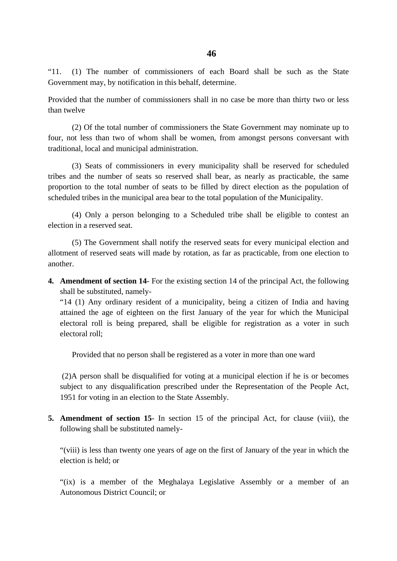"11. (1) The number of commissioners of each Board shall be such as the State Government may, by notification in this behalf, determine.

Provided that the number of commissioners shall in no case be more than thirty two or less than twelve

(2) Of the total number of commissioners the State Government may nominate up to four, not less than two of whom shall be women, from amongst persons conversant with traditional, local and municipal administration.

(3) Seats of commissioners in every municipality shall be reserved for scheduled tribes and the number of seats so reserved shall bear, as nearly as practicable, the same proportion to the total number of seats to be filled by direct election as the population of scheduled tribes in the municipal area bear to the total population of the Municipality.

(4) Only a person belonging to a Scheduled tribe shall be eligible to contest an election in a reserved seat.

(5) The Government shall notify the reserved seats for every municipal election and allotment of reserved seats will made by rotation, as far as practicable, from one election to another.

**4. Amendment of section 14**- For the existing section 14 of the principal Act, the following shall be substituted, namely-

"14 (1) Any ordinary resident of a municipality, being a citizen of India and having attained the age of eighteen on the first January of the year for which the Municipal electoral roll is being prepared, shall be eligible for registration as a voter in such electoral roll;

Provided that no person shall be registered as a voter in more than one ward

(2)A person shall be disqualified for voting at a municipal election if he is or becomes subject to any disqualification prescribed under the Representation of the People Act, 1951 for voting in an election to the State Assembly.

**5. Amendment of section 15**- In section 15 of the principal Act, for clause (viii), the following shall be substituted namely-

"(viii) is less than twenty one years of age on the first of January of the year in which the election is held; or

"(ix) is a member of the Meghalaya Legislative Assembly or a member of an Autonomous District Council; or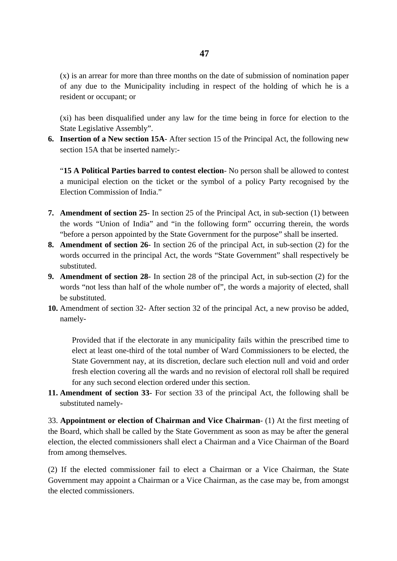(x) is an arrear for more than three months on the date of submission of nomination paper of any due to the Municipality including in respect of the holding of which he is a resident or occupant; or

(xi) has been disqualified under any law for the time being in force for election to the State Legislative Assembly".

**6. Insertion of a New section 15A**- After section 15 of the Principal Act, the following new section 15A that be inserted namely:-

"**15 A Political Parties barred to contest election**- No person shall be allowed to contest a municipal election on the ticket or the symbol of a policy Party recognised by the Election Commission of India."

- **7. Amendment of section 25** In section 25 of the Principal Act, in sub-section (1) between the words "Union of India" and "in the following form" occurring therein, the words "before a person appointed by the State Government for the purpose" shall be inserted.
- **8. Amendment of section 26** In section 26 of the principal Act, in sub-section (2) for the words occurred in the principal Act, the words "State Government" shall respectively be substituted.
- **9. Amendment of section 28** In section 28 of the principal Act, in sub-section (2) for the words "not less than half of the whole number of", the words a majority of elected, shall be substituted.
- **10.** Amendment of section 32- After section 32 of the principal Act, a new proviso be added, namely-

Provided that if the electorate in any municipality fails within the prescribed time to elect at least one-third of the total number of Ward Commissioners to be elected, the State Government nay, at its discretion, declare such election null and void and order fresh election covering all the wards and no revision of electoral roll shall be required for any such second election ordered under this section.

**11. Amendment of section 33**- For section 33 of the principal Act, the following shall be substituted namely-

33. **Appointment or election of Chairman and Vice Chairman**- (1) At the first meeting of the Board, which shall be called by the State Government as soon as may be after the general election, the elected commissioners shall elect a Chairman and a Vice Chairman of the Board from among themselves.

(2) If the elected commissioner fail to elect a Chairman or a Vice Chairman, the State Government may appoint a Chairman or a Vice Chairman, as the case may be, from amongst the elected commissioners.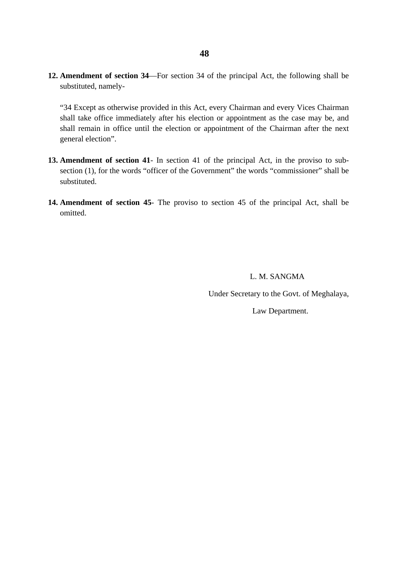**12. Amendment of section 34**—For section 34 of the principal Act, the following shall be substituted, namely-

"34 Except as otherwise provided in this Act, every Chairman and every Vices Chairman shall take office immediately after his election or appointment as the case may be, and shall remain in office until the election or appointment of the Chairman after the next general election".

- **13. Amendment of section 41** In section 41 of the principal Act, in the proviso to subsection (1), for the words "officer of the Government" the words "commissioner" shall be substituted.
- **14. Amendment of section 45** The proviso to section 45 of the principal Act, shall be omitted.

L. M. SANGMA

Under Secretary to the Govt. of Meghalaya,

Law Department.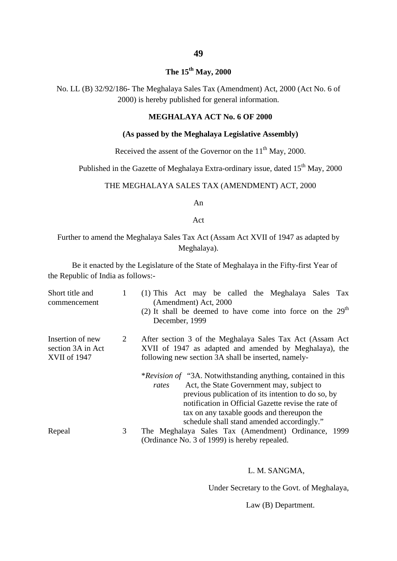# **The 15th May, 2000**

No. LL (B) 32/92/186- The Meghalaya Sales Tax (Amendment) Act, 2000 (Act No. 6 of 2000) is hereby published for general information.

#### **MEGHALAYA ACT No. 6 OF 2000**

#### **(As passed by the Meghalaya Legislative Assembly)**

Received the assent of the Governor on the  $11<sup>th</sup>$  May, 2000.

Published in the Gazette of Meghalaya Extra-ordinary issue, dated 15<sup>th</sup> May, 2000

#### THE MEGHALAYA SALES TAX (AMENDMENT) ACT, 2000

An

Act

#### Further to amend the Meghalaya Sales Tax Act (Assam Act XVII of 1947 as adapted by Meghalaya).

Be it enacted by the Legislature of the State of Meghalaya in the Fifty-first Year of the Republic of India as follows:-

| Short title and<br>commencement                       | 1 | (1) This Act may be called the Meghalaya Sales Tax<br>(Amendment) Act, 2000<br>(2) It shall be deemed to have come into force on the $29th$<br>December, 1999                                                                                                                                                                       |
|-------------------------------------------------------|---|-------------------------------------------------------------------------------------------------------------------------------------------------------------------------------------------------------------------------------------------------------------------------------------------------------------------------------------|
| Insertion of new<br>section 3A in Act<br>XVII of 1947 | 2 | After section 3 of the Meghalaya Sales Tax Act (Assam Act)<br>XVII of 1947 as adapted and amended by Meghalaya), the<br>following new section 3A shall be inserted, namely-                                                                                                                                                         |
|                                                       |   | <i>*Revision of "3A.</i> Notwithstanding anything, contained in this<br>Act, the State Government may, subject to<br>rates<br>previous publication of its intention to do so, by<br>notification in Official Gazette revise the rate of<br>tax on any taxable goods and thereupon the<br>schedule shall stand amended accordingly." |
| Repeal                                                | 3 | The Meghalaya Sales Tax (Amendment) Ordinance, 1999<br>(Ordinance No. 3 of 1999) is hereby repealed.                                                                                                                                                                                                                                |

#### L. M. SANGMA,

Under Secretary to the Govt. of Meghalaya,

Law (B) Department.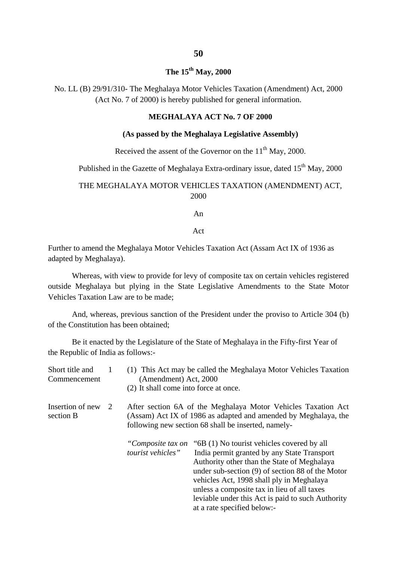### **The 15th May, 2000**

No. LL (B) 29/91/310- The Meghalaya Motor Vehicles Taxation (Amendment) Act, 2000 (Act No. 7 of 2000) is hereby published for general information.

#### **MEGHALAYA ACT No. 7 OF 2000**

#### **(As passed by the Meghalaya Legislative Assembly)**

Received the assent of the Governor on the  $11<sup>th</sup>$  May, 2000.

Published in the Gazette of Meghalaya Extra-ordinary issue, dated 15<sup>th</sup> May, 2000

#### THE MEGHALAYA MOTOR VEHICLES TAXATION (AMENDMENT) ACT, 2000

An

Act

Further to amend the Meghalaya Motor Vehicles Taxation Act (Assam Act IX of 1936 as adapted by Meghalaya).

Whereas, with view to provide for levy of composite tax on certain vehicles registered outside Meghalaya but plying in the State Legislative Amendments to the State Motor Vehicles Taxation Law are to be made;

And, whereas, previous sanction of the President under the proviso to Article 304 (b) of the Constitution has been obtained;

Be it enacted by the Legislature of the State of Meghalaya in the Fifty-first Year of the Republic of India as follows:-

| Short title and<br>Commencement |   | (Amendment) Act, 2000<br>(2) It shall come into force at once. | (1) This Act may be called the Meghalaya Motor Vehicles Taxation                                                                                                                                                                                                                                                                                                               |
|---------------------------------|---|----------------------------------------------------------------|--------------------------------------------------------------------------------------------------------------------------------------------------------------------------------------------------------------------------------------------------------------------------------------------------------------------------------------------------------------------------------|
| Insertion of new<br>section B   | 2 |                                                                | After section 6A of the Meghalaya Motor Vehicles Taxation Act<br>(Assam) Act IX of 1986 as adapted and amended by Meghalaya, the<br>following new section 68 shall be inserted, namely-                                                                                                                                                                                        |
|                                 |   | "Composite tax on<br>tourist vehicles"                         | "6B (1) No tourist vehicles covered by all<br>India permit granted by any State Transport<br>Authority other than the State of Meghalaya<br>under sub-section $(9)$ of section 88 of the Motor<br>vehicles Act, 1998 shall ply in Meghalaya<br>unless a composite tax in lieu of all taxes<br>leviable under this Act is paid to such Authority<br>at a rate specified below:- |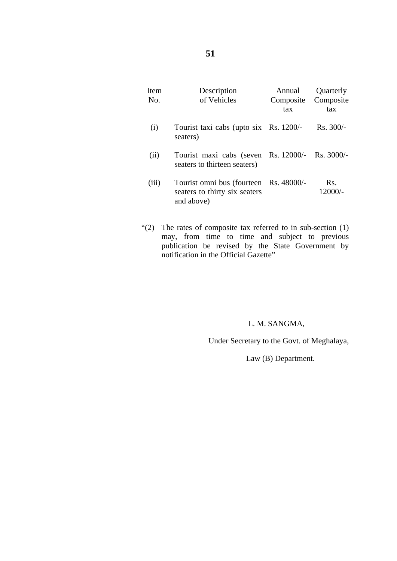| <b>Item</b><br>No. | Description<br>of Vehicles                                                            | Annual<br>Composite<br>tax | Quarterly<br>Composite<br>tax |
|--------------------|---------------------------------------------------------------------------------------|----------------------------|-------------------------------|
| (i)                | Tourist taxi cabs (upto six Rs. 1200/-<br>seaters)                                    |                            | $Rs. 300/-$                   |
| (ii)               | Tourist maxi cabs (seven Rs. 12000/-<br>seaters to thirteen seaters)                  |                            | $Rs. 3000/-$                  |
| (iii)              | Tourist omni bus (fourteen Rs. 48000/-<br>seaters to thirty six seaters<br>and above) |                            | Rs.<br>12000/-                |

"(2) The rates of composite tax referred to in sub-section (1) may, from time to time and subject to previous publication be revised by the State Government by notification in the Official Gazette"

#### L. M. SANGMA,

Under Secretary to the Govt. of Meghalaya,

Law (B) Department.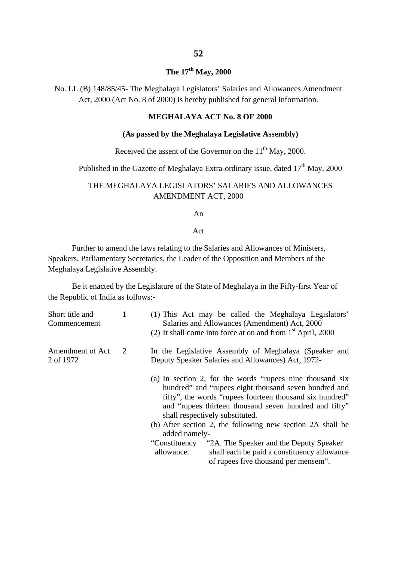# **The 17th May, 2000**

No. LL (B) 148/85/45- The Meghalaya Legislators' Salaries and Allowances Amendment Act, 2000 (Act No. 8 of 2000) is hereby published for general information.

#### **MEGHALAYA ACT No. 8 OF 2000**

#### **(As passed by the Meghalaya Legislative Assembly)**

#### Received the assent of the Governor on the  $11<sup>th</sup>$  May, 2000.

Published in the Gazette of Meghalaya Extra-ordinary issue, dated  $17<sup>th</sup>$  May, 2000

#### THE MEGHALAYA LEGISLATORS' SALARIES AND ALLOWANCES AMENDMENT ACT, 2000

An

#### Act

Further to amend the laws relating to the Salaries and Allowances of Ministers, Speakers, Parliamentary Secretaries, the Leader of the Opposition and Members of the Meghalaya Legislative Assembly.

Be it enacted by the Legislature of the State of Meghalaya in the Fifty-first Year of the Republic of India as follows:-

| Short title and<br>Commencement |   | (1) This Act may be called the Meghalaya Legislators'<br>Salaries and Allowances (Amendment) Act, 2000<br>(2) It shall come into force at on and from $1st$ April, 2000                                                                                                     |
|---------------------------------|---|-----------------------------------------------------------------------------------------------------------------------------------------------------------------------------------------------------------------------------------------------------------------------------|
| Amendment of Act<br>2 of 1972   | 2 | In the Legislative Assembly of Meghalaya (Speaker and<br>Deputy Speaker Salaries and Allowances) Act, 1972-                                                                                                                                                                 |
|                                 |   | (a) In section 2, for the words "rupees nine thousand six<br>hundred" and "rupees eight thousand seven hundred and<br>fifty", the words "rupees fourteen thousand six hundred"<br>and "rupees thirteen thousand seven hundred and fifty"<br>shall respectively substituted. |
|                                 |   | (b) After section 2, the following new section 2A shall be<br>added namely-                                                                                                                                                                                                 |
|                                 |   | "Constituency"<br>"2A. The Speaker and the Deputy Speaker<br>allowance.<br>shall each be paid a constituency allowance<br>of rupees five thousand per mensem".                                                                                                              |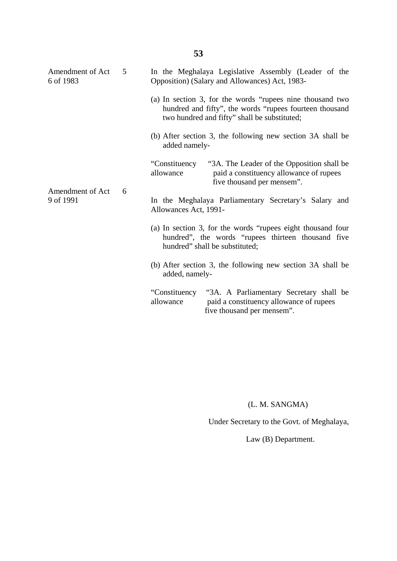| Amendment of Act<br>6 of 1983 | 5 |                             | In the Meghalaya Legislative Assembly (Leader of the<br>Opposition) (Salary and Allowances) Act, 1983-                                                               |
|-------------------------------|---|-----------------------------|----------------------------------------------------------------------------------------------------------------------------------------------------------------------|
|                               |   |                             | (a) In section 3, for the words "rupees nine thousand two<br>hundred and fifty", the words "rupees fourteen thousand<br>two hundred and fifty" shall be substituted; |
|                               |   | added namely-               | (b) After section 3, the following new section 3A shall be                                                                                                           |
|                               | 6 | "Constituency"<br>allowance | "3A. The Leader of the Opposition shall be<br>paid a constituency allowance of rupees<br>five thousand per mensem".                                                  |
| Amendment of Act<br>9 of 1991 |   | Allowances Act, 1991-       | In the Meghalaya Parliamentary Secretary's Salary and                                                                                                                |
|                               |   |                             | (a) In section 3, for the words "rupees eight thousand four<br>hundred", the words "rupees thirteen thousand five<br>hundred" shall be substituted;                  |
|                               |   | added, namely-              | (b) After section 3, the following new section 3A shall be                                                                                                           |
|                               |   | "Constituency"<br>allowance | "3A. A Parliamentary Secretary shall be<br>paid a constituency allowance of rupees<br>five thousand per mensem".                                                     |

(L. M. SANGMA)

Under Secretary to the Govt. of Meghalaya,

Law (B) Department.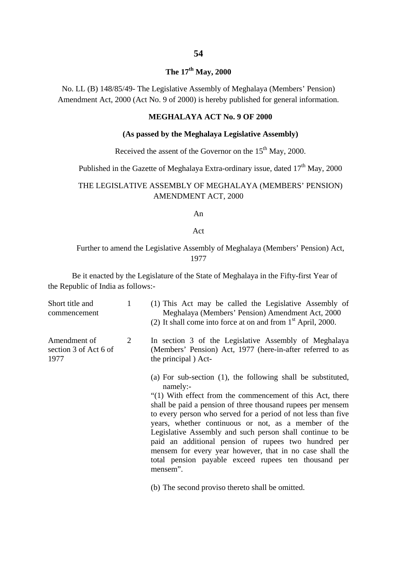# **54**

# **The 17th May, 2000**

No. LL (B) 148/85/49- The Legislative Assembly of Meghalaya (Members' Pension) Amendment Act, 2000 (Act No. 9 of 2000) is hereby published for general information.

#### **MEGHALAYA ACT No. 9 OF 2000**

#### **(As passed by the Meghalaya Legislative Assembly)**

Received the assent of the Governor on the  $15<sup>th</sup>$  May, 2000.

Published in the Gazette of Meghalaya Extra-ordinary issue, dated  $17<sup>th</sup>$  May, 2000

#### THE LEGISLATIVE ASSEMBLY OF MEGHALAYA (MEMBERS' PENSION) AMENDMENT ACT, 2000

An

#### Act

#### Further to amend the Legislative Assembly of Meghalaya (Members' Pension) Act, 1977

Be it enacted by the Legislature of the State of Meghalaya in the Fifty-first Year of the Republic of India as follows:-

| Short title and<br>commencement               | 1 | (1) This Act may be called the Legislative Assembly of<br>Meghalaya (Members' Pension) Amendment Act, 2000<br>(2) It shall come into force at on and from $1st$ April, 2000.                                                                                                                                                                                                                                                                                                                                                                                                                                                             |
|-----------------------------------------------|---|------------------------------------------------------------------------------------------------------------------------------------------------------------------------------------------------------------------------------------------------------------------------------------------------------------------------------------------------------------------------------------------------------------------------------------------------------------------------------------------------------------------------------------------------------------------------------------------------------------------------------------------|
| Amendment of<br>section 3 of Act 6 of<br>1977 | 2 | In section 3 of the Legislative Assembly of Meghalaya<br>(Members' Pension) Act, 1977 (here-in-after referred to as<br>the principal) Act-                                                                                                                                                                                                                                                                                                                                                                                                                                                                                               |
|                                               |   | (a) For sub-section $(1)$ , the following shall be substituted,<br>namely:<br>"(1) With effect from the commencement of this Act, there<br>shall be paid a pension of three thousand rupees per mensem<br>to every person who served for a period of not less than five<br>years, whether continuous or not, as a member of the<br>Legislative Assembly and such person shall continue to be<br>paid an additional pension of rupees two hundred per<br>mensem for every year however, that in no case shall the<br>total pension payable exceed rupees ten thousand per<br>mensem".<br>(b) The second proviso thereto shall be omitted. |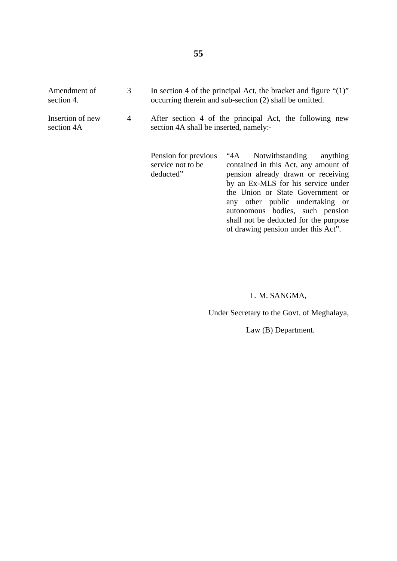| Amendment of<br>section 4.     | 3              | In section 4 of the principal Act, the bracket and figure " $(1)$ "<br>occurring therein and sub-section (2) shall be omitted. |                                                                                                                                                                                                                                                                                                                                                     |  |  |
|--------------------------------|----------------|--------------------------------------------------------------------------------------------------------------------------------|-----------------------------------------------------------------------------------------------------------------------------------------------------------------------------------------------------------------------------------------------------------------------------------------------------------------------------------------------------|--|--|
| Insertion of new<br>section 4A | $\overline{4}$ | After section 4 of the principal Act, the following new<br>section 4A shall be inserted, namely:-                              |                                                                                                                                                                                                                                                                                                                                                     |  |  |
|                                |                | Pension for previous<br>service not to be<br>deducted"                                                                         | Notwithstanding<br>anything<br>$4A^*$<br>contained in this Act, any amount of<br>pension already drawn or receiving<br>by an Ex-MLS for his service under<br>the Union or State Government or<br>any other public undertaking or<br>autonomous bodies, such pension<br>shall not be deducted for the purpose<br>of drawing pension under this Act". |  |  |

### L. M. SANGMA,

Under Secretary to the Govt. of Meghalaya,

Law (B) Department.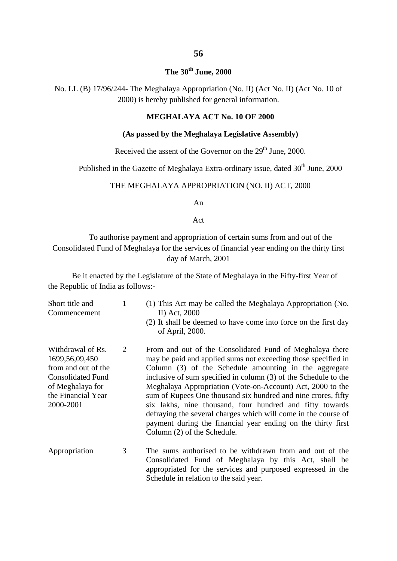### **The 30th June, 2000**

No. LL (B) 17/96/244- The Meghalaya Appropriation (No. II) (Act No. II) (Act No. 10 of 2000) is hereby published for general information.

#### **MEGHALAYA ACT No. 10 OF 2000**

#### **(As passed by the Meghalaya Legislative Assembly)**

Received the assent of the Governor on the  $29<sup>th</sup>$  June, 2000.

Published in the Gazette of Meghalaya Extra-ordinary issue, dated 30<sup>th</sup> June, 2000

#### THE MEGHALAYA APPROPRIATION (NO. II) ACT, 2000

An

Act

To authorise payment and appropriation of certain sums from and out of the Consolidated Fund of Meghalaya for the services of financial year ending on the thirty first day of March, 2001

Be it enacted by the Legislature of the State of Meghalaya in the Fifty-first Year of the Republic of India as follows:-

| Short title and<br>Commencement                                                                                                                  | $\mathbf{1}$ | (1) This Act may be called the Meghalaya Appropriation (No.<br>II) Act, 2000<br>(2) It shall be deemed to have come into force on the first day<br>of April, 2000.                                                                                                                                                                                                                                                                                                                                                                                                                                                |
|--------------------------------------------------------------------------------------------------------------------------------------------------|--------------|-------------------------------------------------------------------------------------------------------------------------------------------------------------------------------------------------------------------------------------------------------------------------------------------------------------------------------------------------------------------------------------------------------------------------------------------------------------------------------------------------------------------------------------------------------------------------------------------------------------------|
| Withdrawal of Rs.<br>1699, 56, 09, 450<br>from and out of the<br><b>Consolidated Fund</b><br>of Meghalaya for<br>the Financial Year<br>2000-2001 | 2            | From and out of the Consolidated Fund of Meghalaya there<br>may be paid and applied sums not exceeding those specified in<br>Column (3) of the Schedule amounting in the aggregate<br>inclusive of sum specified in column (3) of the Schedule to the<br>Meghalaya Appropriation (Vote-on-Account) Act, 2000 to the<br>sum of Rupees One thousand six hundred and nine crores, fifty<br>six lakhs, nine thousand, four hundred and fifty towards<br>defraying the several charges which will come in the course of<br>payment during the financial year ending on the thirty first<br>Column (2) of the Schedule. |
| Appropriation                                                                                                                                    | 3            | The sums authorised to be withdrawn from and out of the<br>Consolidated Fund of Meghalaya by this Act, shall be<br>appropriated for the services and purposed expressed in the<br>Schedule in relation to the said year.                                                                                                                                                                                                                                                                                                                                                                                          |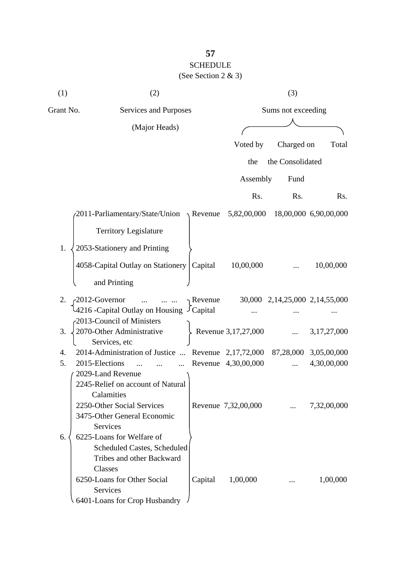### **57** SCHEDULE (See Section 2 & 3)

| (1)       | (2)                                                                                                     |                       |                     | (3)                            |                       |  |  |  |
|-----------|---------------------------------------------------------------------------------------------------------|-----------------------|---------------------|--------------------------------|-----------------------|--|--|--|
| Grant No. |                                                                                                         | Services and Purposes |                     |                                | Sums not exceeding    |  |  |  |
|           | (Major Heads)                                                                                           |                       |                     |                                |                       |  |  |  |
|           |                                                                                                         |                       | Voted by            | Charged on                     | Total                 |  |  |  |
|           |                                                                                                         |                       | the                 | the Consolidated               |                       |  |  |  |
|           |                                                                                                         |                       | Assembly            | Fund                           |                       |  |  |  |
|           |                                                                                                         |                       | Rs.                 | Rs.                            | Rs.                   |  |  |  |
|           | $\sim$ 2011-Parliamentary/State/Union $\rightarrow$ Revenue                                             |                       | 5,82,00,000         |                                | 18,00,000 6,90,00,000 |  |  |  |
|           | <b>Territory Legislature</b>                                                                            |                       |                     |                                |                       |  |  |  |
| 1.        |                                                                                                         |                       |                     |                                |                       |  |  |  |
|           | 2053-Stationery and Printing                                                                            |                       |                     |                                |                       |  |  |  |
|           | 4058-Capital Outlay on Stationery                                                                       | Capital               | 10,00,000           |                                | 10,00,000             |  |  |  |
|           | and Printing                                                                                            |                       |                     |                                |                       |  |  |  |
| 2.        | 2012-Governor<br>$\ddots$<br>$\cdots$ $\cdots$                                                          | Revenue               |                     | 30,000 2,14,25,000 2,14,55,000 |                       |  |  |  |
|           | 4216 - Capital Outlay on Housing J Capital                                                              |                       |                     |                                |                       |  |  |  |
|           | -2013-Council of Ministers                                                                              |                       |                     |                                |                       |  |  |  |
| 3.        | 2070-Other Administrative<br>Services, etc                                                              |                       | Revenue 3,17,27,000 |                                | 3,17,27,000           |  |  |  |
| 4.        | 2014-Administration of Justice  Revenue 2,17,72,000                                                     |                       |                     |                                | 87,28,000 3,05,00,000 |  |  |  |
| 5.        | 2015-Elections<br>$\ddotsc$                                                                             |                       | Revenue 4,30,00,000 | $\cdots$                       | 4,30,00,000           |  |  |  |
|           | 2029-Land Revenue<br>2245-Relief on account of Natural<br>Calamities                                    |                       |                     |                                |                       |  |  |  |
|           | 2250-Other Social Services<br>3475-Other General Economic<br>Services                                   |                       | Revenue 7,32,00,000 |                                | 7,32,00,000           |  |  |  |
| 6.        | 6225-Loans for Welfare of<br>Scheduled Castes, Scheduled<br>Tribes and other Backward<br><b>Classes</b> |                       |                     |                                |                       |  |  |  |
|           | 6250-Loans for Other Social<br>Services<br>6401-Loans for Crop Husbandry                                | Capital               | 1,00,000            |                                | 1,00,000              |  |  |  |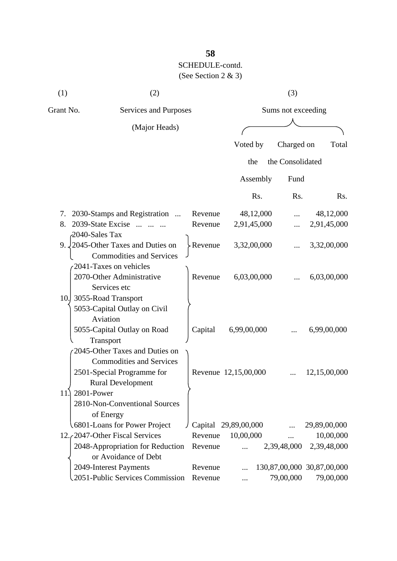| (1)       | (2)                                                                                                                         |                    |                        | (3)              |                                         |  |  |
|-----------|-----------------------------------------------------------------------------------------------------------------------------|--------------------|------------------------|------------------|-----------------------------------------|--|--|
| Grant No. | Services and Purposes                                                                                                       |                    | Sums not exceeding     |                  |                                         |  |  |
|           | (Major Heads)                                                                                                               |                    |                        |                  |                                         |  |  |
|           |                                                                                                                             |                    | Voted by               | Charged on       | Total                                   |  |  |
|           |                                                                                                                             |                    | the                    | the Consolidated |                                         |  |  |
|           |                                                                                                                             |                    | Assembly               | Fund             |                                         |  |  |
|           |                                                                                                                             |                    | Rs.                    | Rs.              | R <sub>s</sub> .                        |  |  |
| 7.        | 2030-Stamps and Registration                                                                                                | Revenue            | 48,12,000              |                  | 48,12,000                               |  |  |
| 8.        | 2039-State Excise                                                                                                           | Revenue            | 2,91,45,000            |                  | 2,91,45,000                             |  |  |
|           | 2040-Sales Tax<br>9. $\sqrt{2045}$ -Other Taxes and Duties on<br><b>Commodities and Services</b>                            | Revenue            | 3,32,00,000            |                  | 3,32,00,000                             |  |  |
|           | 2041-Taxes on vehicles<br>2070-Other Administrative<br>Services etc<br>10. 3055-Road Transport                              | Revenue            | 6,03,00,000            |                  | 6,03,00,000                             |  |  |
|           | 5053-Capital Outlay on Civil<br>Aviation<br>5055-Capital Outlay on Road<br>Transport                                        | Capital            | 6,99,00,000            |                  | 6,99,00,000                             |  |  |
|           | 2045-Other Taxes and Duties on<br><b>Commodities and Services</b><br>2501-Special Programme for<br><b>Rural Development</b> |                    | Revenue 12,15,00,000   |                  | 12,15,00,000                            |  |  |
| 11.       | 2801-Power<br>2810-Non-Conventional Sources<br>of Energy                                                                    |                    |                        |                  |                                         |  |  |
|           | 6801-Loans for Power Project<br>12. (2047-Other Fiscal Services                                                             |                    | Capital 29,89,00,000   |                  | 29,89,00,000                            |  |  |
|           | 2048-Appropriation for Reduction<br>or Avoidance of Debt                                                                    | Revenue<br>Revenue | 10,00,000<br>$\ddotsc$ | 2,39,48,000      | 10,00,000<br>2,39,48,000                |  |  |
|           | 2049-Interest Payments<br>2051-Public Services Commission                                                                   | Revenue<br>Revenue |                        | 79,00,000        | 130,87,00,000 30,87,00,000<br>79,00,000 |  |  |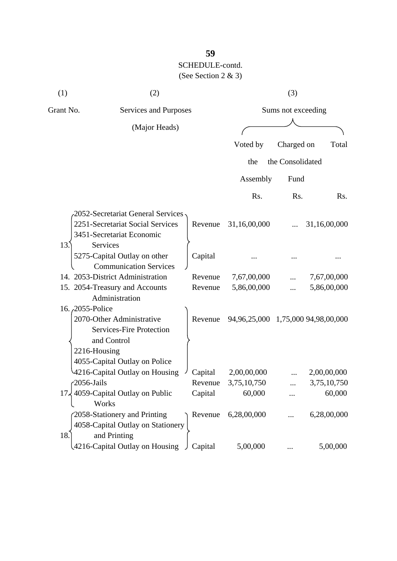| (1)       | (2)                                                                                             |                |                                    | (3)                |              |
|-----------|-------------------------------------------------------------------------------------------------|----------------|------------------------------------|--------------------|--------------|
| Grant No. | Services and Purposes                                                                           |                |                                    | Sums not exceeding |              |
|           | (Major Heads)                                                                                   |                |                                    |                    |              |
|           |                                                                                                 |                | Voted by                           | Charged on         | Total        |
|           |                                                                                                 |                | the                                | the Consolidated   |              |
|           |                                                                                                 |                | Assembly                           | Fund               |              |
|           |                                                                                                 |                | Rs.                                | Rs.                | Rs.          |
|           | 2052-Secretariat General Services -                                                             |                |                                    |                    |              |
|           | 2251-Secretariat Social Services<br>3451-Secretariat Economic                                   | Revenue        | 31,16,00,000                       |                    | 31,16,00,000 |
| 13.       | Services<br>5275-Capital Outlay on other<br><b>Communication Services</b>                       | Capital        |                                    |                    |              |
|           | 14. 2053-District Administration                                                                | Revenue        | 7,67,00,000                        |                    | 7,67,00,000  |
|           | 15. 2054-Treasury and Accounts<br>Administration                                                | Revenue        | 5,86,00,000                        |                    | 5,86,00,000  |
|           | 16. 2055-Police<br>2070-Other Administrative                                                    | Revenue        | 94,96,25,000 1,75,000 94,98,00,000 |                    |              |
|           | <b>Services-Fire Protection</b><br>and Control<br>2216-Housing<br>4055-Capital Outlay on Police |                |                                    |                    |              |
|           | 4216-Capital Outlay on Housing                                                                  | Capital        | 2,00,00,000                        |                    | 2,00,00,000  |
|           | $\sqrt{2056}$ -Jails                                                                            | Revenue        | 3,75,10,750                        |                    | 3,75,10,750  |
|           | 17, 4059-Capital Outlay on Public<br>Works                                                      | Capital        | 60,000                             |                    | 60,000       |
| 18.       | 2058-Stationery and Printing<br>4058-Capital Outlay on Stationery<br>and Printing               |                | Revenue 6,28,00,000                |                    | 6,28,00,000  |
|           | 4216-Capital Outlay on Housing                                                                  | $\int$ Capital | 5,00,000                           |                    | 5,00,000     |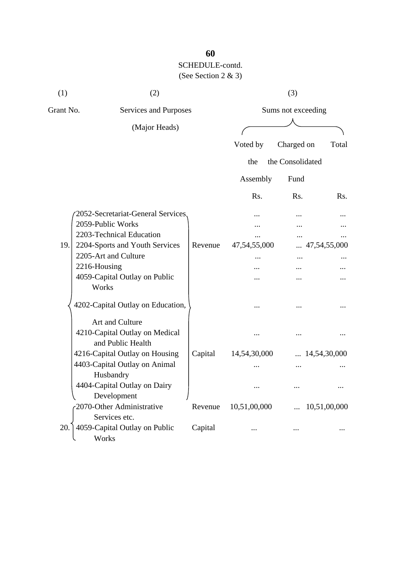| (1)       | (2)                                                 |         |              | (3)                |                       |
|-----------|-----------------------------------------------------|---------|--------------|--------------------|-----------------------|
| Grant No. | Services and Purposes                               |         |              | Sums not exceeding |                       |
|           | (Major Heads)                                       |         |              |                    |                       |
|           |                                                     |         | Voted by     | Charged on         | Total                 |
|           |                                                     |         | the          | the Consolidated   |                       |
|           |                                                     |         |              |                    |                       |
|           |                                                     |         | Assembly     | Fund               |                       |
|           |                                                     |         | Rs.          | Rs.                | R <sub>s</sub> .      |
|           | 2052-Secretariat-General Services.                  |         |              |                    |                       |
|           | 2059-Public Works                                   |         |              |                    |                       |
|           | 2203-Technical Education                            |         |              |                    |                       |
| 19.       | 2204-Sports and Youth Services                      | Revenue | 47,54,55,000 |                    | 47,54,55,000          |
|           | 2205-Art and Culture                                |         |              | $\cdots$           |                       |
|           | 2216-Housing                                        |         |              |                    |                       |
|           | 4059-Capital Outlay on Public<br>Works              |         |              |                    |                       |
|           | 4202-Capital Outlay on Education,                   |         |              |                    |                       |
|           | Art and Culture                                     |         |              |                    |                       |
|           | 4210-Capital Outlay on Medical<br>and Public Health |         |              |                    |                       |
|           | 4216-Capital Outlay on Housing                      | Capital | 14,54,30,000 |                    | $\ldots$ 14,54,30,000 |
|           | 4403-Capital Outlay on Animal                       |         |              |                    |                       |
|           | Husbandry                                           |         |              |                    |                       |
|           | 4404-Capital Outlay on Dairy<br>Development         |         |              |                    |                       |
|           | 2070-Other Administrative<br>Services etc.          | Revenue | 10,51,00,000 |                    | 10,51,00,000          |
| 20.       | 4059-Capital Outlay on Public<br>Works              | Capital |              |                    |                       |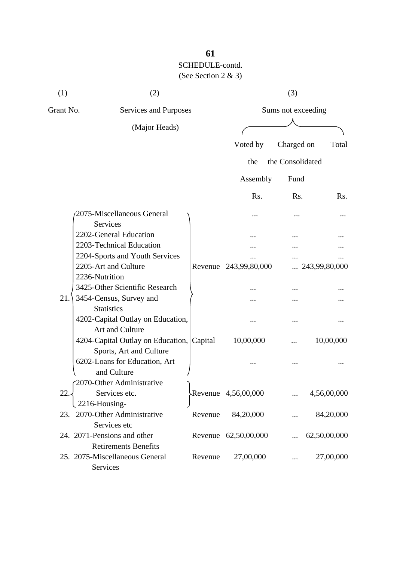| (1)       | (2)                               |         |                       | (3)                |               |
|-----------|-----------------------------------|---------|-----------------------|--------------------|---------------|
| Grant No. | Services and Purposes             |         |                       | Sums not exceeding |               |
|           | (Major Heads)                     |         |                       |                    |               |
|           |                                   |         | Voted by              | Charged on         | Total         |
|           |                                   |         | the                   | the Consolidated   |               |
|           |                                   |         | Assembly              | Fund               |               |
|           |                                   |         | R <sub>s</sub> .      | Rs.                | Rs.           |
|           | 2075-Miscellaneous General        |         |                       |                    |               |
|           | Services                          |         | $\cdots$              |                    |               |
|           | 2202-General Education            |         |                       |                    |               |
|           | 2203-Technical Education          |         |                       |                    |               |
|           | 2204-Sports and Youth Services    |         |                       |                    |               |
|           | 2205-Art and Culture              |         | Revenue 243,99,80,000 | .                  | 243,99,80,000 |
|           | 2236-Nutrition                    |         |                       |                    |               |
|           | 3425-Other Scientific Research    |         |                       |                    |               |
| 21.       | 3454-Census, Survey and           |         |                       |                    |               |
|           | <b>Statistics</b>                 |         |                       |                    |               |
|           | 4202-Capital Outlay on Education, |         |                       |                    |               |
|           | Art and Culture                   |         |                       |                    |               |
|           | 4204-Capital Outlay on Education, | Capital | 10,00,000             |                    | 10,00,000     |
|           | Sports, Art and Culture           |         |                       |                    |               |
|           | 6202-Loans for Education, Art     |         |                       |                    |               |
|           | and Culture                       |         |                       |                    |               |
|           | r2070-Other Administrative        |         |                       |                    |               |
| 22.       | Services etc.                     |         | Revenue 4,56,00,000   |                    | 4,56,00,000   |
|           | 2216-Housing-                     |         |                       |                    |               |
| 23.       | 2070-Other Administrative         | Revenue | 84,20,000             |                    | 84,20,000     |
|           | Services etc                      |         |                       |                    |               |
|           | 24. 2071-Pensions and other       |         | Revenue 62,50,00,000  |                    | 62,50,00,000  |
|           | <b>Retirements Benefits</b>       |         |                       |                    |               |
|           | 25. 2075-Miscellaneous General    | Revenue | 27,00,000             |                    | 27,00,000     |
|           | Services                          |         |                       |                    |               |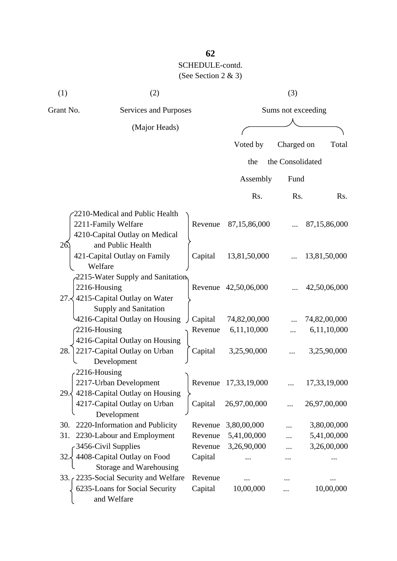| (1)       | (2)                                                            |                              |                            | (3)              |                            |  |  |  |
|-----------|----------------------------------------------------------------|------------------------------|----------------------------|------------------|----------------------------|--|--|--|
| Grant No. |                                                                | <b>Services and Purposes</b> |                            |                  | Sums not exceeding         |  |  |  |
|           | (Major Heads)                                                  |                              |                            |                  |                            |  |  |  |
|           |                                                                |                              | Voted by                   | Charged on       | Total                      |  |  |  |
|           |                                                                |                              | the                        | the Consolidated |                            |  |  |  |
|           |                                                                |                              |                            |                  |                            |  |  |  |
|           |                                                                |                              | Assembly                   | Fund             |                            |  |  |  |
|           |                                                                |                              | Rs.                        | Rs.              | Rs.                        |  |  |  |
|           | 2210-Medical and Public Health                                 |                              |                            |                  |                            |  |  |  |
|           | 2211-Family Welfare                                            | Revenue                      | 87,15,86,000               |                  | 87,15,86,000               |  |  |  |
|           | 4210-Capital Outlay on Medical                                 |                              |                            |                  |                            |  |  |  |
| 26        | and Public Health                                              |                              |                            |                  |                            |  |  |  |
|           | 421-Capital Outlay on Family<br>Welfare                        | Capital                      | 13,81,50,000               |                  | 13,81,50,000               |  |  |  |
|           | 2215-Water Supply and Sanitation                               |                              |                            |                  |                            |  |  |  |
|           | 2216-Housing                                                   |                              | Revenue 42,50,06,000       |                  | 42,50,06,000               |  |  |  |
|           | 27. 4215-Capital Outlay on Water                               |                              |                            |                  |                            |  |  |  |
|           | Supply and Sanitation                                          |                              |                            |                  |                            |  |  |  |
|           | 4216-Capital Outlay on Housing                                 | Capital                      | 74,82,00,000               |                  | 74,82,00,000               |  |  |  |
|           | $2216$ -Housing                                                | Revenue                      | 6,11,10,000                |                  | 6,11,10,000                |  |  |  |
| 28.       | 4216-Capital Outlay on Housing<br>2217-Capital Outlay on Urban | Capital                      | 3,25,90,000                |                  | 3,25,90,000                |  |  |  |
|           | Development                                                    |                              |                            |                  |                            |  |  |  |
|           | 2216-Housing                                                   |                              |                            |                  |                            |  |  |  |
|           | 2217-Urban Development                                         |                              | Revenue 17,33,19,000       |                  | 17,33,19,000               |  |  |  |
| 29.5      | 4218-Capital Outlay on Housing                                 |                              |                            |                  |                            |  |  |  |
|           | 4217-Capital Outlay on Urban                                   | Capital                      | 26,97,00,000               |                  | 26,97,00,000               |  |  |  |
|           | Development                                                    |                              |                            |                  |                            |  |  |  |
| 30.       | 2220-Information and Publicity                                 | Revenue                      | 3,80,00,000                |                  | 3,80,00,000                |  |  |  |
| 31.       | 2230-Labour and Employment<br>3456-Civil Supplies              | Revenue<br>Revenue           | 5,41,00,000<br>3,26,90,000 |                  | 5,41,00,000<br>3,26,00,000 |  |  |  |
| 32        | 4408-Capital Outlay on Food                                    | Capital                      |                            |                  |                            |  |  |  |
|           | Storage and Warehousing                                        |                              |                            |                  |                            |  |  |  |
|           | 33. 2235-Social Security and Welfare                           | Revenue                      |                            |                  |                            |  |  |  |
|           | 6235-Loans for Social Security                                 | Capital                      | 10,00,000                  |                  | 10,00,000                  |  |  |  |
|           | and Welfare                                                    |                              |                            |                  |                            |  |  |  |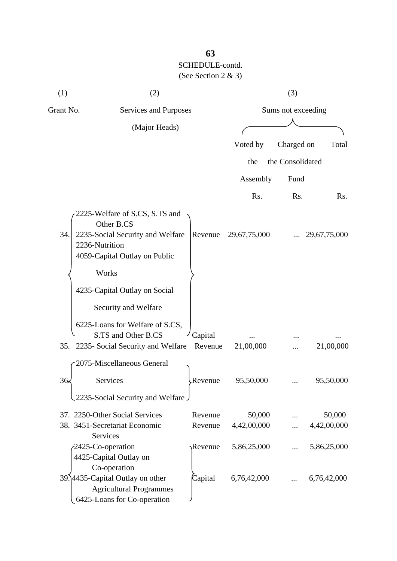| (1)       | (2)                                                                                                                                 |                    |                       | (3)                |                       |
|-----------|-------------------------------------------------------------------------------------------------------------------------------------|--------------------|-----------------------|--------------------|-----------------------|
| Grant No. | Services and Purposes                                                                                                               |                    |                       | Sums not exceeding |                       |
|           | (Major Heads)                                                                                                                       |                    |                       |                    |                       |
|           |                                                                                                                                     |                    | Voted by              | Charged on         | Total                 |
|           |                                                                                                                                     |                    | the                   | the Consolidated   |                       |
|           |                                                                                                                                     |                    | Assembly              | Fund               |                       |
|           |                                                                                                                                     |                    | Rs.                   | Rs.                | Rs.                   |
| 34.       | 2225-Welfare of S.CS, S.TS and<br>Other B.CS<br>2235-Social Security and Welfare<br>2236-Nutrition<br>4059-Capital Outlay on Public | Revenue            | 29,67,75,000          |                    | 29,67,75,000          |
|           | Works<br>4235-Capital Outlay on Social                                                                                              |                    |                       |                    |                       |
|           | Security and Welfare<br>6225-Loans for Welfare of S.CS,<br>S.TS and Other B.CS<br>35. 2235- Social Security and Welfare             | Capital<br>Revenue | 21,00,000             |                    | 21,00,000             |
|           | 2075-Miscellaneous General                                                                                                          |                    |                       |                    |                       |
| 36.       | Services<br>2235-Social Security and Welfare                                                                                        | Revenue.           | 95,50,000             |                    | 95,50,000             |
|           | 37. 2250-Other Social Services<br>38. 3451-Secretariat Economic<br><b>Services</b>                                                  | Revenue<br>Revenue | 50,000<br>4,42,00,000 |                    | 50,000<br>4,42,00,000 |
|           | 2425-Co-operation<br>4425-Capital Outlay on<br>Co-operation                                                                         | Revenue            | 5,86,25,000           |                    | 5,86,25,000           |
|           | 39.14435-Capital Outlay on other<br><b>Agricultural Programmes</b><br>6425-Loans for Co-operation                                   | Capital            | 6,76,42,000           |                    | 6,76,42,000           |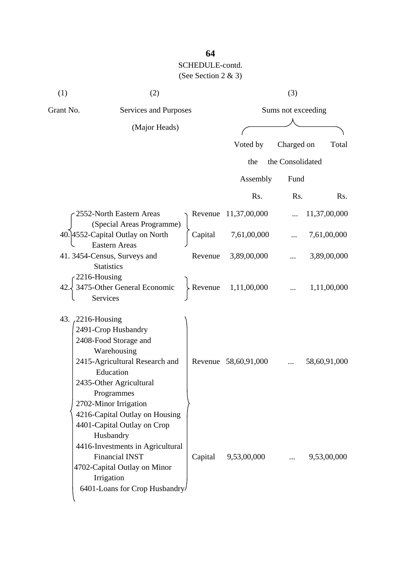| (1)       | (2)                                                                                                                                                                                                                    |         |                      | (3)                |              |
|-----------|------------------------------------------------------------------------------------------------------------------------------------------------------------------------------------------------------------------------|---------|----------------------|--------------------|--------------|
| Grant No. | Services and Purposes                                                                                                                                                                                                  |         |                      | Sums not exceeding |              |
|           | (Major Heads)                                                                                                                                                                                                          |         |                      |                    |              |
|           |                                                                                                                                                                                                                        |         | Voted by             | Charged on         | Total        |
|           |                                                                                                                                                                                                                        |         | the                  | the Consolidated   |              |
|           |                                                                                                                                                                                                                        |         | Assembly             | Fund               |              |
|           |                                                                                                                                                                                                                        |         | Rs.                  | Rs.                | Rs.          |
|           | 2552-North Eastern Areas<br>(Special Areas Programme)                                                                                                                                                                  |         | Revenue 11,37,00,000 |                    | 11,37,00,000 |
|           | 40. 4552-Capital Outlay on North<br><b>Eastern Areas</b>                                                                                                                                                               | Capital | 7,61,00,000          |                    | 7,61,00,000  |
|           | 41.3454-Census, Surveys and                                                                                                                                                                                            | Revenue | 3,89,00,000          |                    | 3,89,00,000  |
|           | <b>Statistics</b><br>2216-Housing<br>3475-Other General Economic<br><b>Services</b>                                                                                                                                    | Revenue | 1,11,00,000          |                    | 1,11,00,000  |
|           | 43. 2216-Housing<br>2491-Crop Husbandry<br>2408-Food Storage and<br>Warehousing<br>2415-Agricultural Research and<br>Education<br>2435-Other Agricultural<br>Programmes<br>2702-Minor Irrigation                       |         | Revenue 58,60,91,000 |                    | 58,60,91,000 |
|           | 4216-Capital Outlay on Housing<br>4401-Capital Outlay on Crop<br>Husbandry<br>4416-Investments in Agricultural<br><b>Financial INST</b><br>4702-Capital Outlay on Minor<br>Irrigation<br>6401-Loans for Crop Husbandry | Capital | 9,53,00,000          | $\cdots$           | 9,53,00,000  |

# **64**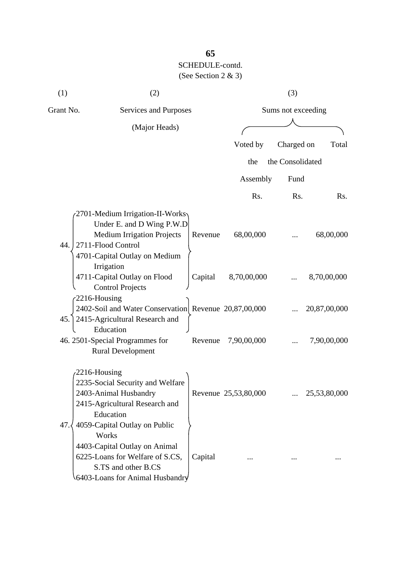| (1)       | (2)                                                                                                                                                       |         |                      | (3)                |                  |
|-----------|-----------------------------------------------------------------------------------------------------------------------------------------------------------|---------|----------------------|--------------------|------------------|
| Grant No. | Services and Purposes                                                                                                                                     |         |                      | Sums not exceeding |                  |
|           | (Major Heads)                                                                                                                                             |         |                      |                    |                  |
|           |                                                                                                                                                           |         | Voted by             | Charged on         | Total            |
|           |                                                                                                                                                           |         | the                  | the Consolidated   |                  |
|           |                                                                                                                                                           |         | Assembly             | Fund               |                  |
|           |                                                                                                                                                           |         | Rs.                  | Rs.                | R <sub>s</sub> . |
| 44.       | 2701-Medium Irrigation-II-Works<br>Under E. and D Wing P.W.D<br><b>Medium Irrigation Projects</b><br>2711-Flood Control                                   | Revenue | 68,00,000            |                    | 68,00,000        |
|           | 4701-Capital Outlay on Medium<br>Irrigation<br>4711-Capital Outlay on Flood<br><b>Control Projects</b>                                                    | Capital | 8,70,00,000          |                    | 8,70,00,000      |
| 45.       | $-2216$ -Housing<br>2402-Soil and Water Conservation Revenue 20,87,00,000<br>2415-Agricultural Research and                                               |         |                      |                    | 20,87,00,000     |
|           | Education<br>46. 2501-Special Programmes for<br><b>Rural Development</b>                                                                                  | Revenue | 7,90,00,000          |                    | 7,90,00,000      |
| 47.3      | 2216-Housing<br>2235-Social Security and Welfare<br>2403-Animal Husbandry<br>2415-Agricultural Research and<br>Education<br>4059-Capital Outlay on Public |         | Revenue 25,53,80,000 |                    | 25,53,80,000     |
|           | Works<br>4403-Capital Outlay on Animal<br>6225-Loans for Welfare of S.CS,<br>S.TS and other B.CS<br>6403-Loans for Animal Husbandry                       | Capital |                      |                    |                  |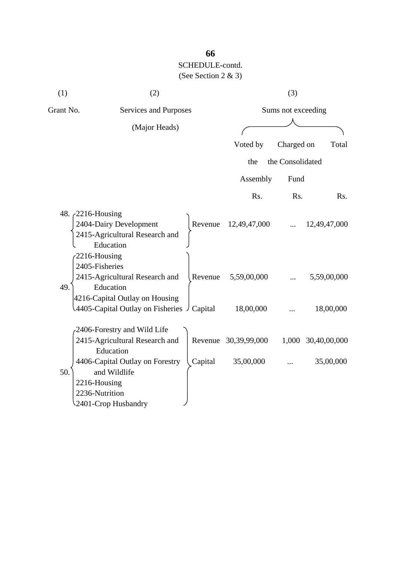| (1)                                   | (2)                                                                                                                                                                    |         |                                   | (3)                |                           |
|---------------------------------------|------------------------------------------------------------------------------------------------------------------------------------------------------------------------|---------|-----------------------------------|--------------------|---------------------------|
| Grant No.                             | Services and Purposes                                                                                                                                                  |         |                                   | Sums not exceeding |                           |
|                                       | (Major Heads)                                                                                                                                                          |         |                                   |                    |                           |
|                                       |                                                                                                                                                                        |         | Voted by                          | Charged on         | Total                     |
|                                       |                                                                                                                                                                        |         | the                               | the Consolidated   |                           |
|                                       |                                                                                                                                                                        |         | Assembly                          | Fund               |                           |
|                                       |                                                                                                                                                                        |         | Rs.                               | Rs.                | Rs.                       |
| 48. $\angle$ 2216-Housing             | 2404-Dairy Development<br>2415-Agricultural Research and<br>Education                                                                                                  |         | Revenue 12,49,47,000              |                    | 12,49,47,000              |
| 2216-Housing<br>2405-Fisheries<br>49. | 2415-Agricultural Research and<br>Education                                                                                                                            | Revenue | 5,59,00,000                       |                    | 5,59,00,000               |
|                                       | 4216-Capital Outlay on Housing<br>4405-Capital Outlay on Fisheries $\int$ Capital                                                                                      |         | 18,00,000                         |                    | 18,00,000                 |
| 50.<br>2216-Housing                   | 2406-Forestry and Wild Life<br>2415-Agricultural Research and<br>Education<br>4406-Capital Outlay on Forestry<br>and Wildlife<br>2236-Nutrition<br>2401-Crop Husbandry | Capital | Revenue 30,39,99,000<br>35,00,000 | 1,000              | 30,40,00,000<br>35,00,000 |

# **66**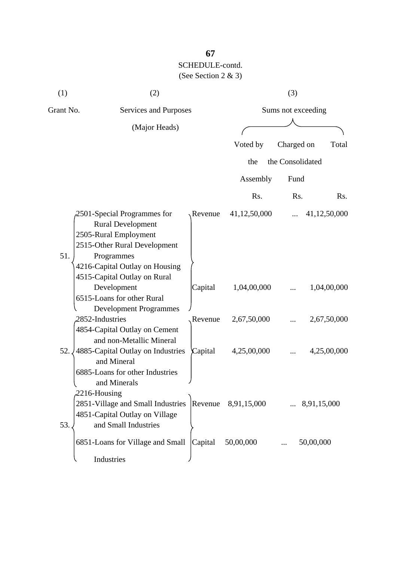| (1)       | (2)                                                                                                                                                                                                                                           |                    |                             | (3)              |                             |
|-----------|-----------------------------------------------------------------------------------------------------------------------------------------------------------------------------------------------------------------------------------------------|--------------------|-----------------------------|------------------|-----------------------------|
| Grant No. | Services and Purposes                                                                                                                                                                                                                         |                    | Sums not exceeding          |                  |                             |
|           | (Major Heads)                                                                                                                                                                                                                                 |                    |                             |                  |                             |
|           |                                                                                                                                                                                                                                               |                    | Voted by                    | Charged on       | Total                       |
|           |                                                                                                                                                                                                                                               |                    | the                         | the Consolidated |                             |
|           |                                                                                                                                                                                                                                               |                    | Assembly                    | Fund             |                             |
|           |                                                                                                                                                                                                                                               |                    | Rs.                         | Rs.              | Rs.                         |
| 51.       | 2501-Special Programmes for<br><b>Rural Development</b><br>2505-Rural Employment<br>2515-Other Rural Development<br>Programmes<br>4216-Capital Outlay on Housing<br>4515-Capital Outlay on Rural<br>Development<br>6515-Loans for other Rural | Revenue<br>Capital | 41,12,50,000<br>1,04,00,000 |                  | 41,12,50,000<br>1,04,00,000 |
|           | <b>Development Programmes</b><br>2852-Industries                                                                                                                                                                                              | Revenue            | 2,67,50,000                 |                  | 2,67,50,000                 |
| 52.       | 4854-Capital Outlay on Cement<br>and non-Metallic Mineral<br>4885-Capital Outlay on Industries<br>and Mineral<br>6885-Loans for other Industries<br>and Minerals                                                                              | Capital            | 4,25,00,000                 |                  | 4,25,00,000                 |
| 53.       | $2216$ -Housing<br>2851-Village and Small Industries<br>4851-Capital Outlay on Village<br>and Small Industries                                                                                                                                | Revenue            | 8,91,15,000                 |                  | 8,91,15,000                 |
|           | 6851-Loans for Village and Small<br>Industries                                                                                                                                                                                                | Capital            | 50,00,000                   |                  | 50,00,000                   |

# **67**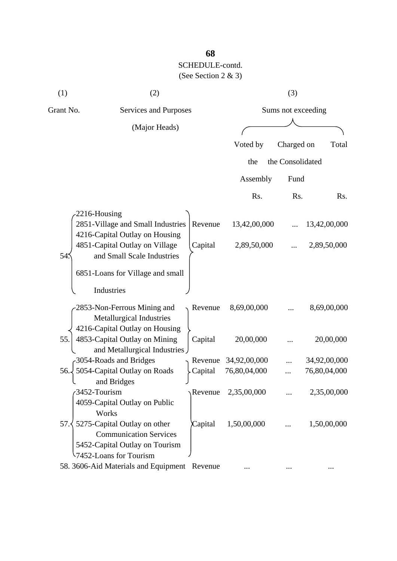| (1)       | (2)                                                                                                                       |         |              | (3)                |              |
|-----------|---------------------------------------------------------------------------------------------------------------------------|---------|--------------|--------------------|--------------|
| Grant No. | Services and Purposes                                                                                                     |         |              | Sums not exceeding |              |
|           | (Major Heads)                                                                                                             |         |              |                    |              |
|           |                                                                                                                           |         | Voted by     | Charged on         | Total        |
|           |                                                                                                                           |         | the          | the Consolidated   |              |
|           |                                                                                                                           |         | Assembly     | Fund               |              |
|           |                                                                                                                           |         | Rs.          | Rs.                | Rs.          |
|           | 2216-Housing                                                                                                              |         |              |                    |              |
|           | 2851-Village and Small Industries                                                                                         | Revenue | 13,42,00,000 |                    | 13,42,00,000 |
| 54        | 4216-Capital Outlay on Housing<br>4851-Capital Outlay on Village<br>and Small Scale Industries                            | Capital | 2,89,50,000  |                    | 2,89,50,000  |
|           | 6851-Loans for Village and small<br>Industries                                                                            |         |              |                    |              |
|           | 2853-Non-Ferrous Mining and<br>Metallurgical Industries                                                                   | Revenue | 8,69,00,000  |                    | 8,69,00,000  |
| 55.       | 4216-Capital Outlay on Housing<br>4853-Capital Outlay on Mining<br>and Metallurgical Industries                           | Capital | 20,00,000    |                    | 20,00,000    |
|           | 3054-Roads and Bridges                                                                                                    | Revenue | 34,92,00,000 |                    | 34,92,00,000 |
| 56.       | 5054-Capital Outlay on Roads<br>and Bridges                                                                               | Capital | 76,80,04,000 |                    | 76,80,04,000 |
|           | 3452-Tourism<br>4059-Capital Outlay on Public<br>Works                                                                    | Revenue | 2,35,00,000  |                    | 2,35,00,000  |
| 57.5      | 5275-Capital Outlay on other<br><b>Communication Services</b><br>5452-Capital Outlay on Tourism<br>7452-Loans for Tourism | Capital | 1,50,00,000  |                    | 1,50,00,000  |
|           | 58. 3606-Aid Materials and Equipment Revenue                                                                              |         |              |                    |              |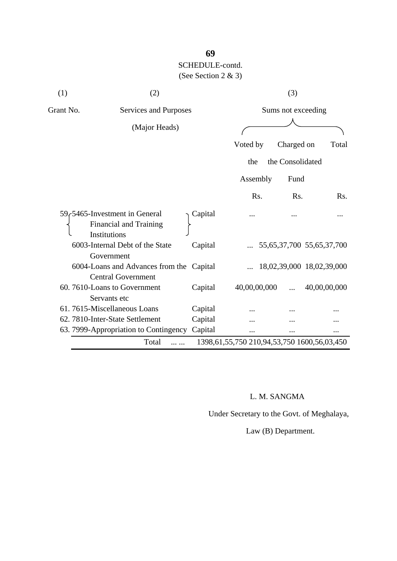| (1)       | (2)                                                                                         |         |                                                      | (3)                             |              |  |
|-----------|---------------------------------------------------------------------------------------------|---------|------------------------------------------------------|---------------------------------|--------------|--|
| Grant No. | Services and Purposes                                                                       |         |                                                      | Sums not exceeding              |              |  |
|           | (Major Heads)                                                                               |         |                                                      |                                 |              |  |
|           |                                                                                             |         | Voted by                                             | Charged on                      | Total        |  |
|           |                                                                                             |         | the                                                  | the Consolidated                |              |  |
|           |                                                                                             |         | Assembly                                             | Fund                            |              |  |
|           |                                                                                             |         | Rs.                                                  | R <sub>s</sub> .                | Rs.          |  |
|           | 59 <sub>c</sub> 5465-Investment in General<br><b>Financial and Training</b><br>Institutions | Capital |                                                      |                                 |              |  |
|           | 6003-Internal Debt of the State<br>Government                                               | Capital |                                                      | 55, 65, 37, 700 55, 65, 37, 700 |              |  |
|           | 6004-Loans and Advances from the Capital<br><b>Central Government</b>                       |         |                                                      | 18,02,39,000 18,02,39,000       |              |  |
|           | 60.7610-Loans to Government<br>Servants etc                                                 | Capital | 40,00,00,000                                         |                                 | 40,00,00,000 |  |
|           | 61.7615-Miscellaneous Loans                                                                 | Capital |                                                      |                                 |              |  |
|           | 62. 7810-Inter-State Settlement                                                             | Capital |                                                      |                                 |              |  |
|           | 63. 7999-Appropriation to Contingency                                                       | Capital |                                                      |                                 |              |  |
|           | Total                                                                                       |         | 1398, 61, 55, 750 210, 94, 53, 750 1600, 56, 03, 450 |                                 |              |  |

### L. M. SANGMA

Under Secretary to the Govt. of Meghalaya,

Law (B) Department.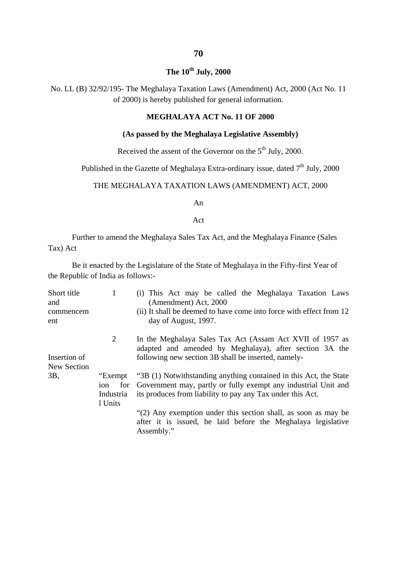### **The 10th July, 2000**

No. LL (B) 32/92/195- The Meghalaya Taxation Laws (Amendment) Act, 2000 (Act No. 11 of 2000) is hereby published for general information.

#### **MEGHALAYA ACT No. 11 OF 2000**

#### **(As passed by the Meghalaya Legislative Assembly)**

Received the assent of the Governor on the  $5<sup>th</sup>$  July, 2000.

Published in the Gazette of Meghalaya Extra-ordinary issue, dated 7<sup>th</sup> July, 2000

### THE MEGHALAYA TAXATION LAWS (AMENDMENT) ACT, 2000

An

Act

Further to amend the Meghalaya Sales Tax Act, and the Meghalaya Finance (Sales Tax) Act

Be it enacted by the Legislature of the State of Meghalaya in the Fifty-first Year of the Republic of India as follows:-

| Short title<br>and<br>commencem<br>ent | 1                           | (i) This Act may be called the Meghalaya Taxation Laws<br>(Amendment) Act, 2000<br>(ii) It shall be deemed to have come into force with effect from 12<br>day of August, 1997.                                |
|----------------------------------------|-----------------------------|---------------------------------------------------------------------------------------------------------------------------------------------------------------------------------------------------------------|
| Insertion of<br>New Section            | $\overline{2}$              | In the Meghalaya Sales Tax Act (Assam Act XVII of 1957 as<br>adapted and amended by Meghalaya), after section 3A the<br>following new section 3B shall be inserted, namely-                                   |
| 3B,                                    | ion<br>Industria<br>1 Units | "Exempt "3B (1) Notwithstanding anything contained in this Act, the State<br>for Government may, partly or fully exempt any industrial Unit and<br>its produces from liability to pay any Tax under this Act. |
|                                        |                             | "(2) Any exemption under this section shall, as soon as may be<br>after it is issued, be laid before the Meghalaya legislative<br>Assembly."                                                                  |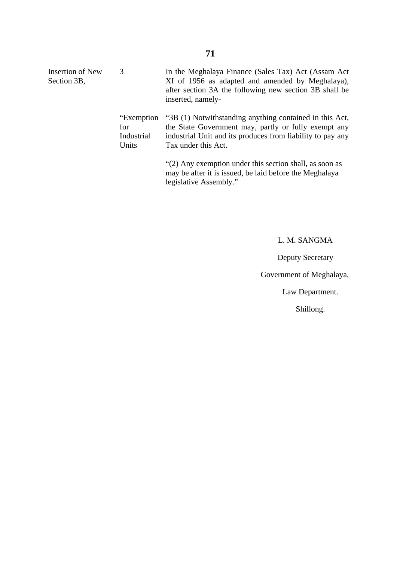| Insertion of New<br>Section 3B, | 3                                         | In the Meghalaya Finance (Sales Tax) Act (Assam Act)<br>XI of 1956 as adapted and amended by Meghalaya),<br>after section 3A the following new section 3B shall be<br>inserted, namely-              |
|---------------------------------|-------------------------------------------|------------------------------------------------------------------------------------------------------------------------------------------------------------------------------------------------------|
|                                 | "Exemption"<br>for<br>Industrial<br>Units | "3B (1) Notwithstanding anything contained in this Act,<br>the State Government may, partly or fully exempt any<br>industrial Unit and its produces from liability to pay any<br>Tax under this Act. |
|                                 |                                           | "(2) Any exemption under this section shall, as soon as<br>may be after it is issued, be laid before the Meghalaya<br>legislative Assembly."                                                         |

## L. M. SANGMA

Deputy Secretary

Government of Meghalaya,

Law Department.

Shillong.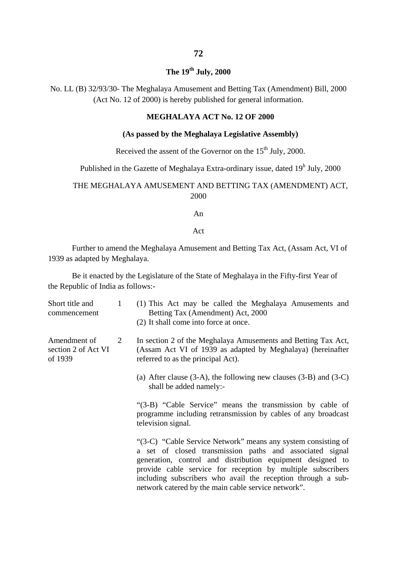## **The 19th July, 2000**

No. LL (B) 32/93/30- The Meghalaya Amusement and Betting Tax (Amendment) Bill, 2000 (Act No. 12 of 2000) is hereby published for general information.

### **MEGHALAYA ACT No. 12 OF 2000**

### **(As passed by the Meghalaya Legislative Assembly)**

Received the assent of the Governor on the  $15<sup>th</sup>$  July, 2000.

Published in the Gazette of Meghalaya Extra-ordinary issue, dated  $19<sup>h</sup>$  July, 2000

### THE MEGHALAYA AMUSEMENT AND BETTING TAX (AMENDMENT) ACT, 2000

An

Act

Further to amend the Meghalaya Amusement and Betting Tax Act, (Assam Act, VI of 1939 as adapted by Meghalaya.

Be it enacted by the Legislature of the State of Meghalaya in the Fifty-first Year of the Republic of India as follows:-

| Short title and<br>commencement                | 1              | (1) This Act may be called the Meghalaya Amusements and<br>Betting Tax (Amendment) Act, 2000<br>(2) It shall come into force at once.                                                                                                                                                                                                                                         |
|------------------------------------------------|----------------|-------------------------------------------------------------------------------------------------------------------------------------------------------------------------------------------------------------------------------------------------------------------------------------------------------------------------------------------------------------------------------|
| Amendment of<br>section 2 of Act VI<br>of 1939 | $\overline{2}$ | In section 2 of the Meghalaya Amusements and Betting Tax Act,<br>(Assam Act VI of 1939 as adapted by Meghalaya) (hereinafter<br>referred to as the principal Act).                                                                                                                                                                                                            |
|                                                |                | (a) After clause $(3-A)$ , the following new clauses $(3-B)$ and $(3-C)$<br>shall be added namely:-                                                                                                                                                                                                                                                                           |
|                                                |                | "(3-B) "Cable Service" means the transmission by cable of<br>programme including retransmission by cables of any broadcast<br>television signal.                                                                                                                                                                                                                              |
|                                                |                | "(3-C) "Cable Service Network" means any system consisting of<br>a set of closed transmission paths and associated signal<br>generation, control and distribution equipment designed to<br>provide cable service for reception by multiple subscribers<br>including subscribers who avail the reception through a sub-<br>network catered by the main cable service network". |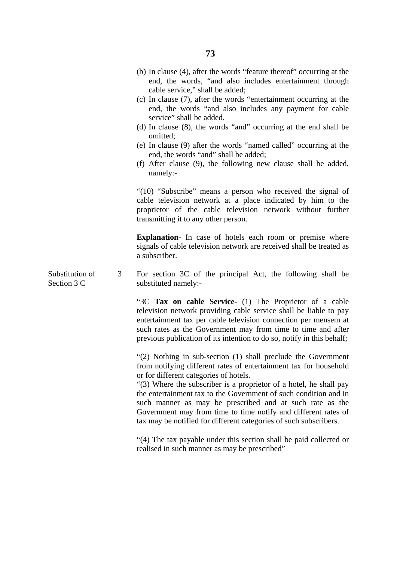- (c) In clause (7), after the words "entertainment occurring at the end, the words "and also includes any payment for cable service" shall be added.
- (d) In clause (8), the words "and" occurring at the end shall be omitted;
- (e) In clause (9) after the words "named called" occurring at the end, the words "and" shall be added;
- (f) After clause (9), the following new clause shall be added, namely:-

"(10) "Subscribe" means a person who received the signal of cable television network at a place indicated by him to the proprietor of the cable television network without further transmitting it to any other person.

**Explanation-** In case of hotels each room or premise where signals of cable television network are received shall be treated as a subscriber.

Substitution of Section 3 C 3 For section 3C of the principal Act, the following shall be substituted namely:-

> "3C **Tax on cable Service-** (1) The Proprietor of a cable television network providing cable service shall be liable to pay entertainment tax per cable television connection per mensem at such rates as the Government may from time to time and after previous publication of its intention to do so, notify in this behalf;

> "(2) Nothing in sub-section (1) shall preclude the Government from notifying different rates of entertainment tax for household or for different categories of hotels.

> "(3) Where the subscriber is a proprietor of a hotel, he shall pay the entertainment tax to the Government of such condition and in such manner as may be prescribed and at such rate as the Government may from time to time notify and different rates of tax may be notified for different categories of such subscribers.

> "(4) The tax payable under this section shall be paid collected or realised in such manner as may be prescribed"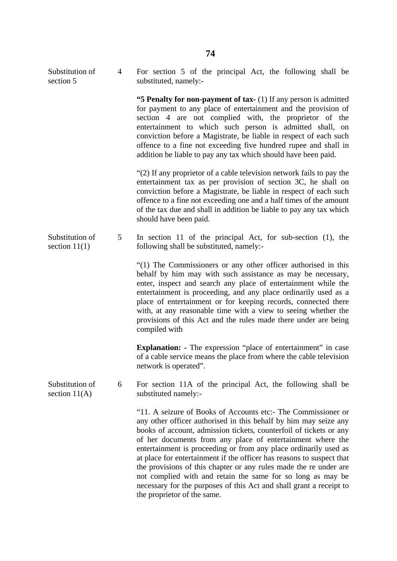Substitution of section 5 4 For section 5 of the principal Act, the following shall be substituted, namely:-

> **"5 Penalty for non-payment of tax-** (1) If any person is admitted for payment to any place of entertainment and the provision of section 4 are not complied with, the proprietor of the entertainment to which such person is admitted shall, on conviction before a Magistrate, be liable in respect of each such offence to a fine not exceeding five hundred rupee and shall in addition be liable to pay any tax which should have been paid.

> "(2) If any proprietor of a cable television network fails to pay the entertainment tax as per provision of section 3C, he shall on conviction before a Magistrate, be liable in respect of each such offence to a fine not exceeding one and a half times of the amount of the tax due and shall in addition be liable to pay any tax which should have been paid.

Substitution of section 11(1) 5 In section 11 of the principal Act, for sub-section (1), the following shall be substituted, namely:-

> "(1) The Commissioners or any other officer authorised in this behalf by him may with such assistance as may be necessary, enter, inspect and search any place of entertainment while the entertainment is proceeding, and any place ordinarily used as a place of entertainment or for keeping records, connected there with, at any reasonable time with a view to seeing whether the provisions of this Act and the rules made there under are being compiled with

> **Explanation: -** The expression "place of entertainment" in case of a cable service means the place from where the cable television network is operated".

Substitution of section  $11(A)$ 6 For section 11A of the principal Act, the following shall be substituted namely:-

> "11. A seizure of Books of Accounts etc:- The Commissioner or any other officer authorised in this behalf by him may seize any books of account, admission tickets, counterfoil of tickets or any of her documents from any place of entertainment where the entertainment is proceeding or from any place ordinarily used as at place for entertainment if the officer has reasons to suspect that the provisions of this chapter or any rules made the re under are not complied with and retain the same for so long as may be necessary for the purposes of this Act and shall grant a receipt to the proprietor of the same.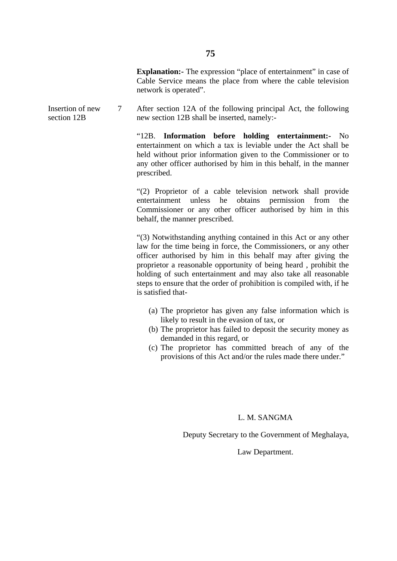**Explanation:** The expression "place of entertainment" in case of Cable Service means the place from where the cable television network is operated".

Insertion of new section 12B 7 After section 12A of the following principal Act, the following new section 12B shall be inserted, namely:-

> "12B. **Information before holding entertainment:-** No entertainment on which a tax is leviable under the Act shall be held without prior information given to the Commissioner or to any other officer authorised by him in this behalf, in the manner prescribed.

> "(2) Proprietor of a cable television network shall provide entertainment unless he obtains permission from the Commissioner or any other officer authorised by him in this behalf, the manner prescribed.

> "(3) Notwithstanding anything contained in this Act or any other law for the time being in force, the Commissioners, or any other officer authorised by him in this behalf may after giving the proprietor a reasonable opportunity of being heard , prohibit the holding of such entertainment and may also take all reasonable steps to ensure that the order of prohibition is compiled with, if he is satisfied that-

- (a) The proprietor has given any false information which is likely to result in the evasion of tax, or
- (b) The proprietor has failed to deposit the security money as demanded in this regard, or
- (c) The proprietor has committed breach of any of the provisions of this Act and/or the rules made there under."

#### L. M. SANGMA

Deputy Secretary to the Government of Meghalaya,

Law Department.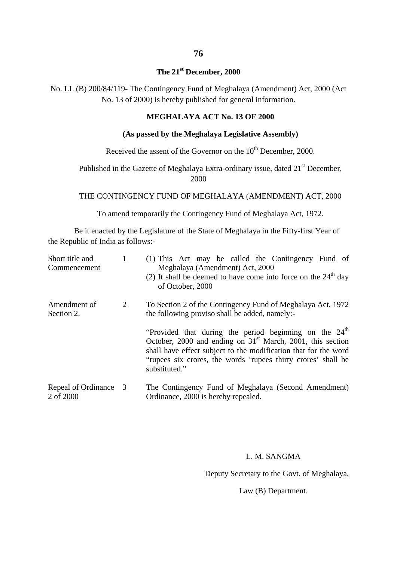## **The 21st December, 2000**

No. LL (B) 200/84/119- The Contingency Fund of Meghalaya (Amendment) Act, 2000 (Act No. 13 of 2000) is hereby published for general information.

### **MEGHALAYA ACT No. 13 OF 2000**

### **(As passed by the Meghalaya Legislative Assembly)**

### Received the assent of the Governor on the  $10<sup>th</sup>$  December, 2000.

Published in the Gazette of Meghalaya Extra-ordinary issue, dated 21<sup>st</sup> December, 2000

THE CONTINGENCY FUND OF MEGHALAYA (AMENDMENT) ACT, 2000

To amend temporarily the Contingency Fund of Meghalaya Act, 1972.

Be it enacted by the Legislature of the State of Meghalaya in the Fifty-first Year of the Republic of India as follows:-

| Short title and<br>Commencement    |   | (1) This Act may be called the Contingency Fund of<br>Meghalaya (Amendment) Act, 2000<br>(2) It shall be deemed to have come into force on the $24th$ day<br>of October, 2000                                                                                                           |
|------------------------------------|---|-----------------------------------------------------------------------------------------------------------------------------------------------------------------------------------------------------------------------------------------------------------------------------------------|
| Amendment of<br>Section 2.         | 2 | To Section 2 of the Contingency Fund of Meghalaya Act, 1972<br>the following proviso shall be added, namely:-                                                                                                                                                                           |
|                                    |   | "Provided that during the period beginning on the 24 <sup>th</sup><br>October, 2000 and ending on $31st$ March, 2001, this section<br>shall have effect subject to the modification that for the word<br>"rupees six crores, the words 'rupees thirty crores' shall be<br>substituted." |
| Repeal of Ordinance 3<br>2 of 2000 |   | The Contingency Fund of Meghalaya (Second Amendment)<br>Ordinance, 2000 is hereby repealed.                                                                                                                                                                                             |

### L. M. SANGMA

Deputy Secretary to the Govt. of Meghalaya,

Law (B) Department.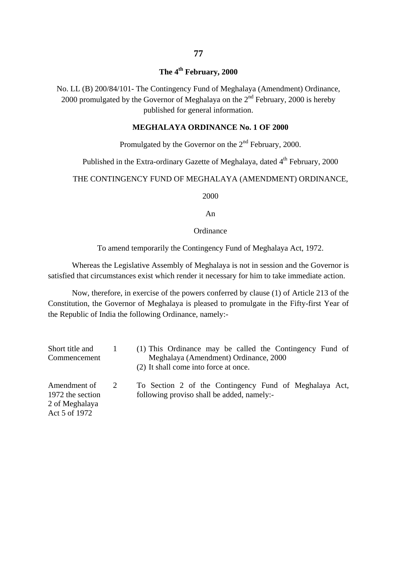## **The 4th February, 2000**

No. LL (B) 200/84/101- The Contingency Fund of Meghalaya (Amendment) Ordinance, 2000 promulgated by the Governor of Meghalaya on the  $2<sup>nd</sup>$  February, 2000 is hereby published for general information.

### **MEGHALAYA ORDINANCE No. 1 OF 2000**

# Promulgated by the Governor on the  $2<sup>nd</sup>$  February, 2000.

## Published in the Extra-ordinary Gazette of Meghalaya, dated 4<sup>th</sup> February, 2000

### THE CONTINGENCY FUND OF MEGHALAYA (AMENDMENT) ORDINANCE,

2000

An

#### **Ordinance**

To amend temporarily the Contingency Fund of Meghalaya Act, 1972.

Whereas the Legislative Assembly of Meghalaya is not in session and the Governor is satisfied that circumstances exist which render it necessary for him to take immediate action.

Now, therefore, in exercise of the powers conferred by clause (1) of Article 213 of the Constitution, the Governor of Meghalaya is pleased to promulgate in the Fifty-first Year of the Republic of India the following Ordinance, namely:-

| Short title and                                                     |               | (1) This Ordinance may be called the Contingency Fund of                                             |
|---------------------------------------------------------------------|---------------|------------------------------------------------------------------------------------------------------|
| Commencement                                                        |               | Meghalaya (Amendment) Ordinance, 2000<br>(2) It shall come into force at once.                       |
| Amendment of<br>1972 the section<br>2 of Meghalaya<br>Act 5 of 1972 | $\mathcal{L}$ | To Section 2 of the Contingency Fund of Meghalaya Act,<br>following proviso shall be added, namely:- |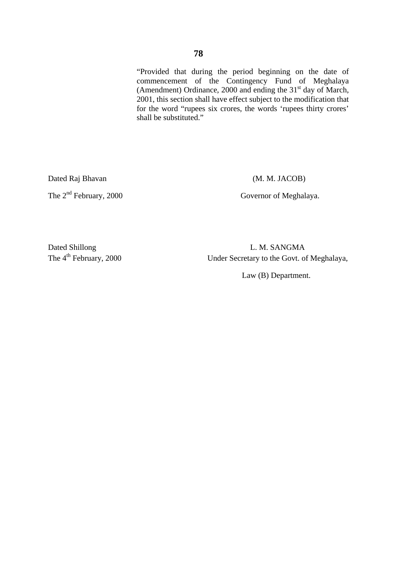"Provided that during the period beginning on the date of commencement of the Contingency Fund of Meghalaya (Amendment) Ordinance, 2000 and ending the  $31<sup>st</sup>$  day of March, 2001, this section shall have effect subject to the modification that for the word "rupees six crores, the words 'rupees thirty crores' shall be substituted."

Dated Raj Bhavan (M. M. JACOB)

The 2<sup>nd</sup> February, 2000 Governor of Meghalaya.

Dated Shillong L. M. SANGMA The 4<sup>th</sup> February, 2000 Under Secretary to the Govt. of Meghalaya,

Law (B) Department.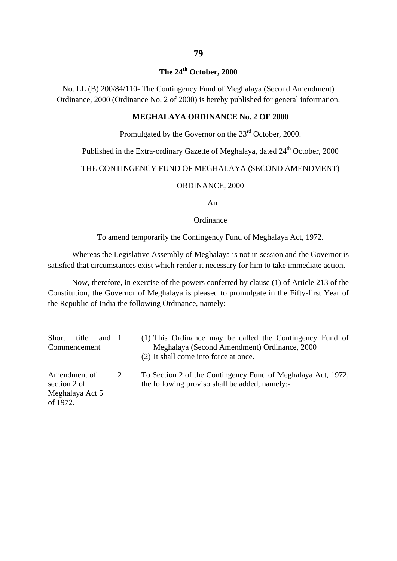## **The 24th October, 2000**

No. LL (B) 200/84/110- The Contingency Fund of Meghalaya (Second Amendment) Ordinance, 2000 (Ordinance No. 2 of 2000) is hereby published for general information.

### **MEGHALAYA ORDINANCE No. 2 OF 2000**

Promulgated by the Governor on the  $23<sup>rd</sup>$  October, 2000.

## Published in the Extra-ordinary Gazette of Meghalaya, dated 24<sup>th</sup> October, 2000

#### THE CONTINGENCY FUND OF MEGHALAYA (SECOND AMENDMENT)

#### ORDINANCE, 2000

An

#### **Ordinance**

To amend temporarily the Contingency Fund of Meghalaya Act, 1972.

Whereas the Legislative Assembly of Meghalaya is not in session and the Governor is satisfied that circumstances exist which render it necessary for him to take immediate action.

Now, therefore, in exercise of the powers conferred by clause (1) of Article 213 of the Constitution, the Governor of Meghalaya is pleased to promulgate in the Fifty-first Year of the Republic of India the following Ordinance, namely:-

| Short title                                                 | and 1 | (1) This Ordinance may be called the Contingency Fund of                                                       |
|-------------------------------------------------------------|-------|----------------------------------------------------------------------------------------------------------------|
| Commencement                                                |       | Meghalaya (Second Amendment) Ordinance, 2000                                                                   |
|                                                             |       | (2) It shall come into force at once.                                                                          |
| Amendment of<br>section 2 of<br>Meghalaya Act 5<br>of 1972. | 2     | To Section 2 of the Contingency Fund of Meghalaya Act, 1972,<br>the following proviso shall be added, namely:- |